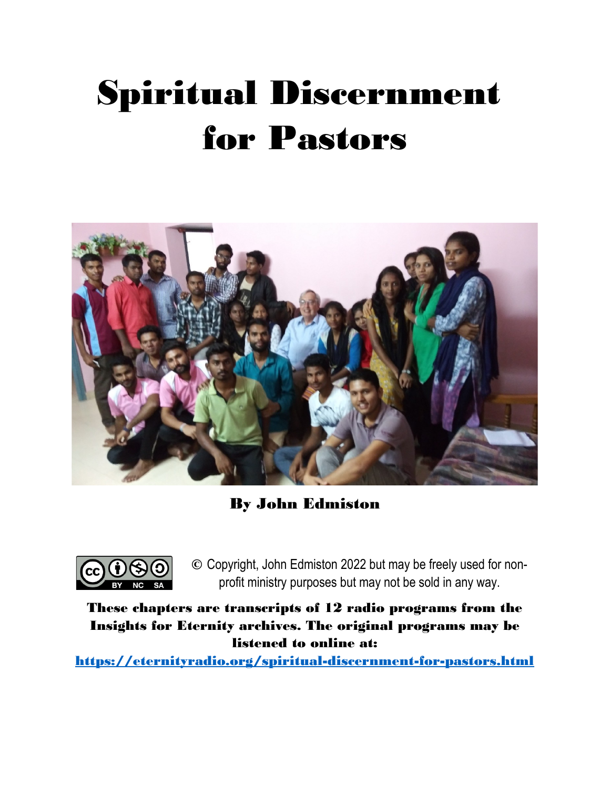# Spiritual Discernment for Pastors



By John Edmiston



© Copyright, John Edmiston 2022 but may be freely used for nonprofit ministry purposes but may not be sold in any way.

These chapters are transcripts of 12 radio programs from the Insights for Eternity archives. The original programs may be listened to online at:

<https://eternityradio.org/spiritual-discernment-for-pastors.html>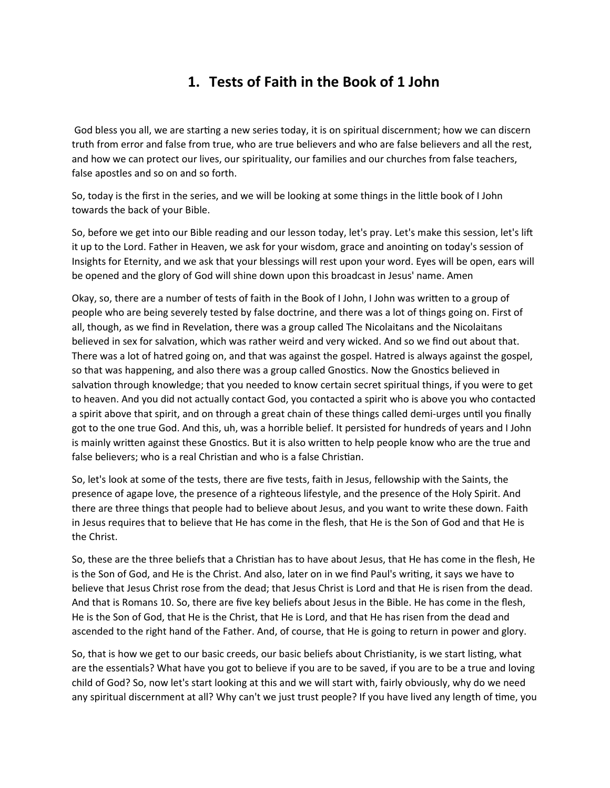## **1. Tests of Faith in the Book of 1 John**

 God bless you all, we are starting a new series today, it is on spiritual discernment; how we can discern truth from error and false from true, who are true believers and who are false believers and all the rest, and how we can protect our lives, our spirituality, our families and our churches from false teachers, false apostles and so on and so forth.

So, today is the first in the series, and we will be looking at some things in the little book of I John towards the back of your Bible.

So, before we get into our Bible reading and our lesson today, let's pray. Let's make this session, let's lift it up to the Lord. Father in Heaven, we ask for your wisdom, grace and anointing on today's session of Insights for Eternity, and we ask that your blessings will rest upon your word. Eyes will be open, ears will be opened and the glory of God will shine down upon this broadcast in Jesus' name. Amen

Okay, so, there are a number of tests of faith in the Book of I John, I John was written to a group of people who are being severely tested by false doctrine, and there was a lot of things going on. First of all, though, as we find in Revelation, there was a group called The Nicolaitans and the Nicolaitans believed in sex for salvation, which was rather weird and very wicked. And so we find out about that. There was a lot of hatred going on, and that was against the gospel. Hatred is always against the gospel, so that was happening, and also there was a group called Gnostics. Now the Gnostics believed in salvation through knowledge; that you needed to know certain secret spiritual things, if you were to get to heaven. And you did not actually contact God, you contacted a spirit who is above you who contacted a spirit above that spirit, and on through a great chain of these things called demi-urges until you finally got to the one true God. And this, uh, was a horrible belief. It persisted for hundreds of years and I John is mainly written against these Gnostics. But it is also written to help people know who are the true and false believers; who is a real Christian and who is a false Christian.

So, let's look at some of the tests, there are five tests, faith in Jesus, fellowship with the Saints, the presence of agape love, the presence of a righteous lifestyle, and the presence of the Holy Spirit. And there are three things that people had to believe about Jesus, and you want to write these down. Faith in Jesus requires that to believe that He has come in the flesh, that He is the Son of God and that He is the Christ.

So, these are the three beliefs that a Christian has to have about Jesus, that He has come in the flesh, He is the Son of God, and He is the Christ. And also, later on in we find Paul's writing, it says we have to believe that Jesus Christ rose from the dead; that Jesus Christ is Lord and that He is risen from the dead. And that is Romans 10. So, there are five key beliefs about Jesus in the Bible. He has come in the flesh, He is the Son of God, that He is the Christ, that He is Lord, and that He has risen from the dead and ascended to the right hand of the Father. And, of course, that He is going to return in power and glory.

So, that is how we get to our basic creeds, our basic beliefs about Christianity, is we start listing, what are the essentials? What have you got to believe if you are to be saved, if you are to be a true and loving child of God? So, now let's start looking at this and we will start with, fairly obviously, why do we need any spiritual discernment at all? Why can't we just trust people? If you have lived any length of time, you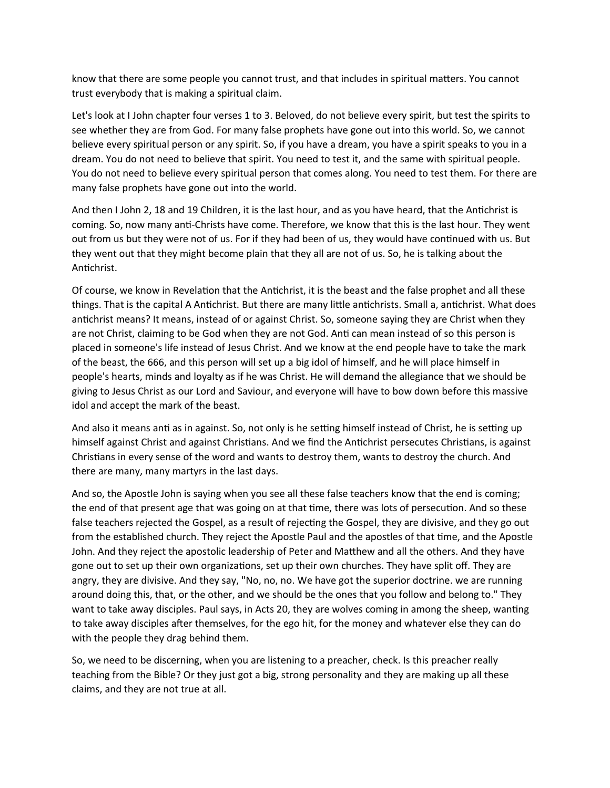know that there are some people you cannot trust, and that includes in spiritual matters. You cannot trust everybody that is making a spiritual claim.

Let's look at I John chapter four verses 1 to 3. Beloved, do not believe every spirit, but test the spirits to see whether they are from God. For many false prophets have gone out into this world. So, we cannot believe every spiritual person or any spirit. So, if you have a dream, you have a spirit speaks to you in a dream. You do not need to believe that spirit. You need to test it, and the same with spiritual people. You do not need to believe every spiritual person that comes along. You need to test them. For there are many false prophets have gone out into the world.

And then I John 2, 18 and 19 Children, it is the last hour, and as you have heard, that the Antichrist is coming. So, now many anti-Christs have come. Therefore, we know that this is the last hour. They went out from us but they were not of us. For if they had been of us, they would have continued with us. But they went out that they might become plain that they all are not of us. So, he is talking about the Antichrist.

Of course, we know in Revelation that the Antichrist, it is the beast and the false prophet and all these things. That is the capital A Antichrist. But there are many little antichrists. Small a, antichrist. What does antichrist means? It means, instead of or against Christ. So, someone saying they are Christ when they are not Christ, claiming to be God when they are not God. Anti can mean instead of so this person is placed in someone's life instead of Jesus Christ. And we know at the end people have to take the mark of the beast, the 666, and this person will set up a big idol of himself, and he will place himself in people's hearts, minds and loyalty as if he was Christ. He will demand the allegiance that we should be giving to Jesus Christ as our Lord and Saviour, and everyone will have to bow down before this massive idol and accept the mark of the beast.

And also it means anti as in against. So, not only is he setting himself instead of Christ, he is setting up himself against Christ and against Christians. And we find the Antichrist persecutes Christians, is against Christians in every sense of the word and wants to destroy them, wants to destroy the church. And there are many, many martyrs in the last days.

And so, the Apostle John is saying when you see all these false teachers know that the end is coming; the end of that present age that was going on at that time, there was lots of persecution. And so these false teachers rejected the Gospel, as a result of rejecting the Gospel, they are divisive, and they go out from the established church. They reject the Apostle Paul and the apostles of that time, and the Apostle John. And they reject the apostolic leadership of Peter and Matthew and all the others. And they have gone out to set up their own organizations, set up their own churches. They have split off. They are angry, they are divisive. And they say, "No, no, no. We have got the superior doctrine. we are running around doing this, that, or the other, and we should be the ones that you follow and belong to." They want to take away disciples. Paul says, in Acts 20, they are wolves coming in among the sheep, wanting to take away disciples after themselves, for the ego hit, for the money and whatever else they can do with the people they drag behind them.

So, we need to be discerning, when you are listening to a preacher, check. Is this preacher really teaching from the Bible? Or they just got a big, strong personality and they are making up all these claims, and they are not true at all.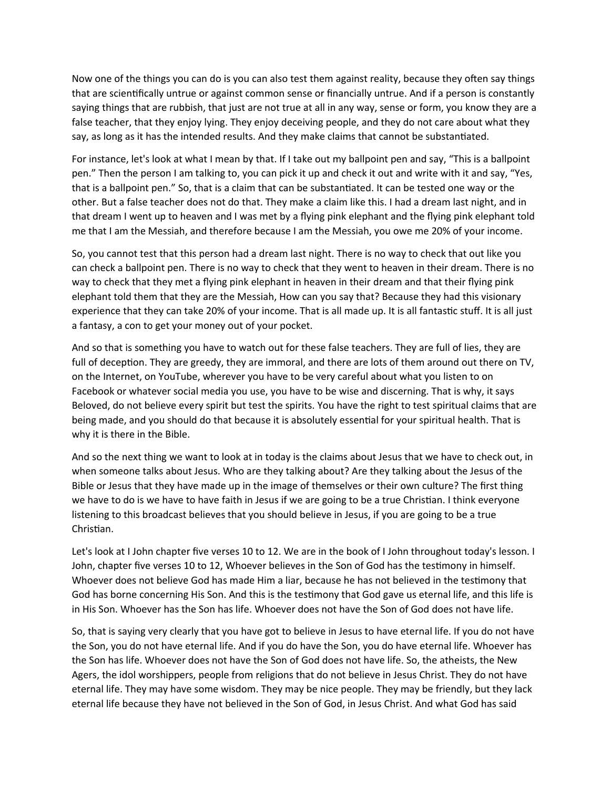Now one of the things you can do is you can also test them against reality, because they often say things that are scientifically untrue or against common sense or financially untrue. And if a person is constantly saying things that are rubbish, that just are not true at all in any way, sense or form, you know they are a false teacher, that they enjoy lying. They enjoy deceiving people, and they do not care about what they say, as long as it has the intended results. And they make claims that cannot be substantiated.

For instance, let's look at what I mean by that. If I take out my ballpoint pen and say, "This is a ballpoint pen." Then the person I am talking to, you can pick it up and check it out and write with it and say, "Yes, that is a ballpoint pen." So, that is a claim that can be substantiated. It can be tested one way or the other. But a false teacher does not do that. They make a claim like this. I had a dream last night, and in that dream I went up to heaven and I was met by a flying pink elephant and the flying pink elephant told me that I am the Messiah, and therefore because I am the Messiah, you owe me 20% of your income.

So, you cannot test that this person had a dream last night. There is no way to check that out like you can check a ballpoint pen. There is no way to check that they went to heaven in their dream. There is no way to check that they met a flying pink elephant in heaven in their dream and that their flying pink elephant told them that they are the Messiah, How can you say that? Because they had this visionary experience that they can take 20% of your income. That is all made up. It is all fantastic stuff. It is all just a fantasy, a con to get your money out of your pocket.

And so that is something you have to watch out for these false teachers. They are full of lies, they are full of deception. They are greedy, they are immoral, and there are lots of them around out there on TV, on the Internet, on YouTube, wherever you have to be very careful about what you listen to on Facebook or whatever social media you use, you have to be wise and discerning. That is why, it says Beloved, do not believe every spirit but test the spirits. You have the right to test spiritual claims that are being made, and you should do that because it is absolutely essential for your spiritual health. That is why it is there in the Bible.

And so the next thing we want to look at in today is the claims about Jesus that we have to check out, in when someone talks about Jesus. Who are they talking about? Are they talking about the Jesus of the Bible or Jesus that they have made up in the image of themselves or their own culture? The first thing we have to do is we have to have faith in Jesus if we are going to be a true Christian. I think everyone listening to this broadcast believes that you should believe in Jesus, if you are going to be a true Christian.

Let's look at I John chapter five verses 10 to 12. We are in the book of I John throughout today's lesson. I John, chapter five verses 10 to 12, Whoever believes in the Son of God has the testimony in himself. Whoever does not believe God has made Him a liar, because he has not believed in the testimony that God has borne concerning His Son. And this is the testimony that God gave us eternal life, and this life is in His Son. Whoever has the Son has life. Whoever does not have the Son of God does not have life.

So, that is saying very clearly that you have got to believe in Jesus to have eternal life. If you do not have the Son, you do not have eternal life. And if you do have the Son, you do have eternal life. Whoever has the Son has life. Whoever does not have the Son of God does not have life. So, the atheists, the New Agers, the idol worshippers, people from religions that do not believe in Jesus Christ. They do not have eternal life. They may have some wisdom. They may be nice people. They may be friendly, but they lack eternal life because they have not believed in the Son of God, in Jesus Christ. And what God has said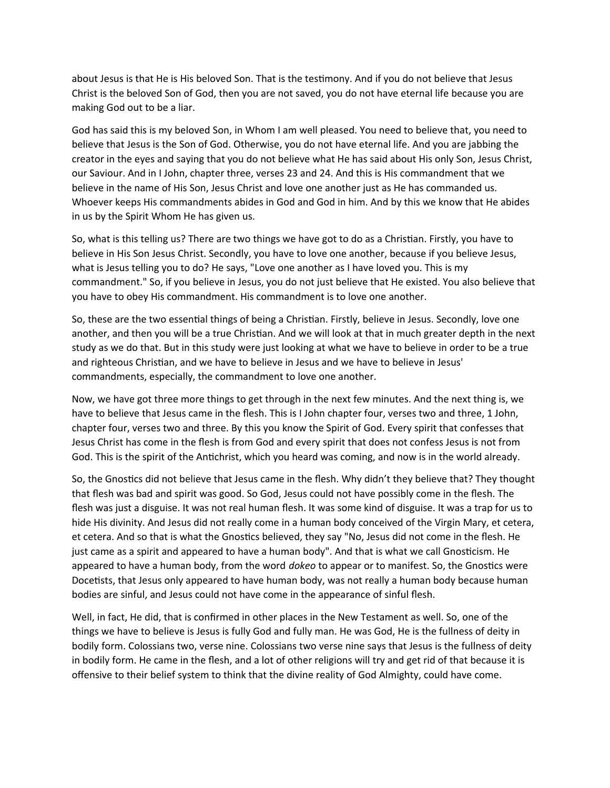about Jesus is that He is His beloved Son. That is the testimony. And if you do not believe that Jesus Christ is the beloved Son of God, then you are not saved, you do not have eternal life because you are making God out to be a liar.

God has said this is my beloved Son, in Whom I am well pleased. You need to believe that, you need to believe that Jesus is the Son of God. Otherwise, you do not have eternal life. And you are jabbing the creator in the eyes and saying that you do not believe what He has said about His only Son, Jesus Christ, our Saviour. And in I John, chapter three, verses 23 and 24. And this is His commandment that we believe in the name of His Son, Jesus Christ and love one another just as He has commanded us. Whoever keeps His commandments abides in God and God in him. And by this we know that He abides in us by the Spirit Whom He has given us.

So, what is this telling us? There are two things we have got to do as a Christian. Firstly, you have to believe in His Son Jesus Christ. Secondly, you have to love one another, because if you believe Jesus, what is Jesus telling you to do? He says, "Love one another as I have loved you. This is my commandment." So, if you believe in Jesus, you do not just believe that He existed. You also believe that you have to obey His commandment. His commandment is to love one another.

So, these are the two essential things of being a Christian. Firstly, believe in Jesus. Secondly, love one another, and then you will be a true Christian. And we will look at that in much greater depth in the next study as we do that. But in this study were just looking at what we have to believe in order to be a true and righteous Christian, and we have to believe in Jesus and we have to believe in Jesus' commandments, especially, the commandment to love one another.

Now, we have got three more things to get through in the next few minutes. And the next thing is, we have to believe that Jesus came in the flesh. This is I John chapter four, verses two and three, 1 John, chapter four, verses two and three. By this you know the Spirit of God. Every spirit that confesses that Jesus Christ has come in the flesh is from God and every spirit that does not confess Jesus is not from God. This is the spirit of the Antichrist, which you heard was coming, and now is in the world already.

So, the Gnostics did not believe that Jesus came in the flesh. Why didn't they believe that? They thought that flesh was bad and spirit was good. So God, Jesus could not have possibly come in the flesh. The flesh was just a disguise. It was not real human flesh. It was some kind of disguise. It was a trap for us to hide His divinity. And Jesus did not really come in a human body conceived of the Virgin Mary, et cetera, et cetera. And so that is what the Gnostics believed, they say "No, Jesus did not come in the flesh. He just came as a spirit and appeared to have a human body". And that is what we call Gnosticism. He appeared to have a human body, from the word *dokeo* to appear or to manifest. So, the Gnostics were Docetists, that Jesus only appeared to have human body, was not really a human body because human bodies are sinful, and Jesus could not have come in the appearance of sinful flesh.

Well, in fact, He did, that is confirmed in other places in the New Testament as well. So, one of the things we have to believe is Jesus is fully God and fully man. He was God, He is the fullness of deity in bodily form. Colossians two, verse nine. Colossians two verse nine says that Jesus is the fullness of deity in bodily form. He came in the flesh, and a lot of other religions will try and get rid of that because it is offensive to their belief system to think that the divine reality of God Almighty, could have come.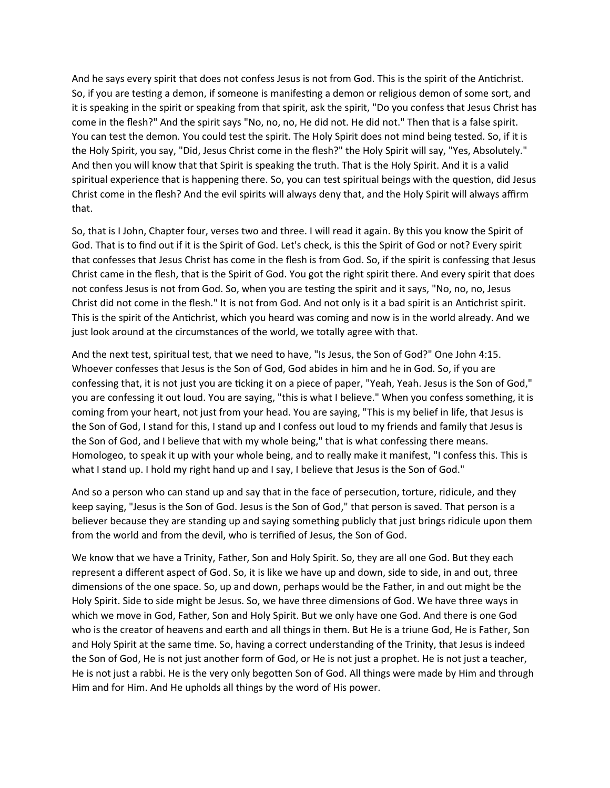And he says every spirit that does not confess Jesus is not from God. This is the spirit of the Antichrist. So, if you are testing a demon, if someone is manifesting a demon or religious demon of some sort, and it is speaking in the spirit or speaking from that spirit, ask the spirit, "Do you confess that Jesus Christ has come in the flesh?" And the spirit says "No, no, no, He did not. He did not." Then that is a false spirit. You can test the demon. You could test the spirit. The Holy Spirit does not mind being tested. So, if it is the Holy Spirit, you say, "Did, Jesus Christ come in the flesh?" the Holy Spirit will say, "Yes, Absolutely." And then you will know that that Spirit is speaking the truth. That is the Holy Spirit. And it is a valid spiritual experience that is happening there. So, you can test spiritual beings with the question, did Jesus Christ come in the flesh? And the evil spirits will always deny that, and the Holy Spirit will always affirm that.

So, that is I John, Chapter four, verses two and three. I will read it again. By this you know the Spirit of God. That is to find out if it is the Spirit of God. Let's check, is this the Spirit of God or not? Every spirit that confesses that Jesus Christ has come in the flesh is from God. So, if the spirit is confessing that Jesus Christ came in the flesh, that is the Spirit of God. You got the right spirit there. And every spirit that does not confess Jesus is not from God. So, when you are testing the spirit and it says, "No, no, no, Jesus Christ did not come in the flesh." It is not from God. And not only is it a bad spirit is an Antichrist spirit. This is the spirit of the Antichrist, which you heard was coming and now is in the world already. And we just look around at the circumstances of the world, we totally agree with that.

And the next test, spiritual test, that we need to have, "Is Jesus, the Son of God?" One John 4:15. Whoever confesses that Jesus is the Son of God, God abides in him and he in God. So, if you are confessing that, it is not just you are ticking it on a piece of paper, "Yeah, Yeah. Jesus is the Son of God," you are confessing it out loud. You are saying, "this is what I believe." When you confess something, it is coming from your heart, not just from your head. You are saying, "This is my belief in life, that Jesus is the Son of God, I stand for this, I stand up and I confess out loud to my friends and family that Jesus is the Son of God, and I believe that with my whole being," that is what confessing there means. Homologeo, to speak it up with your whole being, and to really make it manifest, "I confess this. This is what I stand up. I hold my right hand up and I say, I believe that Jesus is the Son of God."

And so a person who can stand up and say that in the face of persecution, torture, ridicule, and they keep saying, "Jesus is the Son of God. Jesus is the Son of God," that person is saved. That person is a believer because they are standing up and saying something publicly that just brings ridicule upon them from the world and from the devil, who is terrified of Jesus, the Son of God.

We know that we have a Trinity, Father, Son and Holy Spirit. So, they are all one God. But they each represent a different aspect of God. So, it is like we have up and down, side to side, in and out, three dimensions of the one space. So, up and down, perhaps would be the Father, in and out might be the Holy Spirit. Side to side might be Jesus. So, we have three dimensions of God. We have three ways in which we move in God, Father, Son and Holy Spirit. But we only have one God. And there is one God who is the creator of heavens and earth and all things in them. But He is a triune God, He is Father, Son and Holy Spirit at the same time. So, having a correct understanding of the Trinity, that Jesus is indeed the Son of God, He is not just another form of God, or He is not just a prophet. He is not just a teacher, He is not just a rabbi. He is the very only begotten Son of God. All things were made by Him and through Him and for Him. And He upholds all things by the word of His power.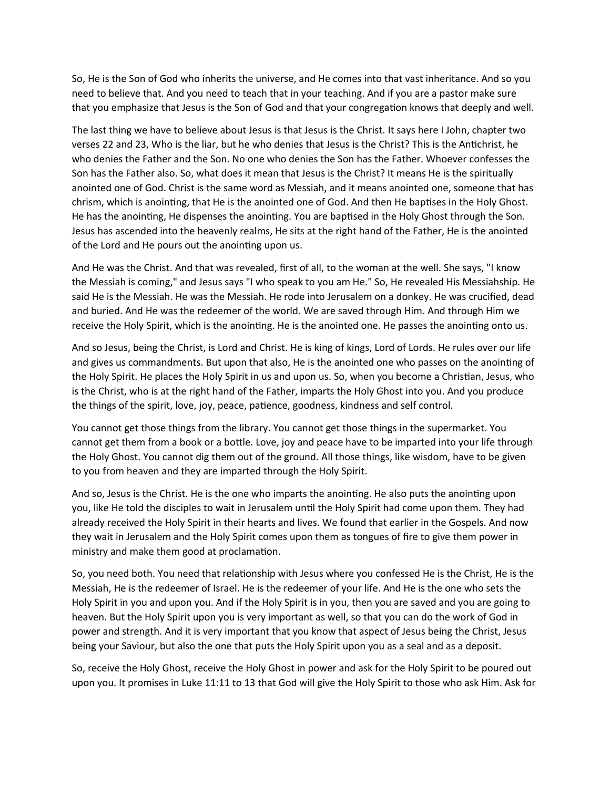So, He is the Son of God who inherits the universe, and He comes into that vast inheritance. And so you need to believe that. And you need to teach that in your teaching. And if you are a pastor make sure that you emphasize that Jesus is the Son of God and that your congregation knows that deeply and well.

The last thing we have to believe about Jesus is that Jesus is the Christ. It says here I John, chapter two verses 22 and 23, Who is the liar, but he who denies that Jesus is the Christ? This is the Antichrist, he who denies the Father and the Son. No one who denies the Son has the Father. Whoever confesses the Son has the Father also. So, what does it mean that Jesus is the Christ? It means He is the spiritually anointed one of God. Christ is the same word as Messiah, and it means anointed one, someone that has chrism, which is anointing, that He is the anointed one of God. And then He baptises in the Holy Ghost. He has the anointing, He dispenses the anointing. You are baptised in the Holy Ghost through the Son. Jesus has ascended into the heavenly realms, He sits at the right hand of the Father, He is the anointed of the Lord and He pours out the anointing upon us.

And He was the Christ. And that was revealed, first of all, to the woman at the well. She says, "I know the Messiah is coming," and Jesus says "I who speak to you am He." So, He revealed His Messiahship. He said He is the Messiah. He was the Messiah. He rode into Jerusalem on a donkey. He was crucified, dead and buried. And He was the redeemer of the world. We are saved through Him. And through Him we receive the Holy Spirit, which is the anointing. He is the anointed one. He passes the anointing onto us.

And so Jesus, being the Christ, is Lord and Christ. He is king of kings, Lord of Lords. He rules over our life and gives us commandments. But upon that also, He is the anointed one who passes on the anointing of the Holy Spirit. He places the Holy Spirit in us and upon us. So, when you become a Christian, Jesus, who is the Christ, who is at the right hand of the Father, imparts the Holy Ghost into you. And you produce the things of the spirit, love, joy, peace, patience, goodness, kindness and self control.

You cannot get those things from the library. You cannot get those things in the supermarket. You cannot get them from a book or a bottle. Love, joy and peace have to be imparted into your life through the Holy Ghost. You cannot dig them out of the ground. All those things, like wisdom, have to be given to you from heaven and they are imparted through the Holy Spirit.

And so, Jesus is the Christ. He is the one who imparts the anointing. He also puts the anointing upon you, like He told the disciples to wait in Jerusalem until the Holy Spirit had come upon them. They had already received the Holy Spirit in their hearts and lives. We found that earlier in the Gospels. And now they wait in Jerusalem and the Holy Spirit comes upon them as tongues of fire to give them power in ministry and make them good at proclamation.

So, you need both. You need that relationship with Jesus where you confessed He is the Christ, He is the Messiah, He is the redeemer of Israel. He is the redeemer of your life. And He is the one who sets the Holy Spirit in you and upon you. And if the Holy Spirit is in you, then you are saved and you are going to heaven. But the Holy Spirit upon you is very important as well, so that you can do the work of God in power and strength. And it is very important that you know that aspect of Jesus being the Christ, Jesus being your Saviour, but also the one that puts the Holy Spirit upon you as a seal and as a deposit.

So, receive the Holy Ghost, receive the Holy Ghost in power and ask for the Holy Spirit to be poured out upon you. It promises in Luke 11:11 to 13 that God will give the Holy Spirit to those who ask Him. Ask for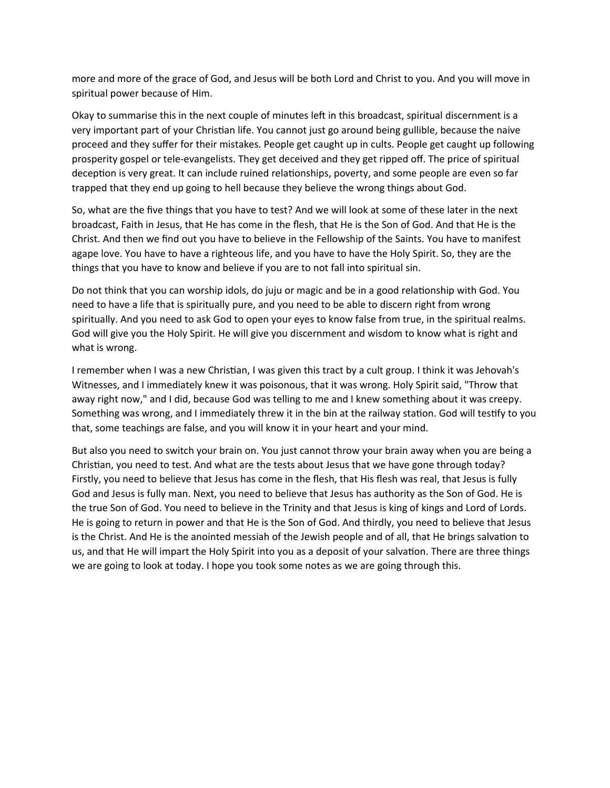more and more of the grace of God, and Jesus will be both Lord and Christ to you. And you will move in spiritual power because of Him.

Okay to summarise this in the next couple of minutes left in this broadcast, spiritual discernment is a very important part of your Christian life. You cannot just go around being gullible, because the naive proceed and they suffer for their mistakes. People get caught up in cults. People get caught up following prosperity gospel or tele-evangelists. They get deceived and they get ripped off. The price of spiritual deception is very great. It can include ruined relationships, poverty, and some people are even so far trapped that they end up going to hell because they believe the wrong things about God.

So, what are the five things that you have to test? And we will look at some of these later in the next broadcast, Faith in Jesus, that He has come in the flesh, that He is the Son of God. And that He is the Christ. And then we find out you have to believe in the Fellowship of the Saints. You have to manifest agape love. You have to have a righteous life, and you have to have the Holy Spirit. So, they are the things that you have to know and believe if you are to not fall into spiritual sin.

Do not think that you can worship idols, do juju or magic and be in a good relationship with God. You need to have a life that is spiritually pure, and you need to be able to discern right from wrong spiritually. And you need to ask God to open your eyes to know false from true, in the spiritual realms. God will give you the Holy Spirit. He will give you discernment and wisdom to know what is right and what is wrong.

I remember when I was a new Christian, I was given this tract by a cult group. I think it was Jehovah's Witnesses, and I immediately knew it was poisonous, that it was wrong. Holy Spirit said, "Throw that away right now," and I did, because God was telling to me and I knew something about it was creepy. Something was wrong, and I immediately threw it in the bin at the railway station. God will testify to you that, some teachings are false, and you will know it in your heart and your mind.

But also you need to switch your brain on. You just cannot throw your brain away when you are being a Christian, you need to test. And what are the tests about Jesus that we have gone through today? Firstly, you need to believe that Jesus has come in the flesh, that His flesh was real, that Jesus is fully God and Jesus is fully man. Next, you need to believe that Jesus has authority as the Son of God. He is the true Son of God. You need to believe in the Trinity and that Jesus is king of kings and Lord of Lords. He is going to return in power and that He is the Son of God. And thirdly, you need to believe that Jesus is the Christ. And He is the anointed messiah of the Jewish people and of all, that He brings salvation to us, and that He will impart the Holy Spirit into you as a deposit of your salvation. There are three things we are going to look at today. I hope you took some notes as we are going through this.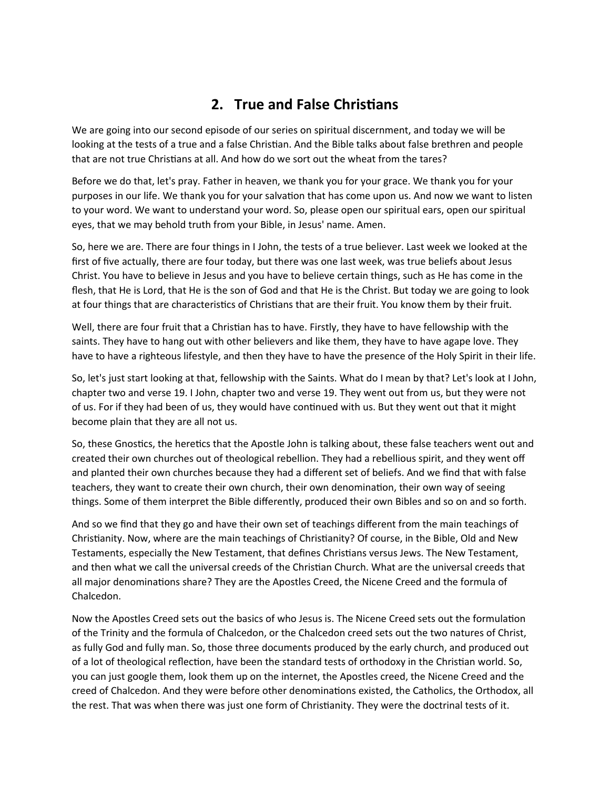## **2. True and False Christians**

We are going into our second episode of our series on spiritual discernment, and today we will be looking at the tests of a true and a false Christian. And the Bible talks about false brethren and people that are not true Christians at all. And how do we sort out the wheat from the tares?

Before we do that, let's pray. Father in heaven, we thank you for your grace. We thank you for your purposes in our life. We thank you for your salvation that has come upon us. And now we want to listen to your word. We want to understand your word. So, please open our spiritual ears, open our spiritual eyes, that we may behold truth from your Bible, in Jesus' name. Amen.

So, here we are. There are four things in I John, the tests of a true believer. Last week we looked at the first of five actually, there are four today, but there was one last week, was true beliefs about Jesus Christ. You have to believe in Jesus and you have to believe certain things, such as He has come in the flesh, that He is Lord, that He is the son of God and that He is the Christ. But today we are going to look at four things that are characteristics of Christians that are their fruit. You know them by their fruit.

Well, there are four fruit that a Christian has to have. Firstly, they have to have fellowship with the saints. They have to hang out with other believers and like them, they have to have agape love. They have to have a righteous lifestyle, and then they have to have the presence of the Holy Spirit in their life.

So, let's just start looking at that, fellowship with the Saints. What do I mean by that? Let's look at I John, chapter two and verse 19. I John, chapter two and verse 19. They went out from us, but they were not of us. For if they had been of us, they would have continued with us. But they went out that it might become plain that they are all not us.

So, these Gnostics, the heretics that the Apostle John is talking about, these false teachers went out and created their own churches out of theological rebellion. They had a rebellious spirit, and they went off and planted their own churches because they had a different set of beliefs. And we find that with false teachers, they want to create their own church, their own denomination, their own way of seeing things. Some of them interpret the Bible differently, produced their own Bibles and so on and so forth.

And so we find that they go and have their own set of teachings different from the main teachings of Christianity. Now, where are the main teachings of Christianity? Of course, in the Bible, Old and New Testaments, especially the New Testament, that defines Christians versus Jews. The New Testament, and then what we call the universal creeds of the Christian Church. What are the universal creeds that all major denominations share? They are the Apostles Creed, the Nicene Creed and the formula of Chalcedon.

Now the Apostles Creed sets out the basics of who Jesus is. The Nicene Creed sets out the formulation of the Trinity and the formula of Chalcedon, or the Chalcedon creed sets out the two natures of Christ, as fully God and fully man. So, those three documents produced by the early church, and produced out of a lot of theological reflection, have been the standard tests of orthodoxy in the Christian world. So, you can just google them, look them up on the internet, the Apostles creed, the Nicene Creed and the creed of Chalcedon. And they were before other denominations existed, the Catholics, the Orthodox, all the rest. That was when there was just one form of Christianity. They were the doctrinal tests of it.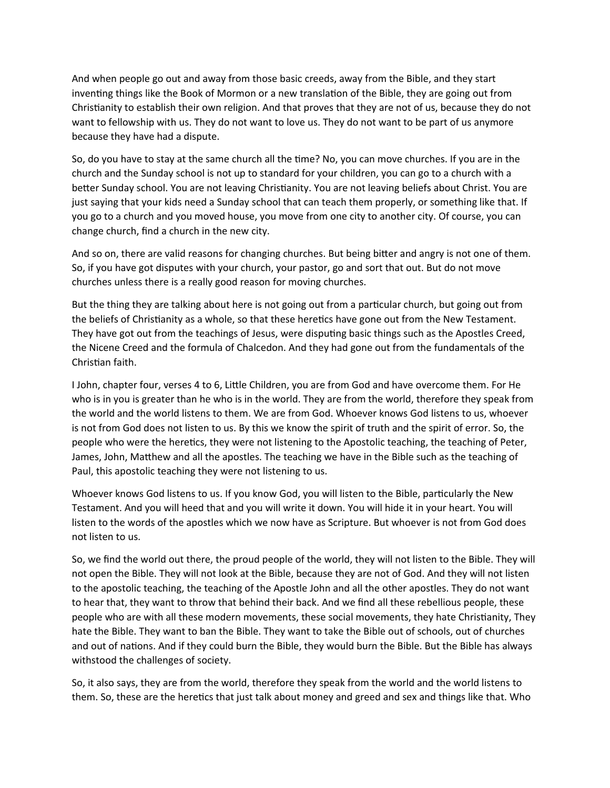And when people go out and away from those basic creeds, away from the Bible, and they start inventing things like the Book of Mormon or a new translation of the Bible, they are going out from Christianity to establish their own religion. And that proves that they are not of us, because they do not want to fellowship with us. They do not want to love us. They do not want to be part of us anymore because they have had a dispute.

So, do you have to stay at the same church all the time? No, you can move churches. If you are in the church and the Sunday school is not up to standard for your children, you can go to a church with a better Sunday school. You are not leaving Christianity. You are not leaving beliefs about Christ. You are just saying that your kids need a Sunday school that can teach them properly, or something like that. If you go to a church and you moved house, you move from one city to another city. Of course, you can change church, find a church in the new city.

And so on, there are valid reasons for changing churches. But being bitter and angry is not one of them. So, if you have got disputes with your church, your pastor, go and sort that out. But do not move churches unless there is a really good reason for moving churches.

But the thing they are talking about here is not going out from a particular church, but going out from the beliefs of Christianity as a whole, so that these heretics have gone out from the New Testament. They have got out from the teachings of Jesus, were disputing basic things such as the Apostles Creed, the Nicene Creed and the formula of Chalcedon. And they had gone out from the fundamentals of the Christian faith.

I John, chapter four, verses 4 to 6, Little Children, you are from God and have overcome them. For He who is in you is greater than he who is in the world. They are from the world, therefore they speak from the world and the world listens to them. We are from God. Whoever knows God listens to us, whoever is not from God does not listen to us. By this we know the spirit of truth and the spirit of error. So, the people who were the heretics, they were not listening to the Apostolic teaching, the teaching of Peter, James, John, Matthew and all the apostles. The teaching we have in the Bible such as the teaching of Paul, this apostolic teaching they were not listening to us.

Whoever knows God listens to us. If you know God, you will listen to the Bible, particularly the New Testament. And you will heed that and you will write it down. You will hide it in your heart. You will listen to the words of the apostles which we now have as Scripture. But whoever is not from God does not listen to us.

So, we find the world out there, the proud people of the world, they will not listen to the Bible. They will not open the Bible. They will not look at the Bible, because they are not of God. And they will not listen to the apostolic teaching, the teaching of the Apostle John and all the other apostles. They do not want to hear that, they want to throw that behind their back. And we find all these rebellious people, these people who are with all these modern movements, these social movements, they hate Christianity, They hate the Bible. They want to ban the Bible. They want to take the Bible out of schools, out of churches and out of nations. And if they could burn the Bible, they would burn the Bible. But the Bible has always withstood the challenges of society.

So, it also says, they are from the world, therefore they speak from the world and the world listens to them. So, these are the heretics that just talk about money and greed and sex and things like that. Who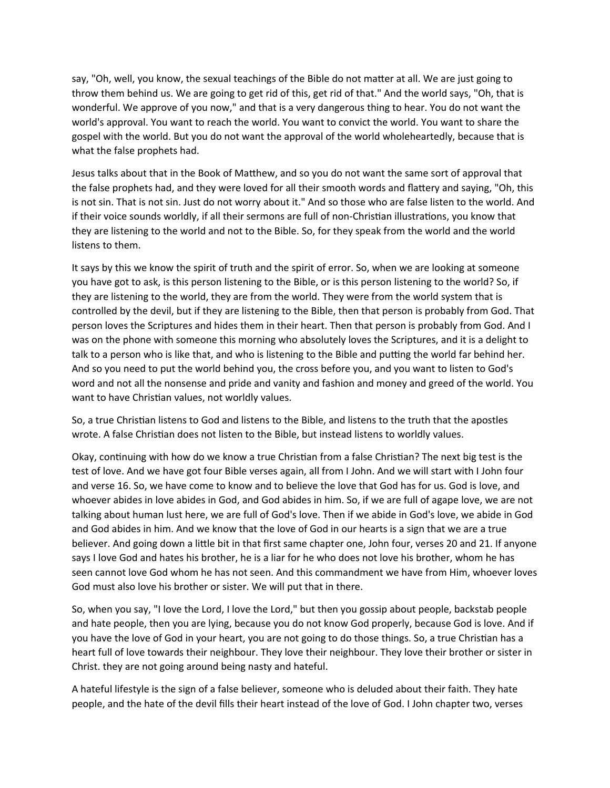say, "Oh, well, you know, the sexual teachings of the Bible do not matter at all. We are just going to throw them behind us. We are going to get rid of this, get rid of that." And the world says, "Oh, that is wonderful. We approve of you now," and that is a very dangerous thing to hear. You do not want the world's approval. You want to reach the world. You want to convict the world. You want to share the gospel with the world. But you do not want the approval of the world wholeheartedly, because that is what the false prophets had.

Jesus talks about that in the Book of Matthew, and so you do not want the same sort of approval that the false prophets had, and they were loved for all their smooth words and flattery and saying, "Oh, this is not sin. That is not sin. Just do not worry about it." And so those who are false listen to the world. And if their voice sounds worldly, if all their sermons are full of non-Christian illustrations, you know that they are listening to the world and not to the Bible. So, for they speak from the world and the world listens to them.

It says by this we know the spirit of truth and the spirit of error. So, when we are looking at someone you have got to ask, is this person listening to the Bible, or is this person listening to the world? So, if they are listening to the world, they are from the world. They were from the world system that is controlled by the devil, but if they are listening to the Bible, then that person is probably from God. That person loves the Scriptures and hides them in their heart. Then that person is probably from God. And I was on the phone with someone this morning who absolutely loves the Scriptures, and it is a delight to talk to a person who is like that, and who is listening to the Bible and putting the world far behind her. And so you need to put the world behind you, the cross before you, and you want to listen to God's word and not all the nonsense and pride and vanity and fashion and money and greed of the world. You want to have Christian values, not worldly values.

So, a true Christian listens to God and listens to the Bible, and listens to the truth that the apostles wrote. A false Christian does not listen to the Bible, but instead listens to worldly values.

Okay, continuing with how do we know a true Christian from a false Christian? The next big test is the test of love. And we have got four Bible verses again, all from I John. And we will start with I John four and verse 16. So, we have come to know and to believe the love that God has for us. God is love, and whoever abides in love abides in God, and God abides in him. So, if we are full of agape love, we are not talking about human lust here, we are full of God's love. Then if we abide in God's love, we abide in God and God abides in him. And we know that the love of God in our hearts is a sign that we are a true believer. And going down a little bit in that first same chapter one, John four, verses 20 and 21. If anyone says I love God and hates his brother, he is a liar for he who does not love his brother, whom he has seen cannot love God whom he has not seen. And this commandment we have from Him, whoever loves God must also love his brother or sister. We will put that in there.

So, when you say, "I love the Lord, I love the Lord," but then you gossip about people, backstab people and hate people, then you are lying, because you do not know God properly, because God is love. And if you have the love of God in your heart, you are not going to do those things. So, a true Christian has a heart full of love towards their neighbour. They love their neighbour. They love their brother or sister in Christ. they are not going around being nasty and hateful.

A hateful lifestyle is the sign of a false believer, someone who is deluded about their faith. They hate people, and the hate of the devil fills their heart instead of the love of God. I John chapter two, verses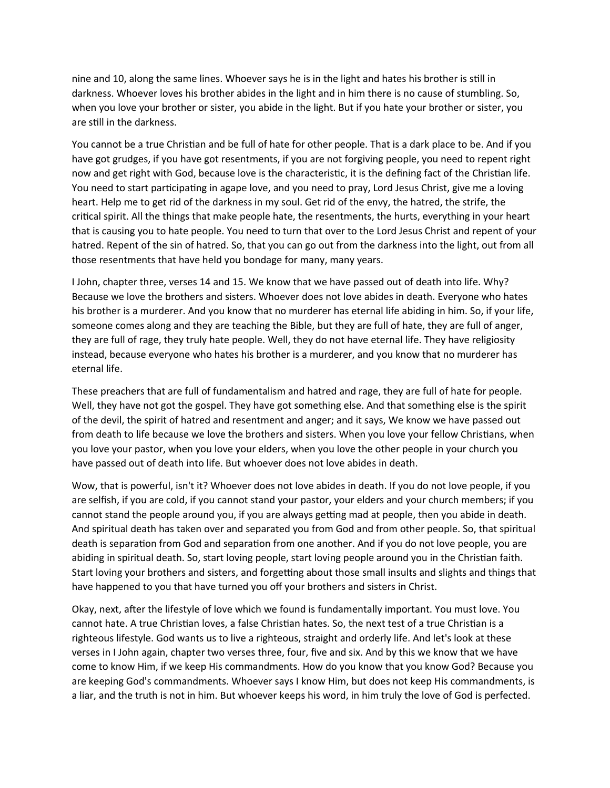nine and 10, along the same lines. Whoever says he is in the light and hates his brother is still in darkness. Whoever loves his brother abides in the light and in him there is no cause of stumbling. So, when you love your brother or sister, you abide in the light. But if you hate your brother or sister, you are still in the darkness.

You cannot be a true Christian and be full of hate for other people. That is a dark place to be. And if you have got grudges, if you have got resentments, if you are not forgiving people, you need to repent right now and get right with God, because love is the characteristic, it is the defining fact of the Christian life. You need to start participating in agape love, and you need to pray, Lord Jesus Christ, give me a loving heart. Help me to get rid of the darkness in my soul. Get rid of the envy, the hatred, the strife, the critical spirit. All the things that make people hate, the resentments, the hurts, everything in your heart that is causing you to hate people. You need to turn that over to the Lord Jesus Christ and repent of your hatred. Repent of the sin of hatred. So, that you can go out from the darkness into the light, out from all those resentments that have held you bondage for many, many years.

I John, chapter three, verses 14 and 15. We know that we have passed out of death into life. Why? Because we love the brothers and sisters. Whoever does not love abides in death. Everyone who hates his brother is a murderer. And you know that no murderer has eternal life abiding in him. So, if your life, someone comes along and they are teaching the Bible, but they are full of hate, they are full of anger, they are full of rage, they truly hate people. Well, they do not have eternal life. They have religiosity instead, because everyone who hates his brother is a murderer, and you know that no murderer has eternal life.

These preachers that are full of fundamentalism and hatred and rage, they are full of hate for people. Well, they have not got the gospel. They have got something else. And that something else is the spirit of the devil, the spirit of hatred and resentment and anger; and it says, We know we have passed out from death to life because we love the brothers and sisters. When you love your fellow Christians, when you love your pastor, when you love your elders, when you love the other people in your church you have passed out of death into life. But whoever does not love abides in death.

Wow, that is powerful, isn't it? Whoever does not love abides in death. If you do not love people, if you are selfish, if you are cold, if you cannot stand your pastor, your elders and your church members; if you cannot stand the people around you, if you are always getting mad at people, then you abide in death. And spiritual death has taken over and separated you from God and from other people. So, that spiritual death is separation from God and separation from one another. And if you do not love people, you are abiding in spiritual death. So, start loving people, start loving people around you in the Christian faith. Start loving your brothers and sisters, and forgetting about those small insults and slights and things that have happened to you that have turned you off your brothers and sisters in Christ.

Okay, next, after the lifestyle of love which we found is fundamentally important. You must love. You cannot hate. A true Christian loves, a false Christian hates. So, the next test of a true Christian is a righteous lifestyle. God wants us to live a righteous, straight and orderly life. And let's look at these verses in I John again, chapter two verses three, four, five and six. And by this we know that we have come to know Him, if we keep His commandments. How do you know that you know God? Because you are keeping God's commandments. Whoever says I know Him, but does not keep His commandments, is a liar, and the truth is not in him. But whoever keeps his word, in him truly the love of God is perfected.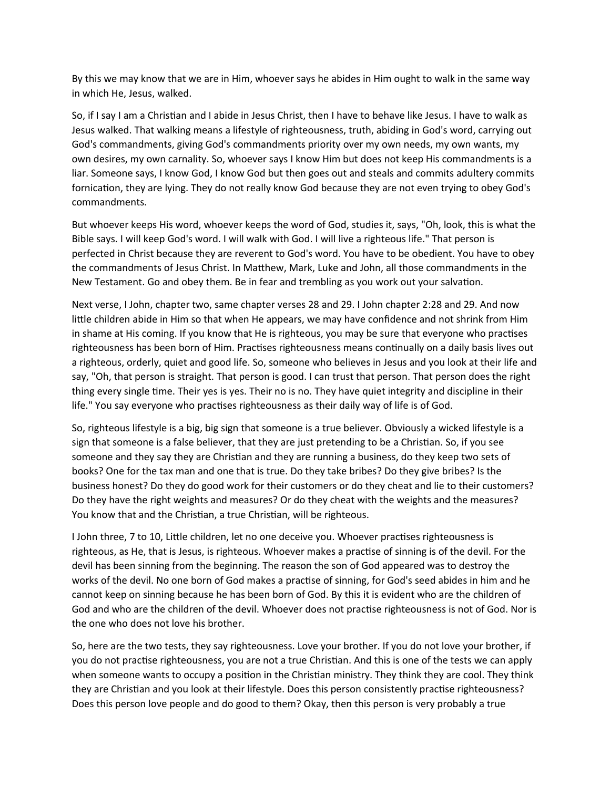By this we may know that we are in Him, whoever says he abides in Him ought to walk in the same way in which He, Jesus, walked.

So, if I say I am a Christian and I abide in Jesus Christ, then I have to behave like Jesus. I have to walk as Jesus walked. That walking means a lifestyle of righteousness, truth, abiding in God's word, carrying out God's commandments, giving God's commandments priority over my own needs, my own wants, my own desires, my own carnality. So, whoever says I know Him but does not keep His commandments is a liar. Someone says, I know God, I know God but then goes out and steals and commits adultery commits fornication, they are lying. They do not really know God because they are not even trying to obey God's commandments.

But whoever keeps His word, whoever keeps the word of God, studies it, says, "Oh, look, this is what the Bible says. I will keep God's word. I will walk with God. I will live a righteous life." That person is perfected in Christ because they are reverent to God's word. You have to be obedient. You have to obey the commandments of Jesus Christ. In Matthew, Mark, Luke and John, all those commandments in the New Testament. Go and obey them. Be in fear and trembling as you work out your salvation.

Next verse, I John, chapter two, same chapter verses 28 and 29. I John chapter 2:28 and 29. And now little children abide in Him so that when He appears, we may have confidence and not shrink from Him in shame at His coming. If you know that He is righteous, you may be sure that everyone who practises righteousness has been born of Him. Practises righteousness means continually on a daily basis lives out a righteous, orderly, quiet and good life. So, someone who believes in Jesus and you look at their life and say, "Oh, that person is straight. That person is good. I can trust that person. That person does the right thing every single time. Their yes is yes. Their no is no. They have quiet integrity and discipline in their life." You say everyone who practises righteousness as their daily way of life is of God.

So, righteous lifestyle is a big, big sign that someone is a true believer. Obviously a wicked lifestyle is a sign that someone is a false believer, that they are just pretending to be a Christian. So, if you see someone and they say they are Christian and they are running a business, do they keep two sets of books? One for the tax man and one that is true. Do they take bribes? Do they give bribes? Is the business honest? Do they do good work for their customers or do they cheat and lie to their customers? Do they have the right weights and measures? Or do they cheat with the weights and the measures? You know that and the Christian, a true Christian, will be righteous.

I John three, 7 to 10, Little children, let no one deceive you. Whoever practises righteousness is righteous, as He, that is Jesus, is righteous. Whoever makes a practise of sinning is of the devil. For the devil has been sinning from the beginning. The reason the son of God appeared was to destroy the works of the devil. No one born of God makes a practise of sinning, for God's seed abides in him and he cannot keep on sinning because he has been born of God. By this it is evident who are the children of God and who are the children of the devil. Whoever does not practise righteousness is not of God. Nor is the one who does not love his brother.

So, here are the two tests, they say righteousness. Love your brother. If you do not love your brother, if you do not practise righteousness, you are not a true Christian. And this is one of the tests we can apply when someone wants to occupy a position in the Christian ministry. They think they are cool. They think they are Christian and you look at their lifestyle. Does this person consistently practise righteousness? Does this person love people and do good to them? Okay, then this person is very probably a true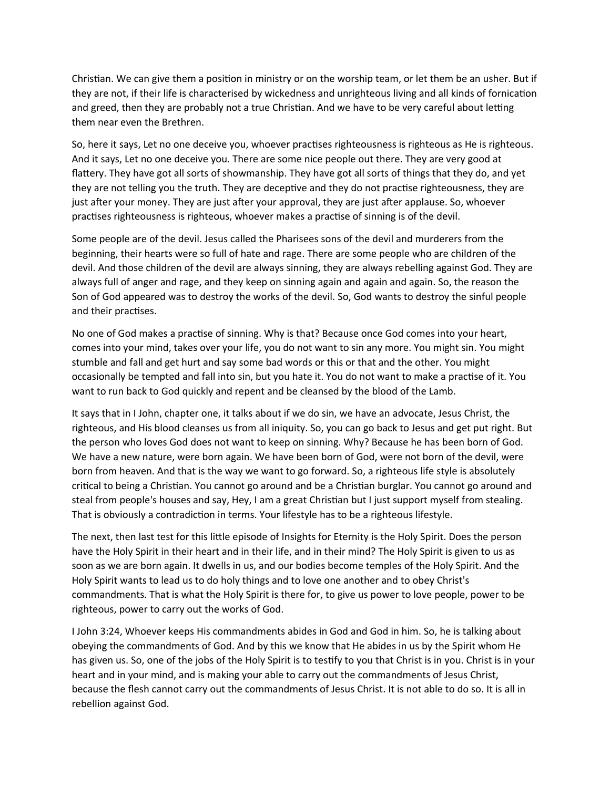Christian. We can give them a position in ministry or on the worship team, or let them be an usher. But if they are not, if their life is characterised by wickedness and unrighteous living and all kinds of fornication and greed, then they are probably not a true Christian. And we have to be very careful about letting them near even the Brethren.

So, here it says, Let no one deceive you, whoever practises righteousness is righteous as He is righteous. And it says, Let no one deceive you. There are some nice people out there. They are very good at flattery. They have got all sorts of showmanship. They have got all sorts of things that they do, and yet they are not telling you the truth. They are deceptive and they do not practise righteousness, they are just after your money. They are just after your approval, they are just after applause. So, whoever practises righteousness is righteous, whoever makes a practise of sinning is of the devil.

Some people are of the devil. Jesus called the Pharisees sons of the devil and murderers from the beginning, their hearts were so full of hate and rage. There are some people who are children of the devil. And those children of the devil are always sinning, they are always rebelling against God. They are always full of anger and rage, and they keep on sinning again and again and again. So, the reason the Son of God appeared was to destroy the works of the devil. So, God wants to destroy the sinful people and their practises.

No one of God makes a practise of sinning. Why is that? Because once God comes into your heart, comes into your mind, takes over your life, you do not want to sin any more. You might sin. You might stumble and fall and get hurt and say some bad words or this or that and the other. You might occasionally be tempted and fall into sin, but you hate it. You do not want to make a practise of it. You want to run back to God quickly and repent and be cleansed by the blood of the Lamb.

It says that in I John, chapter one, it talks about if we do sin, we have an advocate, Jesus Christ, the righteous, and His blood cleanses us from all iniquity. So, you can go back to Jesus and get put right. But the person who loves God does not want to keep on sinning. Why? Because he has been born of God. We have a new nature, were born again. We have been born of God, were not born of the devil, were born from heaven. And that is the way we want to go forward. So, a righteous life style is absolutely critical to being a Christian. You cannot go around and be a Christian burglar. You cannot go around and steal from people's houses and say, Hey, I am a great Christian but I just support myself from stealing. That is obviously a contradiction in terms. Your lifestyle has to be a righteous lifestyle.

The next, then last test for this little episode of Insights for Eternity is the Holy Spirit. Does the person have the Holy Spirit in their heart and in their life, and in their mind? The Holy Spirit is given to us as soon as we are born again. It dwells in us, and our bodies become temples of the Holy Spirit. And the Holy Spirit wants to lead us to do holy things and to love one another and to obey Christ's commandments. That is what the Holy Spirit is there for, to give us power to love people, power to be righteous, power to carry out the works of God.

I John 3:24, Whoever keeps His commandments abides in God and God in him. So, he is talking about obeying the commandments of God. And by this we know that He abides in us by the Spirit whom He has given us. So, one of the jobs of the Holy Spirit is to testify to you that Christ is in you. Christ is in your heart and in your mind, and is making your able to carry out the commandments of Jesus Christ, because the flesh cannot carry out the commandments of Jesus Christ. It is not able to do so. It is all in rebellion against God.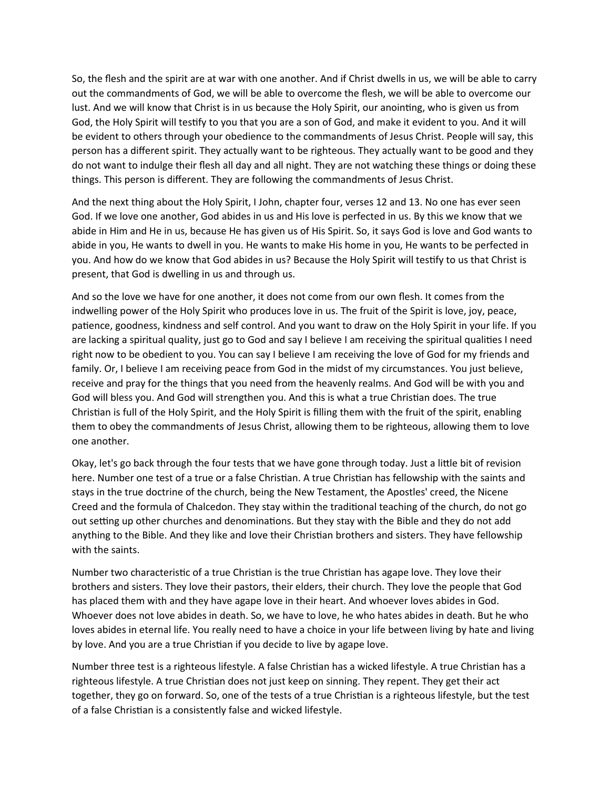So, the flesh and the spirit are at war with one another. And if Christ dwells in us, we will be able to carry out the commandments of God, we will be able to overcome the flesh, we will be able to overcome our lust. And we will know that Christ is in us because the Holy Spirit, our anointing, who is given us from God, the Holy Spirit will testify to you that you are a son of God, and make it evident to you. And it will be evident to others through your obedience to the commandments of Jesus Christ. People will say, this person has a different spirit. They actually want to be righteous. They actually want to be good and they do not want to indulge their flesh all day and all night. They are not watching these things or doing these things. This person is different. They are following the commandments of Jesus Christ.

And the next thing about the Holy Spirit, I John, chapter four, verses 12 and 13. No one has ever seen God. If we love one another, God abides in us and His love is perfected in us. By this we know that we abide in Him and He in us, because He has given us of His Spirit. So, it says God is love and God wants to abide in you, He wants to dwell in you. He wants to make His home in you, He wants to be perfected in you. And how do we know that God abides in us? Because the Holy Spirit will testify to us that Christ is present, that God is dwelling in us and through us.

And so the love we have for one another, it does not come from our own flesh. It comes from the indwelling power of the Holy Spirit who produces love in us. The fruit of the Spirit is love, joy, peace, patience, goodness, kindness and self control. And you want to draw on the Holy Spirit in your life. If you are lacking a spiritual quality, just go to God and say I believe I am receiving the spiritual qualities I need right now to be obedient to you. You can say I believe I am receiving the love of God for my friends and family. Or, I believe I am receiving peace from God in the midst of my circumstances. You just believe, receive and pray for the things that you need from the heavenly realms. And God will be with you and God will bless you. And God will strengthen you. And this is what a true Christian does. The true Christian is full of the Holy Spirit, and the Holy Spirit is filling them with the fruit of the spirit, enabling them to obey the commandments of Jesus Christ, allowing them to be righteous, allowing them to love one another.

Okay, let's go back through the four tests that we have gone through today. Just a little bit of revision here. Number one test of a true or a false Christian. A true Christian has fellowship with the saints and stays in the true doctrine of the church, being the New Testament, the Apostles' creed, the Nicene Creed and the formula of Chalcedon. They stay within the traditional teaching of the church, do not go out setting up other churches and denominations. But they stay with the Bible and they do not add anything to the Bible. And they like and love their Christian brothers and sisters. They have fellowship with the saints.

Number two characteristic of a true Christian is the true Christian has agape love. They love their brothers and sisters. They love their pastors, their elders, their church. They love the people that God has placed them with and they have agape love in their heart. And whoever loves abides in God. Whoever does not love abides in death. So, we have to love, he who hates abides in death. But he who loves abides in eternal life. You really need to have a choice in your life between living by hate and living by love. And you are a true Christian if you decide to live by agape love.

Number three test is a righteous lifestyle. A false Christian has a wicked lifestyle. A true Christian has a righteous lifestyle. A true Christian does not just keep on sinning. They repent. They get their act together, they go on forward. So, one of the tests of a true Christian is a righteous lifestyle, but the test of a false Christian is a consistently false and wicked lifestyle.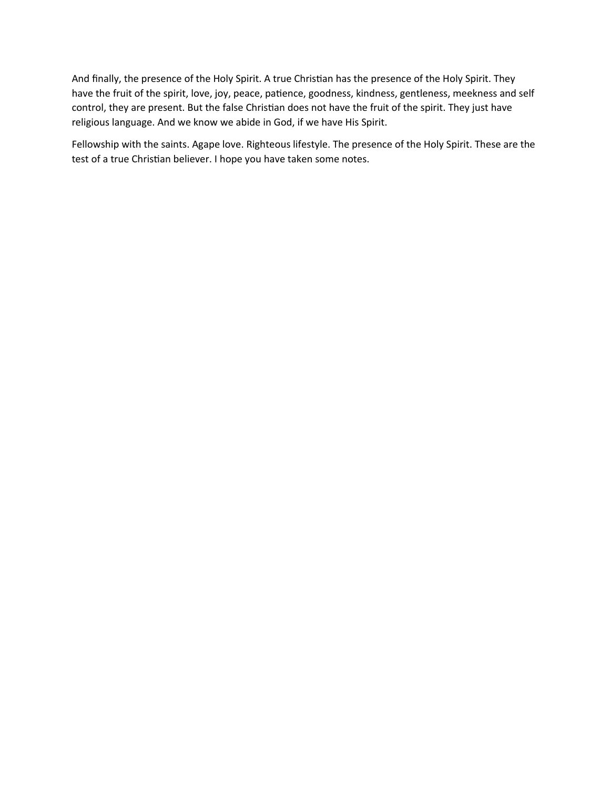And finally, the presence of the Holy Spirit. A true Christian has the presence of the Holy Spirit. They have the fruit of the spirit, love, joy, peace, patience, goodness, kindness, gentleness, meekness and self control, they are present. But the false Christian does not have the fruit of the spirit. They just have religious language. And we know we abide in God, if we have His Spirit.

Fellowship with the saints. Agape love. Righteous lifestyle. The presence of the Holy Spirit. These are the test of a true Christian believer. I hope you have taken some notes.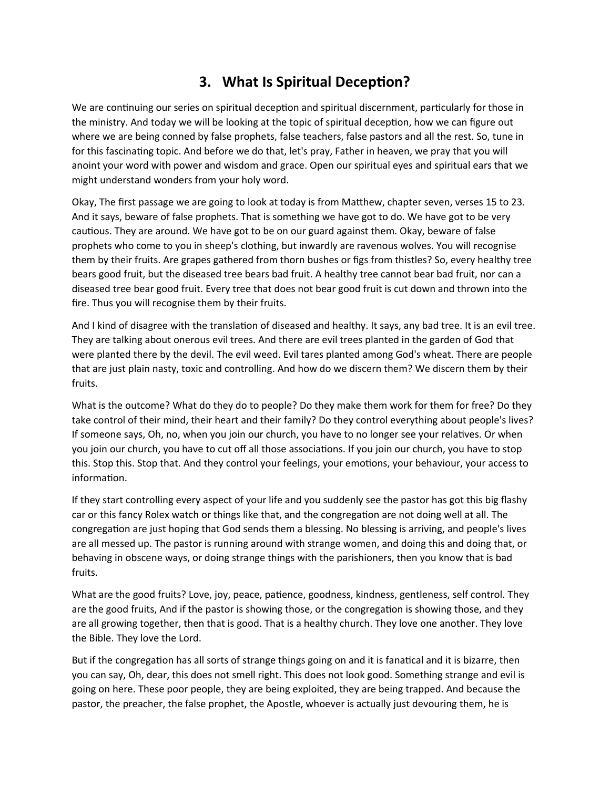## **3. What Is Spiritual Deception?**

We are continuing our series on spiritual deception and spiritual discernment, particularly for those in the ministry. And today we will be looking at the topic of spiritual deception, how we can figure out where we are being conned by false prophets, false teachers, false pastors and all the rest. So, tune in for this fascinating topic. And before we do that, let's pray, Father in heaven, we pray that you will anoint your word with power and wisdom and grace. Open our spiritual eyes and spiritual ears that we might understand wonders from your holy word.

Okay, The first passage we are going to look at today is from Matthew, chapter seven, verses 15 to 23. And it says, beware of false prophets. That is something we have got to do. We have got to be very cautious. They are around. We have got to be on our guard against them. Okay, beware of false prophets who come to you in sheep's clothing, but inwardly are ravenous wolves. You will recognise them by their fruits. Are grapes gathered from thorn bushes or figs from thistles? So, every healthy tree bears good fruit, but the diseased tree bears bad fruit. A healthy tree cannot bear bad fruit, nor can a diseased tree bear good fruit. Every tree that does not bear good fruit is cut down and thrown into the fire. Thus you will recognise them by their fruits.

And I kind of disagree with the translation of diseased and healthy. It says, any bad tree. It is an evil tree. They are talking about onerous evil trees. And there are evil trees planted in the garden of God that were planted there by the devil. The evil weed. Evil tares planted among God's wheat. There are people that are just plain nasty, toxic and controlling. And how do we discern them? We discern them by their fruits.

What is the outcome? What do they do to people? Do they make them work for them for free? Do they take control of their mind, their heart and their family? Do they control everything about people's lives? If someone says, Oh, no, when you join our church, you have to no longer see your relatives. Or when you join our church, you have to cut off all those associations. If you join our church, you have to stop this. Stop this. Stop that. And they control your feelings, your emotions, your behaviour, your access to information.

If they start controlling every aspect of your life and you suddenly see the pastor has got this big flashy car or this fancy Rolex watch or things like that, and the congregation are not doing well at all. The congregation are just hoping that God sends them a blessing. No blessing is arriving, and people's lives are all messed up. The pastor is running around with strange women, and doing this and doing that, or behaving in obscene ways, or doing strange things with the parishioners, then you know that is bad fruits.

What are the good fruits? Love, joy, peace, patience, goodness, kindness, gentleness, self control. They are the good fruits, And if the pastor is showing those, or the congregation is showing those, and they are all growing together, then that is good. That is a healthy church. They love one another. They love the Bible. They love the Lord.

But if the congregation has all sorts of strange things going on and it is fanatical and it is bizarre, then you can say, Oh, dear, this does not smell right. This does not look good. Something strange and evil is going on here. These poor people, they are being exploited, they are being trapped. And because the pastor, the preacher, the false prophet, the Apostle, whoever is actually just devouring them, he is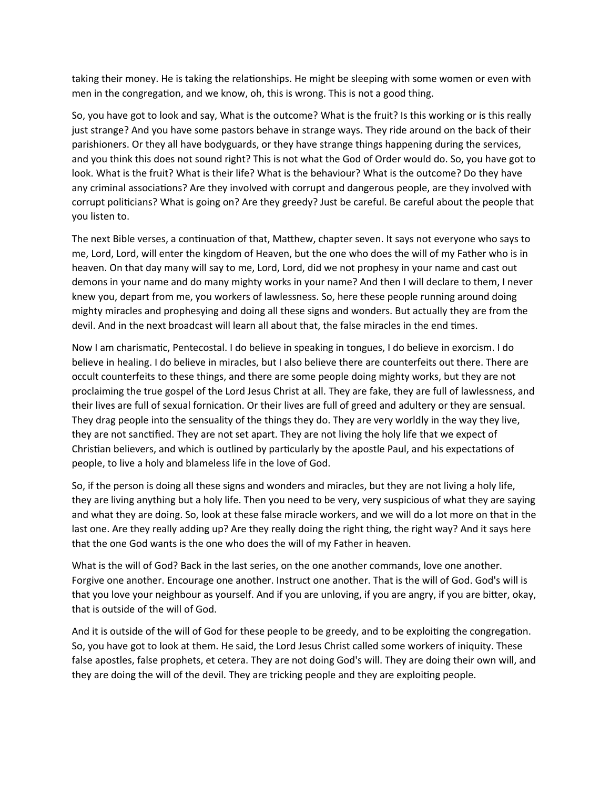taking their money. He is taking the relationships. He might be sleeping with some women or even with men in the congregation, and we know, oh, this is wrong. This is not a good thing.

So, you have got to look and say, What is the outcome? What is the fruit? Is this working or is this really just strange? And you have some pastors behave in strange ways. They ride around on the back of their parishioners. Or they all have bodyguards, or they have strange things happening during the services, and you think this does not sound right? This is not what the God of Order would do. So, you have got to look. What is the fruit? What is their life? What is the behaviour? What is the outcome? Do they have any criminal associations? Are they involved with corrupt and dangerous people, are they involved with corrupt politicians? What is going on? Are they greedy? Just be careful. Be careful about the people that you listen to.

The next Bible verses, a continuation of that, Matthew, chapter seven. It says not everyone who says to me, Lord, Lord, will enter the kingdom of Heaven, but the one who does the will of my Father who is in heaven. On that day many will say to me, Lord, Lord, did we not prophesy in your name and cast out demons in your name and do many mighty works in your name? And then I will declare to them, I never knew you, depart from me, you workers of lawlessness. So, here these people running around doing mighty miracles and prophesying and doing all these signs and wonders. But actually they are from the devil. And in the next broadcast will learn all about that, the false miracles in the end times.

Now I am charismatic, Pentecostal. I do believe in speaking in tongues, I do believe in exorcism. I do believe in healing. I do believe in miracles, but I also believe there are counterfeits out there. There are occult counterfeits to these things, and there are some people doing mighty works, but they are not proclaiming the true gospel of the Lord Jesus Christ at all. They are fake, they are full of lawlessness, and their lives are full of sexual fornication. Or their lives are full of greed and adultery or they are sensual. They drag people into the sensuality of the things they do. They are very worldly in the way they live, they are not sanctified. They are not set apart. They are not living the holy life that we expect of Christian believers, and which is outlined by particularly by the apostle Paul, and his expectations of people, to live a holy and blameless life in the love of God.

So, if the person is doing all these signs and wonders and miracles, but they are not living a holy life, they are living anything but a holy life. Then you need to be very, very suspicious of what they are saying and what they are doing. So, look at these false miracle workers, and we will do a lot more on that in the last one. Are they really adding up? Are they really doing the right thing, the right way? And it says here that the one God wants is the one who does the will of my Father in heaven.

What is the will of God? Back in the last series, on the one another commands, love one another. Forgive one another. Encourage one another. Instruct one another. That is the will of God. God's will is that you love your neighbour as yourself. And if you are unloving, if you are angry, if you are bitter, okay, that is outside of the will of God.

And it is outside of the will of God for these people to be greedy, and to be exploiting the congregation. So, you have got to look at them. He said, the Lord Jesus Christ called some workers of iniquity. These false apostles, false prophets, et cetera. They are not doing God's will. They are doing their own will, and they are doing the will of the devil. They are tricking people and they are exploiting people.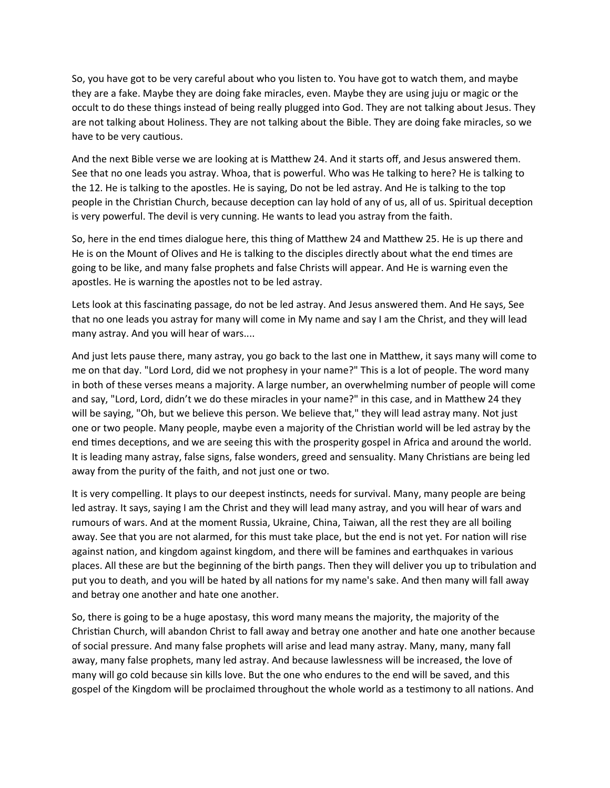So, you have got to be very careful about who you listen to. You have got to watch them, and maybe they are a fake. Maybe they are doing fake miracles, even. Maybe they are using juju or magic or the occult to do these things instead of being really plugged into God. They are not talking about Jesus. They are not talking about Holiness. They are not talking about the Bible. They are doing fake miracles, so we have to be very cautious.

And the next Bible verse we are looking at is Matthew 24. And it starts off, and Jesus answered them. See that no one leads you astray. Whoa, that is powerful. Who was He talking to here? He is talking to the 12. He is talking to the apostles. He is saying, Do not be led astray. And He is talking to the top people in the Christian Church, because deception can lay hold of any of us, all of us. Spiritual deception is very powerful. The devil is very cunning. He wants to lead you astray from the faith.

So, here in the end times dialogue here, this thing of Matthew 24 and Matthew 25. He is up there and He is on the Mount of Olives and He is talking to the disciples directly about what the end times are going to be like, and many false prophets and false Christs will appear. And He is warning even the apostles. He is warning the apostles not to be led astray.

Lets look at this fascinating passage, do not be led astray. And Jesus answered them. And He says, See that no one leads you astray for many will come in My name and say I am the Christ, and they will lead many astray. And you will hear of wars....

And just lets pause there, many astray, you go back to the last one in Matthew, it says many will come to me on that day. "Lord Lord, did we not prophesy in your name?" This is a lot of people. The word many in both of these verses means a majority. A large number, an overwhelming number of people will come and say, "Lord, Lord, didn't we do these miracles in your name?" in this case, and in Matthew 24 they will be saying, "Oh, but we believe this person. We believe that," they will lead astray many. Not just one or two people. Many people, maybe even a majority of the Christian world will be led astray by the end times deceptions, and we are seeing this with the prosperity gospel in Africa and around the world. It is leading many astray, false signs, false wonders, greed and sensuality. Many Christians are being led away from the purity of the faith, and not just one or two.

It is very compelling. It plays to our deepest instincts, needs for survival. Many, many people are being led astray. It says, saying I am the Christ and they will lead many astray, and you will hear of wars and rumours of wars. And at the moment Russia, Ukraine, China, Taiwan, all the rest they are all boiling away. See that you are not alarmed, for this must take place, but the end is not yet. For nation will rise against nation, and kingdom against kingdom, and there will be famines and earthquakes in various places. All these are but the beginning of the birth pangs. Then they will deliver you up to tribulation and put you to death, and you will be hated by all nations for my name's sake. And then many will fall away and betray one another and hate one another.

So, there is going to be a huge apostasy, this word many means the majority, the majority of the Christian Church, will abandon Christ to fall away and betray one another and hate one another because of social pressure. And many false prophets will arise and lead many astray. Many, many, many fall away, many false prophets, many led astray. And because lawlessness will be increased, the love of many will go cold because sin kills love. But the one who endures to the end will be saved, and this gospel of the Kingdom will be proclaimed throughout the whole world as a testimony to all nations. And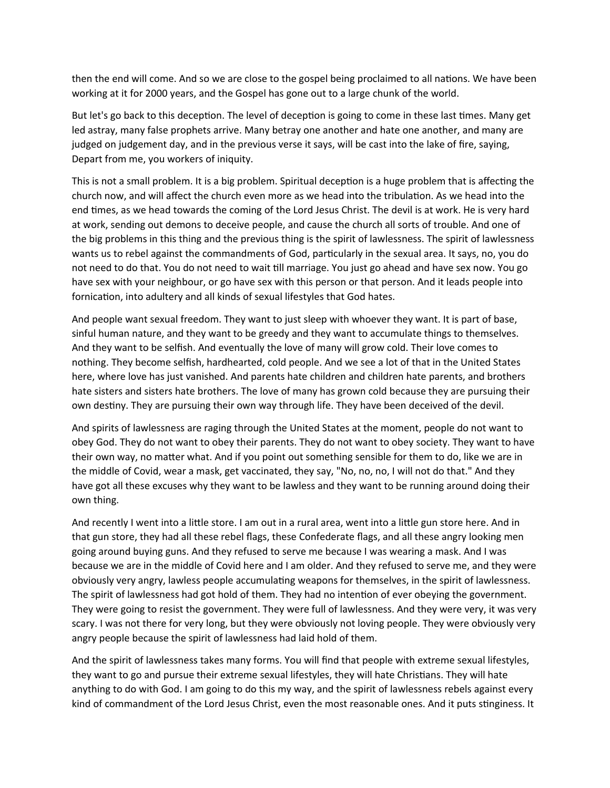then the end will come. And so we are close to the gospel being proclaimed to all nations. We have been working at it for 2000 years, and the Gospel has gone out to a large chunk of the world.

But let's go back to this deception. The level of deception is going to come in these last times. Many get led astray, many false prophets arrive. Many betray one another and hate one another, and many are judged on judgement day, and in the previous verse it says, will be cast into the lake of fire, saying, Depart from me, you workers of iniquity.

This is not a small problem. It is a big problem. Spiritual deception is a huge problem that is affecting the church now, and will affect the church even more as we head into the tribulation. As we head into the end times, as we head towards the coming of the Lord Jesus Christ. The devil is at work. He is very hard at work, sending out demons to deceive people, and cause the church all sorts of trouble. And one of the big problems in this thing and the previous thing is the spirit of lawlessness. The spirit of lawlessness wants us to rebel against the commandments of God, particularly in the sexual area. It says, no, you do not need to do that. You do not need to wait till marriage. You just go ahead and have sex now. You go have sex with your neighbour, or go have sex with this person or that person. And it leads people into fornication, into adultery and all kinds of sexual lifestyles that God hates.

And people want sexual freedom. They want to just sleep with whoever they want. It is part of base, sinful human nature, and they want to be greedy and they want to accumulate things to themselves. And they want to be selfish. And eventually the love of many will grow cold. Their love comes to nothing. They become selfish, hardhearted, cold people. And we see a lot of that in the United States here, where love has just vanished. And parents hate children and children hate parents, and brothers hate sisters and sisters hate brothers. The love of many has grown cold because they are pursuing their own destiny. They are pursuing their own way through life. They have been deceived of the devil.

And spirits of lawlessness are raging through the United States at the moment, people do not want to obey God. They do not want to obey their parents. They do not want to obey society. They want to have their own way, no matter what. And if you point out something sensible for them to do, like we are in the middle of Covid, wear a mask, get vaccinated, they say, "No, no, no, I will not do that." And they have got all these excuses why they want to be lawless and they want to be running around doing their own thing.

And recently I went into a little store. I am out in a rural area, went into a little gun store here. And in that gun store, they had all these rebel flags, these Confederate flags, and all these angry looking men going around buying guns. And they refused to serve me because I was wearing a mask. And I was because we are in the middle of Covid here and I am older. And they refused to serve me, and they were obviously very angry, lawless people accumulating weapons for themselves, in the spirit of lawlessness. The spirit of lawlessness had got hold of them. They had no intention of ever obeying the government. They were going to resist the government. They were full of lawlessness. And they were very, it was very scary. I was not there for very long, but they were obviously not loving people. They were obviously very angry people because the spirit of lawlessness had laid hold of them.

And the spirit of lawlessness takes many forms. You will find that people with extreme sexual lifestyles, they want to go and pursue their extreme sexual lifestyles, they will hate Christians. They will hate anything to do with God. I am going to do this my way, and the spirit of lawlessness rebels against every kind of commandment of the Lord Jesus Christ, even the most reasonable ones. And it puts stinginess. It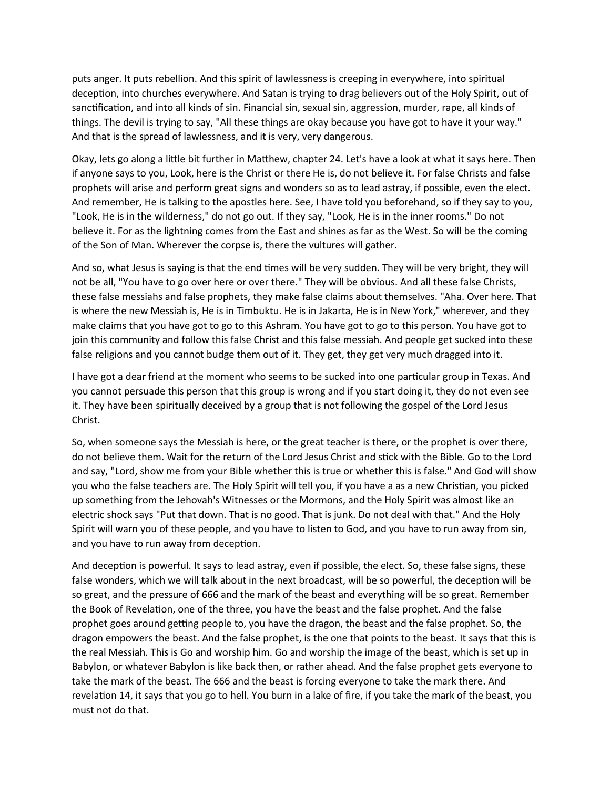puts anger. It puts rebellion. And this spirit of lawlessness is creeping in everywhere, into spiritual deception, into churches everywhere. And Satan is trying to drag believers out of the Holy Spirit, out of sanctification, and into all kinds of sin. Financial sin, sexual sin, aggression, murder, rape, all kinds of things. The devil is trying to say, "All these things are okay because you have got to have it your way." And that is the spread of lawlessness, and it is very, very dangerous.

Okay, lets go along a little bit further in Matthew, chapter 24. Let's have a look at what it says here. Then if anyone says to you, Look, here is the Christ or there He is, do not believe it. For false Christs and false prophets will arise and perform great signs and wonders so as to lead astray, if possible, even the elect. And remember, He is talking to the apostles here. See, I have told you beforehand, so if they say to you, "Look, He is in the wilderness," do not go out. If they say, "Look, He is in the inner rooms." Do not believe it. For as the lightning comes from the East and shines as far as the West. So will be the coming of the Son of Man. Wherever the corpse is, there the vultures will gather.

And so, what Jesus is saying is that the end times will be very sudden. They will be very bright, they will not be all, "You have to go over here or over there." They will be obvious. And all these false Christs, these false messiahs and false prophets, they make false claims about themselves. "Aha. Over here. That is where the new Messiah is, He is in Timbuktu. He is in Jakarta, He is in New York," wherever, and they make claims that you have got to go to this Ashram. You have got to go to this person. You have got to join this community and follow this false Christ and this false messiah. And people get sucked into these false religions and you cannot budge them out of it. They get, they get very much dragged into it.

I have got a dear friend at the moment who seems to be sucked into one particular group in Texas. And you cannot persuade this person that this group is wrong and if you start doing it, they do not even see it. They have been spiritually deceived by a group that is not following the gospel of the Lord Jesus Christ.

So, when someone says the Messiah is here, or the great teacher is there, or the prophet is over there, do not believe them. Wait for the return of the Lord Jesus Christ and stick with the Bible. Go to the Lord and say, "Lord, show me from your Bible whether this is true or whether this is false." And God will show you who the false teachers are. The Holy Spirit will tell you, if you have a as a new Christian, you picked up something from the Jehovah's Witnesses or the Mormons, and the Holy Spirit was almost like an electric shock says "Put that down. That is no good. That is junk. Do not deal with that." And the Holy Spirit will warn you of these people, and you have to listen to God, and you have to run away from sin, and you have to run away from deception.

And deception is powerful. It says to lead astray, even if possible, the elect. So, these false signs, these false wonders, which we will talk about in the next broadcast, will be so powerful, the deception will be so great, and the pressure of 666 and the mark of the beast and everything will be so great. Remember the Book of Revelation, one of the three, you have the beast and the false prophet. And the false prophet goes around getting people to, you have the dragon, the beast and the false prophet. So, the dragon empowers the beast. And the false prophet, is the one that points to the beast. It says that this is the real Messiah. This is Go and worship him. Go and worship the image of the beast, which is set up in Babylon, or whatever Babylon is like back then, or rather ahead. And the false prophet gets everyone to take the mark of the beast. The 666 and the beast is forcing everyone to take the mark there. And revelation 14, it says that you go to hell. You burn in a lake of fire, if you take the mark of the beast, you must not do that.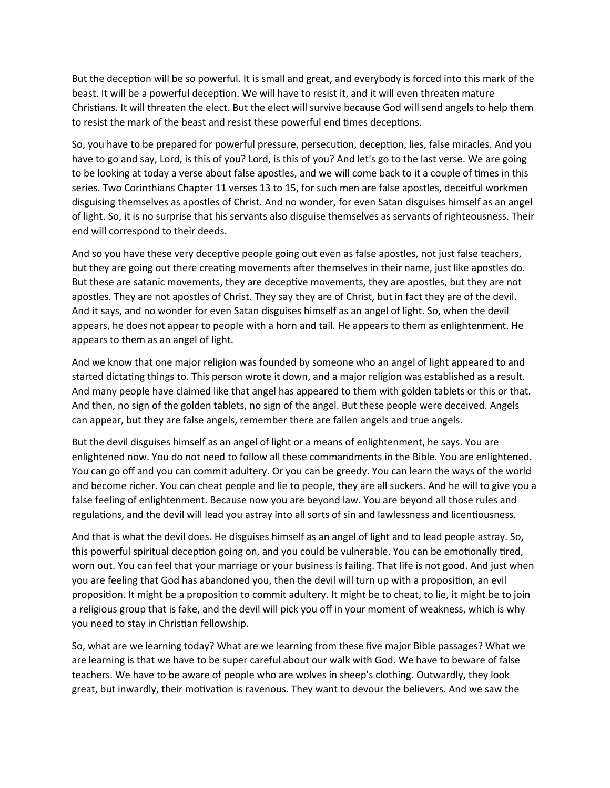But the deception will be so powerful. It is small and great, and everybody is forced into this mark of the beast. It will be a powerful deception. We will have to resist it, and it will even threaten mature Christians. It will threaten the elect. But the elect will survive because God will send angels to help them to resist the mark of the beast and resist these powerful end times deceptions.

So, you have to be prepared for powerful pressure, persecution, deception, lies, false miracles. And you have to go and say, Lord, is this of you? Lord, is this of you? And let's go to the last verse. We are going to be looking at today a verse about false apostles, and we will come back to it a couple of times in this series. Two Corinthians Chapter 11 verses 13 to 15, for such men are false apostles, deceitful workmen disguising themselves as apostles of Christ. And no wonder, for even Satan disguises himself as an angel of light. So, it is no surprise that his servants also disguise themselves as servants of righteousness. Their end will correspond to their deeds.

And so you have these very deceptive people going out even as false apostles, not just false teachers, but they are going out there creating movements after themselves in their name, just like apostles do. But these are satanic movements, they are deceptive movements, they are apostles, but they are not apostles. They are not apostles of Christ. They say they are of Christ, but in fact they are of the devil. And it says, and no wonder for even Satan disguises himself as an angel of light. So, when the devil appears, he does not appear to people with a horn and tail. He appears to them as enlightenment. He appears to them as an angel of light.

And we know that one major religion was founded by someone who an angel of light appeared to and started dictating things to. This person wrote it down, and a major religion was established as a result. And many people have claimed like that angel has appeared to them with golden tablets or this or that. And then, no sign of the golden tablets, no sign of the angel. But these people were deceived. Angels can appear, but they are false angels, remember there are fallen angels and true angels.

But the devil disguises himself as an angel of light or a means of enlightenment, he says. You are enlightened now. You do not need to follow all these commandments in the Bible. You are enlightened. You can go off and you can commit adultery. Or you can be greedy. You can learn the ways of the world and become richer. You can cheat people and lie to people, they are all suckers. And he will to give you a false feeling of enlightenment. Because now you are beyond law. You are beyond all those rules and regulations, and the devil will lead you astray into all sorts of sin and lawlessness and licentiousness.

And that is what the devil does. He disguises himself as an angel of light and to lead people astray. So, this powerful spiritual deception going on, and you could be vulnerable. You can be emotionally tired, worn out. You can feel that your marriage or your business is failing. That life is not good. And just when you are feeling that God has abandoned you, then the devil will turn up with a proposition, an evil proposition. It might be a proposition to commit adultery. It might be to cheat, to lie, it might be to join a religious group that is fake, and the devil will pick you off in your moment of weakness, which is why you need to stay in Christian fellowship.

So, what are we learning today? What are we learning from these five major Bible passages? What we are learning is that we have to be super careful about our walk with God. We have to beware of false teachers. We have to be aware of people who are wolves in sheep's clothing. Outwardly, they look great, but inwardly, their motivation is ravenous. They want to devour the believers. And we saw the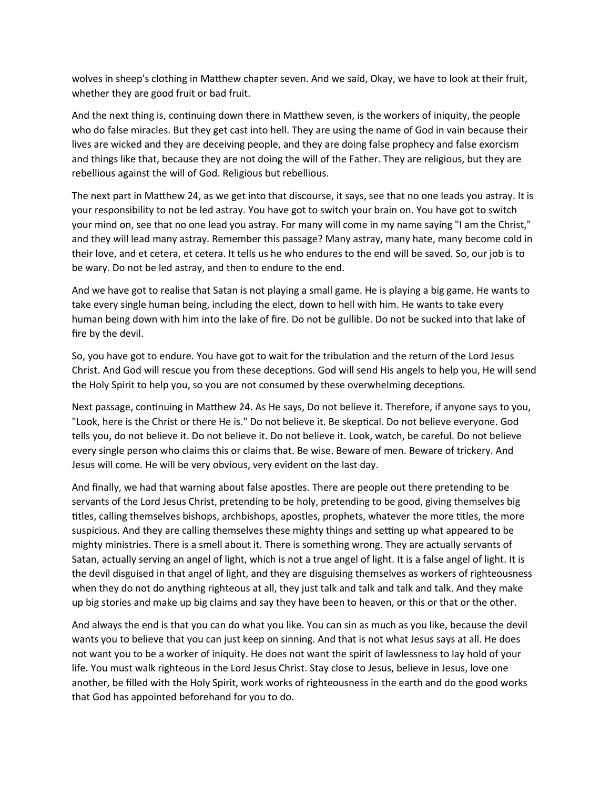wolves in sheep's clothing in Matthew chapter seven. And we said, Okay, we have to look at their fruit, whether they are good fruit or bad fruit.

And the next thing is, continuing down there in Matthew seven, is the workers of iniquity, the people who do false miracles. But they get cast into hell. They are using the name of God in vain because their lives are wicked and they are deceiving people, and they are doing false prophecy and false exorcism and things like that, because they are not doing the will of the Father. They are religious, but they are rebellious against the will of God. Religious but rebellious.

The next part in Matthew 24, as we get into that discourse, it says, see that no one leads you astray. It is your responsibility to not be led astray. You have got to switch your brain on. You have got to switch your mind on, see that no one lead you astray. For many will come in my name saying "I am the Christ," and they will lead many astray. Remember this passage? Many astray, many hate, many become cold in their love, and et cetera, et cetera. It tells us he who endures to the end will be saved. So, our job is to be wary. Do not be led astray, and then to endure to the end.

And we have got to realise that Satan is not playing a small game. He is playing a big game. He wants to take every single human being, including the elect, down to hell with him. He wants to take every human being down with him into the lake of fire. Do not be gullible. Do not be sucked into that lake of fire by the devil.

So, you have got to endure. You have got to wait for the tribulation and the return of the Lord Jesus Christ. And God will rescue you from these deceptions. God will send His angels to help you, He will send the Holy Spirit to help you, so you are not consumed by these overwhelming deceptions.

Next passage, continuing in Matthew 24. As He says, Do not believe it. Therefore, if anyone says to you, "Look, here is the Christ or there He is." Do not believe it. Be skeptical. Do not believe everyone. God tells you, do not believe it. Do not believe it. Do not believe it. Look, watch, be careful. Do not believe every single person who claims this or claims that. Be wise. Beware of men. Beware of trickery. And Jesus will come. He will be very obvious, very evident on the last day.

And finally, we had that warning about false apostles. There are people out there pretending to be servants of the Lord Jesus Christ, pretending to be holy, pretending to be good, giving themselves big titles, calling themselves bishops, archbishops, apostles, prophets, whatever the more titles, the more suspicious. And they are calling themselves these mighty things and setting up what appeared to be mighty ministries. There is a smell about it. There is something wrong. They are actually servants of Satan, actually serving an angel of light, which is not a true angel of light. It is a false angel of light. It is the devil disguised in that angel of light, and they are disguising themselves as workers of righteousness when they do not do anything righteous at all, they just talk and talk and talk and talk. And they make up big stories and make up big claims and say they have been to heaven, or this or that or the other.

And always the end is that you can do what you like. You can sin as much as you like, because the devil wants you to believe that you can just keep on sinning. And that is not what Jesus says at all. He does not want you to be a worker of iniquity. He does not want the spirit of lawlessness to lay hold of your life. You must walk righteous in the Lord Jesus Christ. Stay close to Jesus, believe in Jesus, love one another, be filled with the Holy Spirit, work works of righteousness in the earth and do the good works that God has appointed beforehand for you to do.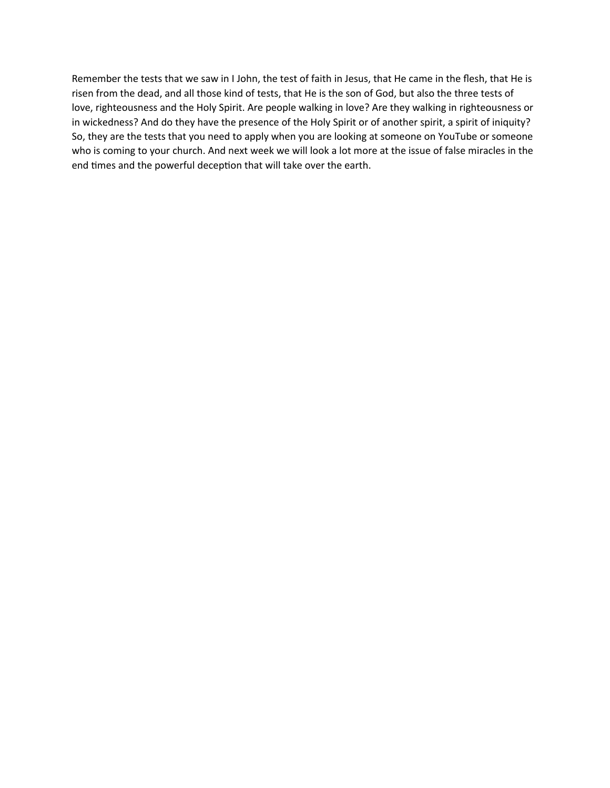Remember the tests that we saw in I John, the test of faith in Jesus, that He came in the flesh, that He is risen from the dead, and all those kind of tests, that He is the son of God, but also the three tests of love, righteousness and the Holy Spirit. Are people walking in love? Are they walking in righteousness or in wickedness? And do they have the presence of the Holy Spirit or of another spirit, a spirit of iniquity? So, they are the tests that you need to apply when you are looking at someone on YouTube or someone who is coming to your church. And next week we will look a lot more at the issue of false miracles in the end times and the powerful deception that will take over the earth.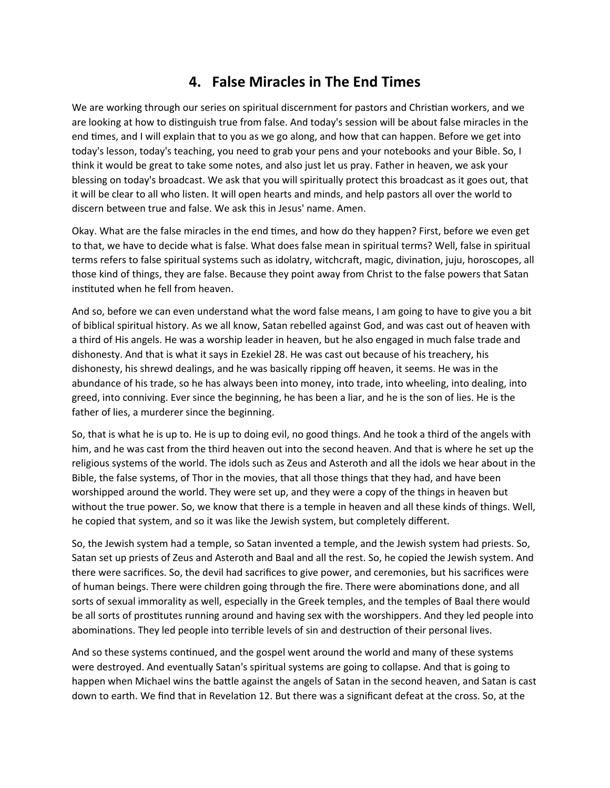## **4. False Miracles in The End Times**

We are working through our series on spiritual discernment for pastors and Christian workers, and we are looking at how to distinguish true from false. And today's session will be about false miracles in the end times, and I will explain that to you as we go along, and how that can happen. Before we get into today's lesson, today's teaching, you need to grab your pens and your notebooks and your Bible. So, I think it would be great to take some notes, and also just let us pray. Father in heaven, we ask your blessing on today's broadcast. We ask that you will spiritually protect this broadcast as it goes out, that it will be clear to all who listen. It will open hearts and minds, and help pastors all over the world to discern between true and false. We ask this in Jesus' name. Amen.

Okay. What are the false miracles in the end times, and how do they happen? First, before we even get to that, we have to decide what is false. What does false mean in spiritual terms? Well, false in spiritual terms refers to false spiritual systems such as idolatry, witchcraft, magic, divination, juju, horoscopes, all those kind of things, they are false. Because they point away from Christ to the false powers that Satan instituted when he fell from heaven.

And so, before we can even understand what the word false means, I am going to have to give you a bit of biblical spiritual history. As we all know, Satan rebelled against God, and was cast out of heaven with a third of His angels. He was a worship leader in heaven, but he also engaged in much false trade and dishonesty. And that is what it says in Ezekiel 28. He was cast out because of his treachery, his dishonesty, his shrewd dealings, and he was basically ripping off heaven, it seems. He was in the abundance of his trade, so he has always been into money, into trade, into wheeling, into dealing, into greed, into conniving. Ever since the beginning, he has been a liar, and he is the son of lies. He is the father of lies, a murderer since the beginning.

So, that is what he is up to. He is up to doing evil, no good things. And he took a third of the angels with him, and he was cast from the third heaven out into the second heaven. And that is where he set up the religious systems of the world. The idols such as Zeus and Asteroth and all the idols we hear about in the Bible, the false systems, of Thor in the movies, that all those things that they had, and have been worshipped around the world. They were set up, and they were a copy of the things in heaven but without the true power. So, we know that there is a temple in heaven and all these kinds of things. Well, he copied that system, and so it was like the Jewish system, but completely different.

So, the Jewish system had a temple, so Satan invented a temple, and the Jewish system had priests. So, Satan set up priests of Zeus and Asteroth and Baal and all the rest. So, he copied the Jewish system. And there were sacrifices. So, the devil had sacrifices to give power, and ceremonies, but his sacrifices were of human beings. There were children going through the fire. There were abominations done, and all sorts of sexual immorality as well, especially in the Greek temples, and the temples of Baal there would be all sorts of prostitutes running around and having sex with the worshippers. And they led people into abominations. They led people into terrible levels of sin and destruction of their personal lives.

And so these systems continued, and the gospel went around the world and many of these systems were destroyed. And eventually Satan's spiritual systems are going to collapse. And that is going to happen when Michael wins the battle against the angels of Satan in the second heaven, and Satan is cast down to earth. We find that in Revelation 12. But there was a significant defeat at the cross. So, at the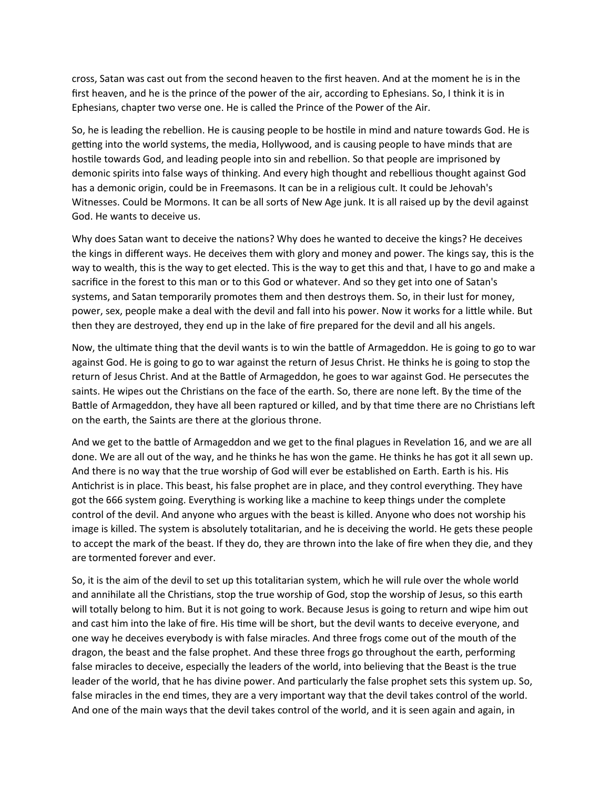cross, Satan was cast out from the second heaven to the first heaven. And at the moment he is in the first heaven, and he is the prince of the power of the air, according to Ephesians. So, I think it is in Ephesians, chapter two verse one. He is called the Prince of the Power of the Air.

So, he is leading the rebellion. He is causing people to be hostile in mind and nature towards God. He is getting into the world systems, the media, Hollywood, and is causing people to have minds that are hostile towards God, and leading people into sin and rebellion. So that people are imprisoned by demonic spirits into false ways of thinking. And every high thought and rebellious thought against God has a demonic origin, could be in Freemasons. It can be in a religious cult. It could be Jehovah's Witnesses. Could be Mormons. It can be all sorts of New Age junk. It is all raised up by the devil against God. He wants to deceive us.

Why does Satan want to deceive the nations? Why does he wanted to deceive the kings? He deceives the kings in different ways. He deceives them with glory and money and power. The kings say, this is the way to wealth, this is the way to get elected. This is the way to get this and that, I have to go and make a sacrifice in the forest to this man or to this God or whatever. And so they get into one of Satan's systems, and Satan temporarily promotes them and then destroys them. So, in their lust for money, power, sex, people make a deal with the devil and fall into his power. Now it works for a little while. But then they are destroyed, they end up in the lake of fire prepared for the devil and all his angels.

Now, the ultimate thing that the devil wants is to win the battle of Armageddon. He is going to go to war against God. He is going to go to war against the return of Jesus Christ. He thinks he is going to stop the return of Jesus Christ. And at the Battle of Armageddon, he goes to war against God. He persecutes the saints. He wipes out the Christians on the face of the earth. So, there are none left. By the time of the Battle of Armageddon, they have all been raptured or killed, and by that time there are no Christians left on the earth, the Saints are there at the glorious throne.

And we get to the battle of Armageddon and we get to the final plagues in Revelation 16, and we are all done. We are all out of the way, and he thinks he has won the game. He thinks he has got it all sewn up. And there is no way that the true worship of God will ever be established on Earth. Earth is his. His Antichrist is in place. This beast, his false prophet are in place, and they control everything. They have got the 666 system going. Everything is working like a machine to keep things under the complete control of the devil. And anyone who argues with the beast is killed. Anyone who does not worship his image is killed. The system is absolutely totalitarian, and he is deceiving the world. He gets these people to accept the mark of the beast. If they do, they are thrown into the lake of fire when they die, and they are tormented forever and ever.

So, it is the aim of the devil to set up this totalitarian system, which he will rule over the whole world and annihilate all the Christians, stop the true worship of God, stop the worship of Jesus, so this earth will totally belong to him. But it is not going to work. Because Jesus is going to return and wipe him out and cast him into the lake of fire. His time will be short, but the devil wants to deceive everyone, and one way he deceives everybody is with false miracles. And three frogs come out of the mouth of the dragon, the beast and the false prophet. And these three frogs go throughout the earth, performing false miracles to deceive, especially the leaders of the world, into believing that the Beast is the true leader of the world, that he has divine power. And particularly the false prophet sets this system up. So, false miracles in the end times, they are a very important way that the devil takes control of the world. And one of the main ways that the devil takes control of the world, and it is seen again and again, in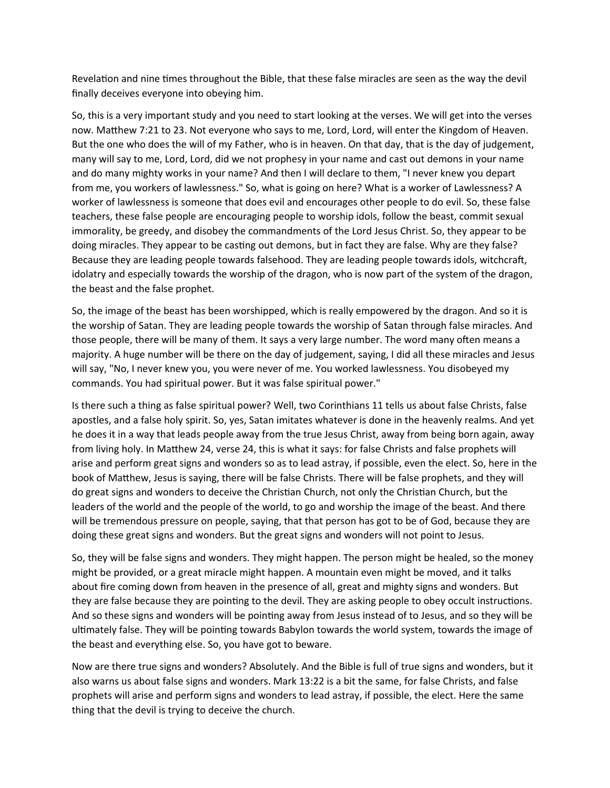Revelation and nine times throughout the Bible, that these false miracles are seen as the way the devil finally deceives everyone into obeying him.

So, this is a very important study and you need to start looking at the verses. We will get into the verses now. Matthew 7:21 to 23. Not everyone who says to me, Lord, Lord, will enter the Kingdom of Heaven. But the one who does the will of my Father, who is in heaven. On that day, that is the day of judgement, many will say to me, Lord, Lord, did we not prophesy in your name and cast out demons in your name and do many mighty works in your name? And then I will declare to them, "I never knew you depart from me, you workers of lawlessness." So, what is going on here? What is a worker of Lawlessness? A worker of lawlessness is someone that does evil and encourages other people to do evil. So, these false teachers, these false people are encouraging people to worship idols, follow the beast, commit sexual immorality, be greedy, and disobey the commandments of the Lord Jesus Christ. So, they appear to be doing miracles. They appear to be casting out demons, but in fact they are false. Why are they false? Because they are leading people towards falsehood. They are leading people towards idols, witchcraft, idolatry and especially towards the worship of the dragon, who is now part of the system of the dragon, the beast and the false prophet.

So, the image of the beast has been worshipped, which is really empowered by the dragon. And so it is the worship of Satan. They are leading people towards the worship of Satan through false miracles. And those people, there will be many of them. It says a very large number. The word many often means a majority. A huge number will be there on the day of judgement, saying, I did all these miracles and Jesus will say, "No, I never knew you, you were never of me. You worked lawlessness. You disobeyed my commands. You had spiritual power. But it was false spiritual power."

Is there such a thing as false spiritual power? Well, two Corinthians 11 tells us about false Christs, false apostles, and a false holy spirit. So, yes, Satan imitates whatever is done in the heavenly realms. And yet he does it in a way that leads people away from the true Jesus Christ, away from being born again, away from living holy. In Matthew 24, verse 24, this is what it says: for false Christs and false prophets will arise and perform great signs and wonders so as to lead astray, if possible, even the elect. So, here in the book of Matthew, Jesus is saying, there will be false Christs. There will be false prophets, and they will do great signs and wonders to deceive the Christian Church, not only the Christian Church, but the leaders of the world and the people of the world, to go and worship the image of the beast. And there will be tremendous pressure on people, saying, that that person has got to be of God, because they are doing these great signs and wonders. But the great signs and wonders will not point to Jesus.

So, they will be false signs and wonders. They might happen. The person might be healed, so the money might be provided, or a great miracle might happen. A mountain even might be moved, and it talks about fire coming down from heaven in the presence of all, great and mighty signs and wonders. But they are false because they are pointing to the devil. They are asking people to obey occult instructions. And so these signs and wonders will be pointing away from Jesus instead of to Jesus, and so they will be ultimately false. They will be pointing towards Babylon towards the world system, towards the image of the beast and everything else. So, you have got to beware.

Now are there true signs and wonders? Absolutely. And the Bible is full of true signs and wonders, but it also warns us about false signs and wonders. Mark 13:22 is a bit the same, for false Christs, and false prophets will arise and perform signs and wonders to lead astray, if possible, the elect. Here the same thing that the devil is trying to deceive the church.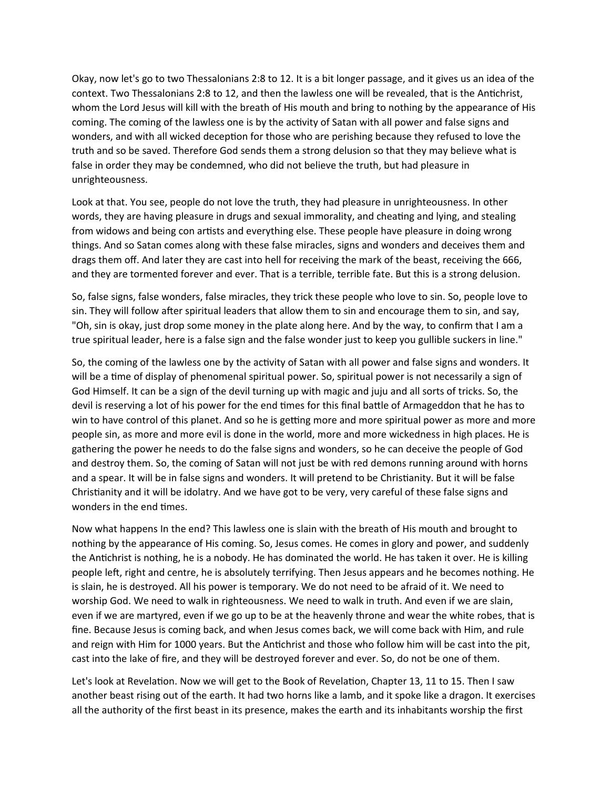Okay, now let's go to two Thessalonians 2:8 to 12. It is a bit longer passage, and it gives us an idea of the context. Two Thessalonians 2:8 to 12, and then the lawless one will be revealed, that is the Antichrist, whom the Lord Jesus will kill with the breath of His mouth and bring to nothing by the appearance of His coming. The coming of the lawless one is by the activity of Satan with all power and false signs and wonders, and with all wicked deception for those who are perishing because they refused to love the truth and so be saved. Therefore God sends them a strong delusion so that they may believe what is false in order they may be condemned, who did not believe the truth, but had pleasure in unrighteousness.

Look at that. You see, people do not love the truth, they had pleasure in unrighteousness. In other words, they are having pleasure in drugs and sexual immorality, and cheating and lying, and stealing from widows and being con artists and everything else. These people have pleasure in doing wrong things. And so Satan comes along with these false miracles, signs and wonders and deceives them and drags them off. And later they are cast into hell for receiving the mark of the beast, receiving the 666, and they are tormented forever and ever. That is a terrible, terrible fate. But this is a strong delusion.

So, false signs, false wonders, false miracles, they trick these people who love to sin. So, people love to sin. They will follow after spiritual leaders that allow them to sin and encourage them to sin, and say, "Oh, sin is okay, just drop some money in the plate along here. And by the way, to confirm that I am a true spiritual leader, here is a false sign and the false wonder just to keep you gullible suckers in line."

So, the coming of the lawless one by the activity of Satan with all power and false signs and wonders. It will be a time of display of phenomenal spiritual power. So, spiritual power is not necessarily a sign of God Himself. It can be a sign of the devil turning up with magic and juju and all sorts of tricks. So, the devil is reserving a lot of his power for the end times for this final battle of Armageddon that he has to win to have control of this planet. And so he is getting more and more spiritual power as more and more people sin, as more and more evil is done in the world, more and more wickedness in high places. He is gathering the power he needs to do the false signs and wonders, so he can deceive the people of God and destroy them. So, the coming of Satan will not just be with red demons running around with horns and a spear. It will be in false signs and wonders. It will pretend to be Christianity. But it will be false Christianity and it will be idolatry. And we have got to be very, very careful of these false signs and wonders in the end times.

Now what happens In the end? This lawless one is slain with the breath of His mouth and brought to nothing by the appearance of His coming. So, Jesus comes. He comes in glory and power, and suddenly the Antichrist is nothing, he is a nobody. He has dominated the world. He has taken it over. He is killing people left, right and centre, he is absolutely terrifying. Then Jesus appears and he becomes nothing. He is slain, he is destroyed. All his power is temporary. We do not need to be afraid of it. We need to worship God. We need to walk in righteousness. We need to walk in truth. And even if we are slain, even if we are martyred, even if we go up to be at the heavenly throne and wear the white robes, that is fine. Because Jesus is coming back, and when Jesus comes back, we will come back with Him, and rule and reign with Him for 1000 years. But the Antichrist and those who follow him will be cast into the pit, cast into the lake of fire, and they will be destroyed forever and ever. So, do not be one of them.

Let's look at Revelation. Now we will get to the Book of Revelation, Chapter 13, 11 to 15. Then I saw another beast rising out of the earth. It had two horns like a lamb, and it spoke like a dragon. It exercises all the authority of the first beast in its presence, makes the earth and its inhabitants worship the first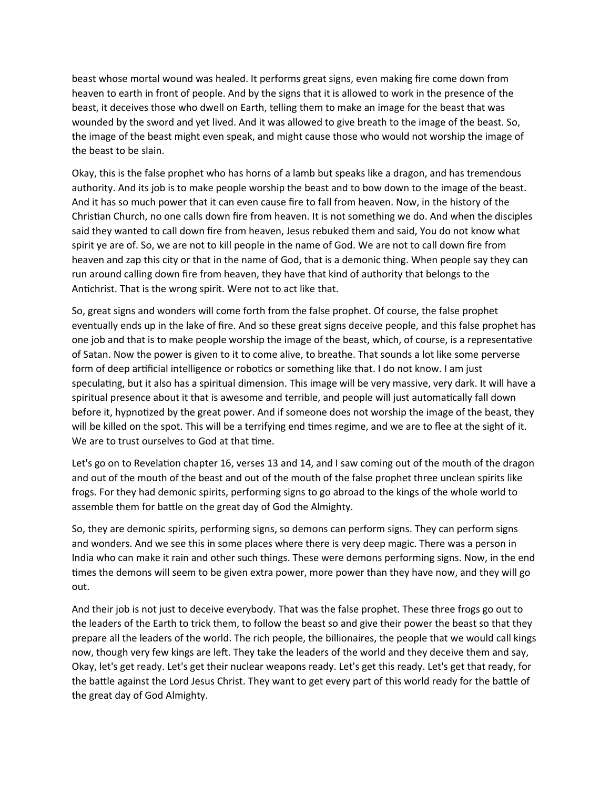beast whose mortal wound was healed. It performs great signs, even making fire come down from heaven to earth in front of people. And by the signs that it is allowed to work in the presence of the beast, it deceives those who dwell on Earth, telling them to make an image for the beast that was wounded by the sword and yet lived. And it was allowed to give breath to the image of the beast. So, the image of the beast might even speak, and might cause those who would not worship the image of the beast to be slain.

Okay, this is the false prophet who has horns of a lamb but speaks like a dragon, and has tremendous authority. And its job is to make people worship the beast and to bow down to the image of the beast. And it has so much power that it can even cause fire to fall from heaven. Now, in the history of the Christian Church, no one calls down fire from heaven. It is not something we do. And when the disciples said they wanted to call down fire from heaven, Jesus rebuked them and said, You do not know what spirit ye are of. So, we are not to kill people in the name of God. We are not to call down fire from heaven and zap this city or that in the name of God, that is a demonic thing. When people say they can run around calling down fire from heaven, they have that kind of authority that belongs to the Antichrist. That is the wrong spirit. Were not to act like that.

So, great signs and wonders will come forth from the false prophet. Of course, the false prophet eventually ends up in the lake of fire. And so these great signs deceive people, and this false prophet has one job and that is to make people worship the image of the beast, which, of course, is a representative of Satan. Now the power is given to it to come alive, to breathe. That sounds a lot like some perverse form of deep artificial intelligence or robotics or something like that. I do not know. I am just speculating, but it also has a spiritual dimension. This image will be very massive, very dark. It will have a spiritual presence about it that is awesome and terrible, and people will just automatically fall down before it, hypnotized by the great power. And if someone does not worship the image of the beast, they will be killed on the spot. This will be a terrifying end times regime, and we are to flee at the sight of it. We are to trust ourselves to God at that time.

Let's go on to Revelation chapter 16, verses 13 and 14, and I saw coming out of the mouth of the dragon and out of the mouth of the beast and out of the mouth of the false prophet three unclean spirits like frogs. For they had demonic spirits, performing signs to go abroad to the kings of the whole world to assemble them for battle on the great day of God the Almighty.

So, they are demonic spirits, performing signs, so demons can perform signs. They can perform signs and wonders. And we see this in some places where there is very deep magic. There was a person in India who can make it rain and other such things. These were demons performing signs. Now, in the end times the demons will seem to be given extra power, more power than they have now, and they will go out.

And their job is not just to deceive everybody. That was the false prophet. These three frogs go out to the leaders of the Earth to trick them, to follow the beast so and give their power the beast so that they prepare all the leaders of the world. The rich people, the billionaires, the people that we would call kings now, though very few kings are left. They take the leaders of the world and they deceive them and say, Okay, let's get ready. Let's get their nuclear weapons ready. Let's get this ready. Let's get that ready, for the battle against the Lord Jesus Christ. They want to get every part of this world ready for the battle of the great day of God Almighty.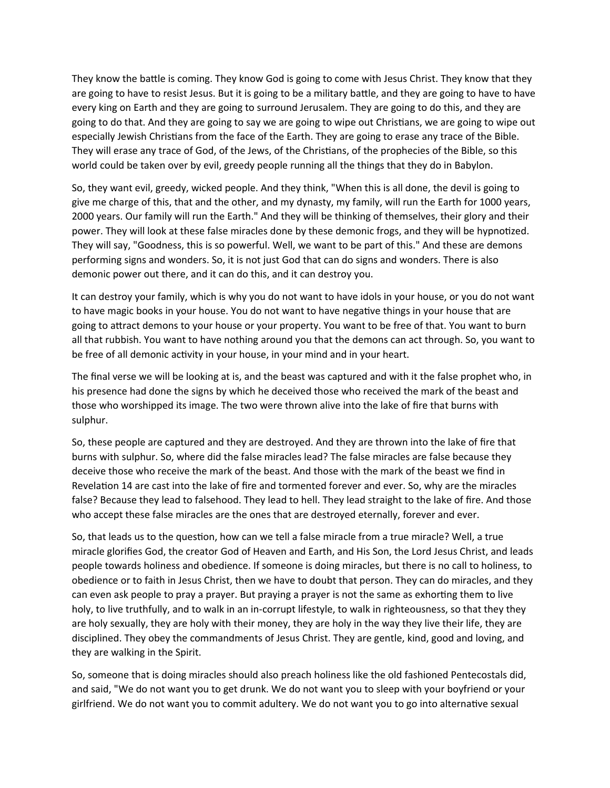They know the battle is coming. They know God is going to come with Jesus Christ. They know that they are going to have to resist Jesus. But it is going to be a military battle, and they are going to have to have every king on Earth and they are going to surround Jerusalem. They are going to do this, and they are going to do that. And they are going to say we are going to wipe out Christians, we are going to wipe out especially Jewish Christians from the face of the Earth. They are going to erase any trace of the Bible. They will erase any trace of God, of the Jews, of the Christians, of the prophecies of the Bible, so this world could be taken over by evil, greedy people running all the things that they do in Babylon.

So, they want evil, greedy, wicked people. And they think, "When this is all done, the devil is going to give me charge of this, that and the other, and my dynasty, my family, will run the Earth for 1000 years, 2000 years. Our family will run the Earth." And they will be thinking of themselves, their glory and their power. They will look at these false miracles done by these demonic frogs, and they will be hypnotized. They will say, "Goodness, this is so powerful. Well, we want to be part of this." And these are demons performing signs and wonders. So, it is not just God that can do signs and wonders. There is also demonic power out there, and it can do this, and it can destroy you.

It can destroy your family, which is why you do not want to have idols in your house, or you do not want to have magic books in your house. You do not want to have negative things in your house that are going to attract demons to your house or your property. You want to be free of that. You want to burn all that rubbish. You want to have nothing around you that the demons can act through. So, you want to be free of all demonic activity in your house, in your mind and in your heart.

The final verse we will be looking at is, and the beast was captured and with it the false prophet who, in his presence had done the signs by which he deceived those who received the mark of the beast and those who worshipped its image. The two were thrown alive into the lake of fire that burns with sulphur.

So, these people are captured and they are destroyed. And they are thrown into the lake of fire that burns with sulphur. So, where did the false miracles lead? The false miracles are false because they deceive those who receive the mark of the beast. And those with the mark of the beast we find in Revelation 14 are cast into the lake of fire and tormented forever and ever. So, why are the miracles false? Because they lead to falsehood. They lead to hell. They lead straight to the lake of fire. And those who accept these false miracles are the ones that are destroyed eternally, forever and ever.

So, that leads us to the question, how can we tell a false miracle from a true miracle? Well, a true miracle glorifies God, the creator God of Heaven and Earth, and His Son, the Lord Jesus Christ, and leads people towards holiness and obedience. If someone is doing miracles, but there is no call to holiness, to obedience or to faith in Jesus Christ, then we have to doubt that person. They can do miracles, and they can even ask people to pray a prayer. But praying a prayer is not the same as exhorting them to live holy, to live truthfully, and to walk in an in-corrupt lifestyle, to walk in righteousness, so that they they are holy sexually, they are holy with their money, they are holy in the way they live their life, they are disciplined. They obey the commandments of Jesus Christ. They are gentle, kind, good and loving, and they are walking in the Spirit.

So, someone that is doing miracles should also preach holiness like the old fashioned Pentecostals did, and said, "We do not want you to get drunk. We do not want you to sleep with your boyfriend or your girlfriend. We do not want you to commit adultery. We do not want you to go into alternative sexual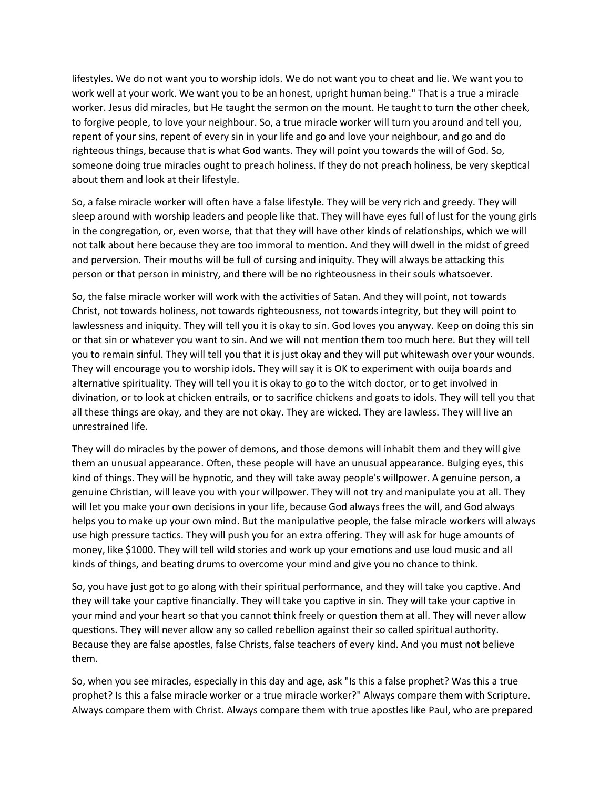lifestyles. We do not want you to worship idols. We do not want you to cheat and lie. We want you to work well at your work. We want you to be an honest, upright human being." That is a true a miracle worker. Jesus did miracles, but He taught the sermon on the mount. He taught to turn the other cheek, to forgive people, to love your neighbour. So, a true miracle worker will turn you around and tell you, repent of your sins, repent of every sin in your life and go and love your neighbour, and go and do righteous things, because that is what God wants. They will point you towards the will of God. So, someone doing true miracles ought to preach holiness. If they do not preach holiness, be very skeptical about them and look at their lifestyle.

So, a false miracle worker will often have a false lifestyle. They will be very rich and greedy. They will sleep around with worship leaders and people like that. They will have eyes full of lust for the young girls in the congregation, or, even worse, that that they will have other kinds of relationships, which we will not talk about here because they are too immoral to mention. And they will dwell in the midst of greed and perversion. Their mouths will be full of cursing and iniquity. They will always be attacking this person or that person in ministry, and there will be no righteousness in their souls whatsoever.

So, the false miracle worker will work with the activities of Satan. And they will point, not towards Christ, not towards holiness, not towards righteousness, not towards integrity, but they will point to lawlessness and iniquity. They will tell you it is okay to sin. God loves you anyway. Keep on doing this sin or that sin or whatever you want to sin. And we will not mention them too much here. But they will tell you to remain sinful. They will tell you that it is just okay and they will put whitewash over your wounds. They will encourage you to worship idols. They will say it is OK to experiment with ouija boards and alternative spirituality. They will tell you it is okay to go to the witch doctor, or to get involved in divination, or to look at chicken entrails, or to sacrifice chickens and goats to idols. They will tell you that all these things are okay, and they are not okay. They are wicked. They are lawless. They will live an unrestrained life.

They will do miracles by the power of demons, and those demons will inhabit them and they will give them an unusual appearance. Often, these people will have an unusual appearance. Bulging eyes, this kind of things. They will be hypnotic, and they will take away people's willpower. A genuine person, a genuine Christian, will leave you with your willpower. They will not try and manipulate you at all. They will let you make your own decisions in your life, because God always frees the will, and God always helps you to make up your own mind. But the manipulative people, the false miracle workers will always use high pressure tactics. They will push you for an extra offering. They will ask for huge amounts of money, like \$1000. They will tell wild stories and work up your emotions and use loud music and all kinds of things, and beating drums to overcome your mind and give you no chance to think.

So, you have just got to go along with their spiritual performance, and they will take you captive. And they will take your captive financially. They will take you captive in sin. They will take your captive in your mind and your heart so that you cannot think freely or question them at all. They will never allow questions. They will never allow any so called rebellion against their so called spiritual authority. Because they are false apostles, false Christs, false teachers of every kind. And you must not believe them.

So, when you see miracles, especially in this day and age, ask "Is this a false prophet? Was this a true prophet? Is this a false miracle worker or a true miracle worker?" Always compare them with Scripture. Always compare them with Christ. Always compare them with true apostles like Paul, who are prepared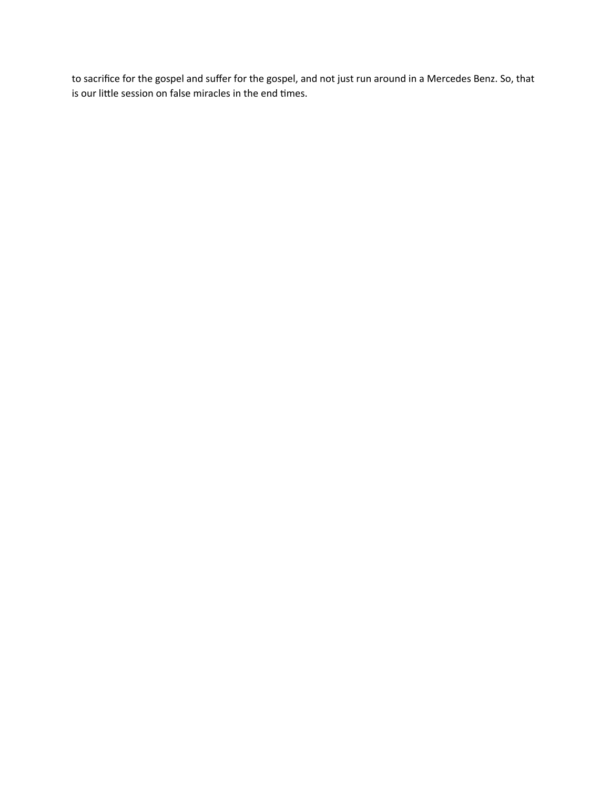to sacrifice for the gospel and suffer for the gospel, and not just run around in a Mercedes Benz. So, that is our little session on false miracles in the end times.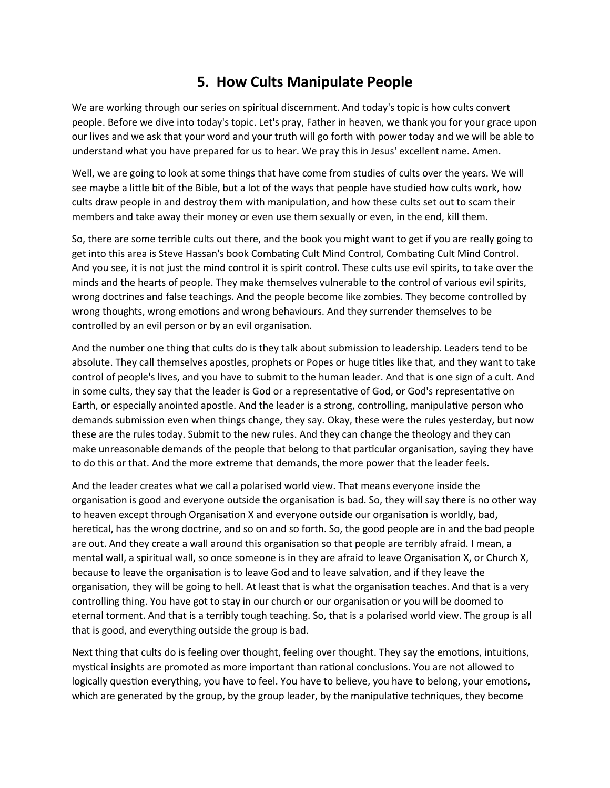## **5. How Cults Manipulate People**

We are working through our series on spiritual discernment. And today's topic is how cults convert people. Before we dive into today's topic. Let's pray, Father in heaven, we thank you for your grace upon our lives and we ask that your word and your truth will go forth with power today and we will be able to understand what you have prepared for us to hear. We pray this in Jesus' excellent name. Amen.

Well, we are going to look at some things that have come from studies of cults over the years. We will see maybe a little bit of the Bible, but a lot of the ways that people have studied how cults work, how cults draw people in and destroy them with manipulation, and how these cults set out to scam their members and take away their money or even use them sexually or even, in the end, kill them.

So, there are some terrible cults out there, and the book you might want to get if you are really going to get into this area is Steve Hassan's book Combating Cult Mind Control, Combating Cult Mind Control. And you see, it is not just the mind control it is spirit control. These cults use evil spirits, to take over the minds and the hearts of people. They make themselves vulnerable to the control of various evil spirits, wrong doctrines and false teachings. And the people become like zombies. They become controlled by wrong thoughts, wrong emotions and wrong behaviours. And they surrender themselves to be controlled by an evil person or by an evil organisation.

And the number one thing that cults do is they talk about submission to leadership. Leaders tend to be absolute. They call themselves apostles, prophets or Popes or huge titles like that, and they want to take control of people's lives, and you have to submit to the human leader. And that is one sign of a cult. And in some cults, they say that the leader is God or a representative of God, or God's representative on Earth, or especially anointed apostle. And the leader is a strong, controlling, manipulative person who demands submission even when things change, they say. Okay, these were the rules yesterday, but now these are the rules today. Submit to the new rules. And they can change the theology and they can make unreasonable demands of the people that belong to that particular organisation, saying they have to do this or that. And the more extreme that demands, the more power that the leader feels.

And the leader creates what we call a polarised world view. That means everyone inside the organisation is good and everyone outside the organisation is bad. So, they will say there is no other way to heaven except through Organisation X and everyone outside our organisation is worldly, bad, heretical, has the wrong doctrine, and so on and so forth. So, the good people are in and the bad people are out. And they create a wall around this organisation so that people are terribly afraid. I mean, a mental wall, a spiritual wall, so once someone is in they are afraid to leave Organisation X, or Church X, because to leave the organisation is to leave God and to leave salvation, and if they leave the organisation, they will be going to hell. At least that is what the organisation teaches. And that is a very controlling thing. You have got to stay in our church or our organisation or you will be doomed to eternal torment. And that is a terribly tough teaching. So, that is a polarised world view. The group is all that is good, and everything outside the group is bad.

Next thing that cults do is feeling over thought, feeling over thought. They say the emotions, intuitions, mystical insights are promoted as more important than rational conclusions. You are not allowed to logically question everything, you have to feel. You have to believe, you have to belong, your emotions, which are generated by the group, by the group leader, by the manipulative techniques, they become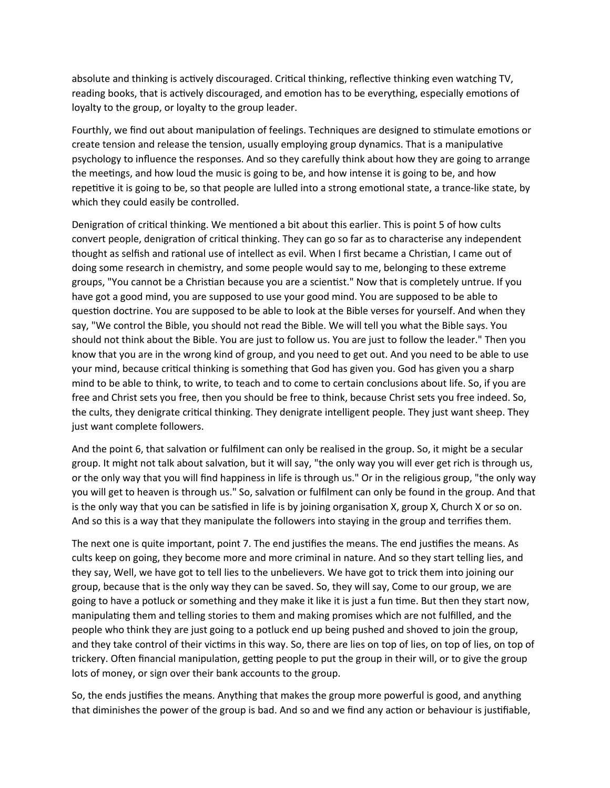absolute and thinking is actively discouraged. Critical thinking, reflective thinking even watching TV, reading books, that is actively discouraged, and emotion has to be everything, especially emotions of loyalty to the group, or loyalty to the group leader.

Fourthly, we find out about manipulation of feelings. Techniques are designed to stimulate emotions or create tension and release the tension, usually employing group dynamics. That is a manipulative psychology to influence the responses. And so they carefully think about how they are going to arrange the meetings, and how loud the music is going to be, and how intense it is going to be, and how repetitive it is going to be, so that people are lulled into a strong emotional state, a trance-like state, by which they could easily be controlled.

Denigration of critical thinking. We mentioned a bit about this earlier. This is point 5 of how cults convert people, denigration of critical thinking. They can go so far as to characterise any independent thought as selfish and rational use of intellect as evil. When I first became a Christian, I came out of doing some research in chemistry, and some people would say to me, belonging to these extreme groups, "You cannot be a Christian because you are a scientist." Now that is completely untrue. If you have got a good mind, you are supposed to use your good mind. You are supposed to be able to question doctrine. You are supposed to be able to look at the Bible verses for yourself. And when they say, "We control the Bible, you should not read the Bible. We will tell you what the Bible says. You should not think about the Bible. You are just to follow us. You are just to follow the leader." Then you know that you are in the wrong kind of group, and you need to get out. And you need to be able to use your mind, because critical thinking is something that God has given you. God has given you a sharp mind to be able to think, to write, to teach and to come to certain conclusions about life. So, if you are free and Christ sets you free, then you should be free to think, because Christ sets you free indeed. So, the cults, they denigrate critical thinking. They denigrate intelligent people. They just want sheep. They just want complete followers.

And the point 6, that salvation or fulfilment can only be realised in the group. So, it might be a secular group. It might not talk about salvation, but it will say, "the only way you will ever get rich is through us, or the only way that you will find happiness in life is through us." Or in the religious group, "the only way you will get to heaven is through us." So, salvation or fulfilment can only be found in the group. And that is the only way that you can be satisfied in life is by joining organisation X, group X, Church X or so on. And so this is a way that they manipulate the followers into staying in the group and terrifies them.

The next one is quite important, point 7. The end justifies the means. The end justifies the means. As cults keep on going, they become more and more criminal in nature. And so they start telling lies, and they say, Well, we have got to tell lies to the unbelievers. We have got to trick them into joining our group, because that is the only way they can be saved. So, they will say, Come to our group, we are going to have a potluck or something and they make it like it is just a fun time. But then they start now, manipulating them and telling stories to them and making promises which are not fulfilled, and the people who think they are just going to a potluck end up being pushed and shoved to join the group, and they take control of their victims in this way. So, there are lies on top of lies, on top of lies, on top of trickery. Often financial manipulation, getting people to put the group in their will, or to give the group lots of money, or sign over their bank accounts to the group.

So, the ends justifies the means. Anything that makes the group more powerful is good, and anything that diminishes the power of the group is bad. And so and we find any action or behaviour is justifiable,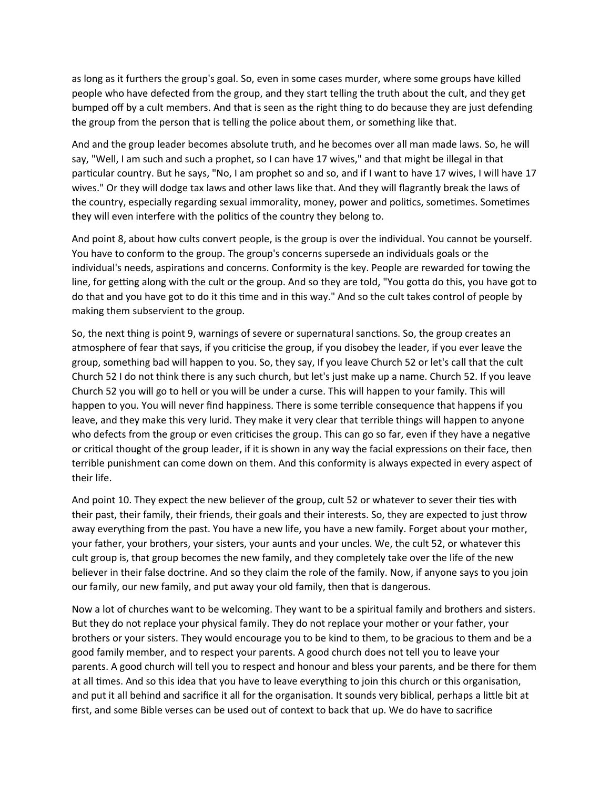as long as it furthers the group's goal. So, even in some cases murder, where some groups have killed people who have defected from the group, and they start telling the truth about the cult, and they get bumped off by a cult members. And that is seen as the right thing to do because they are just defending the group from the person that is telling the police about them, or something like that.

And and the group leader becomes absolute truth, and he becomes over all man made laws. So, he will say, "Well, I am such and such a prophet, so I can have 17 wives," and that might be illegal in that particular country. But he says, "No, I am prophet so and so, and if I want to have 17 wives, I will have 17 wives." Or they will dodge tax laws and other laws like that. And they will flagrantly break the laws of the country, especially regarding sexual immorality, money, power and politics, sometimes. Sometimes they will even interfere with the politics of the country they belong to.

And point 8, about how cults convert people, is the group is over the individual. You cannot be yourself. You have to conform to the group. The group's concerns supersede an individuals goals or the individual's needs, aspirations and concerns. Conformity is the key. People are rewarded for towing the line, for getting along with the cult or the group. And so they are told, "You gotta do this, you have got to do that and you have got to do it this time and in this way." And so the cult takes control of people by making them subservient to the group.

So, the next thing is point 9, warnings of severe or supernatural sanctions. So, the group creates an atmosphere of fear that says, if you criticise the group, if you disobey the leader, if you ever leave the group, something bad will happen to you. So, they say, If you leave Church 52 or let's call that the cult Church 52 I do not think there is any such church, but let's just make up a name. Church 52. If you leave Church 52 you will go to hell or you will be under a curse. This will happen to your family. This will happen to you. You will never find happiness. There is some terrible consequence that happens if you leave, and they make this very lurid. They make it very clear that terrible things will happen to anyone who defects from the group or even criticises the group. This can go so far, even if they have a negative or critical thought of the group leader, if it is shown in any way the facial expressions on their face, then terrible punishment can come down on them. And this conformity is always expected in every aspect of their life.

And point 10. They expect the new believer of the group, cult 52 or whatever to sever their ties with their past, their family, their friends, their goals and their interests. So, they are expected to just throw away everything from the past. You have a new life, you have a new family. Forget about your mother, your father, your brothers, your sisters, your aunts and your uncles. We, the cult 52, or whatever this cult group is, that group becomes the new family, and they completely take over the life of the new believer in their false doctrine. And so they claim the role of the family. Now, if anyone says to you join our family, our new family, and put away your old family, then that is dangerous.

Now a lot of churches want to be welcoming. They want to be a spiritual family and brothers and sisters. But they do not replace your physical family. They do not replace your mother or your father, your brothers or your sisters. They would encourage you to be kind to them, to be gracious to them and be a good family member, and to respect your parents. A good church does not tell you to leave your parents. A good church will tell you to respect and honour and bless your parents, and be there for them at all times. And so this idea that you have to leave everything to join this church or this organisation, and put it all behind and sacrifice it all for the organisation. It sounds very biblical, perhaps a little bit at first, and some Bible verses can be used out of context to back that up. We do have to sacrifice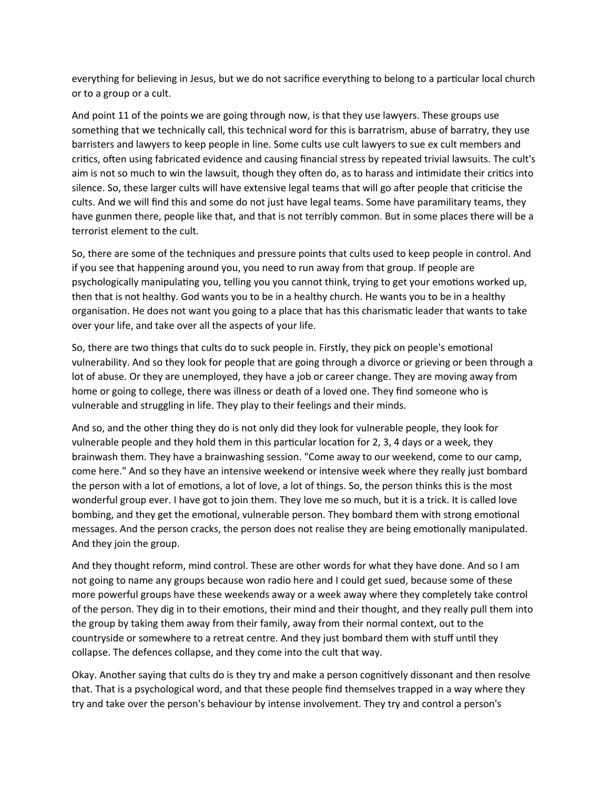everything for believing in Jesus, but we do not sacrifice everything to belong to a particular local church or to a group or a cult.

And point 11 of the points we are going through now, is that they use lawyers. These groups use something that we technically call, this technical word for this is barratrism, abuse of barratry, they use barristers and lawyers to keep people in line. Some cults use cult lawyers to sue ex cult members and critics, often using fabricated evidence and causing financial stress by repeated trivial lawsuits. The cult's aim is not so much to win the lawsuit, though they often do, as to harass and intimidate their critics into silence. So, these larger cults will have extensive legal teams that will go after people that criticise the cults. And we will find this and some do not just have legal teams. Some have paramilitary teams, they have gunmen there, people like that, and that is not terribly common. But in some places there will be a terrorist element to the cult.

So, there are some of the techniques and pressure points that cults used to keep people in control. And if you see that happening around you, you need to run away from that group. If people are psychologically manipulating you, telling you you cannot think, trying to get your emotions worked up, then that is not healthy. God wants you to be in a healthy church. He wants you to be in a healthy organisation. He does not want you going to a place that has this charismatic leader that wants to take over your life, and take over all the aspects of your life.

So, there are two things that cults do to suck people in. Firstly, they pick on people's emotional vulnerability. And so they look for people that are going through a divorce or grieving or been through a lot of abuse. Or they are unemployed, they have a job or career change. They are moving away from home or going to college, there was illness or death of a loved one. They find someone who is vulnerable and struggling in life. They play to their feelings and their minds.

And so, and the other thing they do is not only did they look for vulnerable people, they look for vulnerable people and they hold them in this particular location for 2, 3, 4 days or a week, they brainwash them. They have a brainwashing session. "Come away to our weekend, come to our camp, come here." And so they have an intensive weekend or intensive week where they really just bombard the person with a lot of emotions, a lot of love, a lot of things. So, the person thinks this is the most wonderful group ever. I have got to join them. They love me so much, but it is a trick. It is called love bombing, and they get the emotional, vulnerable person. They bombard them with strong emotional messages. And the person cracks, the person does not realise they are being emotionally manipulated. And they join the group.

And they thought reform, mind control. These are other words for what they have done. And so I am not going to name any groups because won radio here and I could get sued, because some of these more powerful groups have these weekends away or a week away where they completely take control of the person. They dig in to their emotions, their mind and their thought, and they really pull them into the group by taking them away from their family, away from their normal context, out to the countryside or somewhere to a retreat centre. And they just bombard them with stuff until they collapse. The defences collapse, and they come into the cult that way.

Okay. Another saying that cults do is they try and make a person cognitively dissonant and then resolve that. That is a psychological word, and that these people find themselves trapped in a way where they try and take over the person's behaviour by intense involvement. They try and control a person's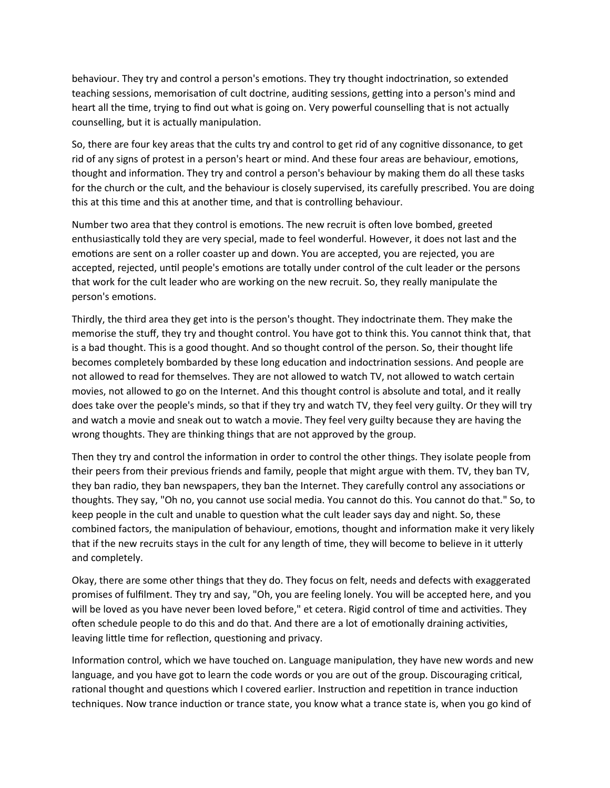behaviour. They try and control a person's emotions. They try thought indoctrination, so extended teaching sessions, memorisation of cult doctrine, auditing sessions, getting into a person's mind and heart all the time, trying to find out what is going on. Very powerful counselling that is not actually counselling, but it is actually manipulation.

So, there are four key areas that the cults try and control to get rid of any cognitive dissonance, to get rid of any signs of protest in a person's heart or mind. And these four areas are behaviour, emotions, thought and information. They try and control a person's behaviour by making them do all these tasks for the church or the cult, and the behaviour is closely supervised, its carefully prescribed. You are doing this at this time and this at another time, and that is controlling behaviour.

Number two area that they control is emotions. The new recruit is often love bombed, greeted enthusiastically told they are very special, made to feel wonderful. However, it does not last and the emotions are sent on a roller coaster up and down. You are accepted, you are rejected, you are accepted, rejected, until people's emotions are totally under control of the cult leader or the persons that work for the cult leader who are working on the new recruit. So, they really manipulate the person's emotions.

Thirdly, the third area they get into is the person's thought. They indoctrinate them. They make the memorise the stuff, they try and thought control. You have got to think this. You cannot think that, that is a bad thought. This is a good thought. And so thought control of the person. So, their thought life becomes completely bombarded by these long education and indoctrination sessions. And people are not allowed to read for themselves. They are not allowed to watch TV, not allowed to watch certain movies, not allowed to go on the Internet. And this thought control is absolute and total, and it really does take over the people's minds, so that if they try and watch TV, they feel very guilty. Or they will try and watch a movie and sneak out to watch a movie. They feel very guilty because they are having the wrong thoughts. They are thinking things that are not approved by the group.

Then they try and control the information in order to control the other things. They isolate people from their peers from their previous friends and family, people that might argue with them. TV, they ban TV, they ban radio, they ban newspapers, they ban the Internet. They carefully control any associations or thoughts. They say, "Oh no, you cannot use social media. You cannot do this. You cannot do that." So, to keep people in the cult and unable to question what the cult leader says day and night. So, these combined factors, the manipulation of behaviour, emotions, thought and information make it very likely that if the new recruits stays in the cult for any length of time, they will become to believe in it utterly and completely.

Okay, there are some other things that they do. They focus on felt, needs and defects with exaggerated promises of fulfilment. They try and say, "Oh, you are feeling lonely. You will be accepted here, and you will be loved as you have never been loved before," et cetera. Rigid control of time and activities. They often schedule people to do this and do that. And there are a lot of emotionally draining activities, leaving little time for reflection, questioning and privacy.

Information control, which we have touched on. Language manipulation, they have new words and new language, and you have got to learn the code words or you are out of the group. Discouraging critical, rational thought and questions which I covered earlier. Instruction and repetition in trance induction techniques. Now trance induction or trance state, you know what a trance state is, when you go kind of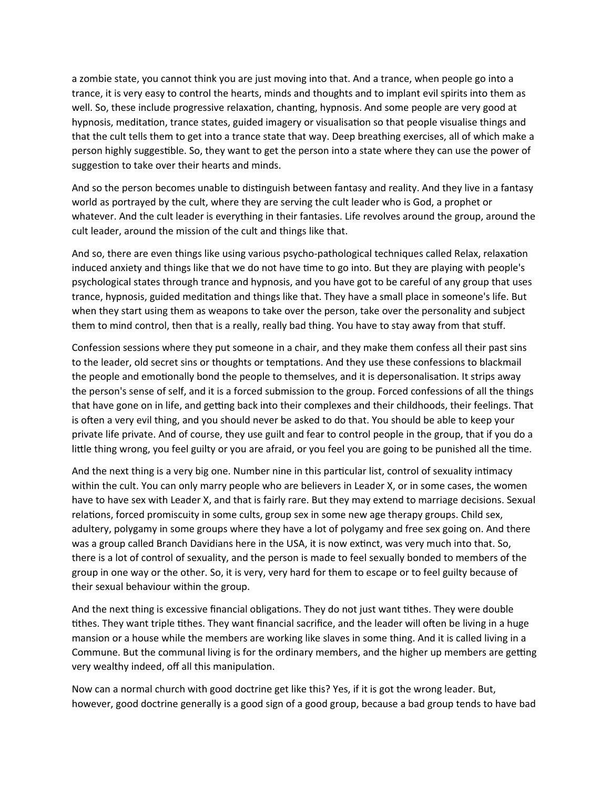a zombie state, you cannot think you are just moving into that. And a trance, when people go into a trance, it is very easy to control the hearts, minds and thoughts and to implant evil spirits into them as well. So, these include progressive relaxation, chanting, hypnosis. And some people are very good at hypnosis, meditation, trance states, guided imagery or visualisation so that people visualise things and that the cult tells them to get into a trance state that way. Deep breathing exercises, all of which make a person highly suggestible. So, they want to get the person into a state where they can use the power of suggestion to take over their hearts and minds.

And so the person becomes unable to distinguish between fantasy and reality. And they live in a fantasy world as portrayed by the cult, where they are serving the cult leader who is God, a prophet or whatever. And the cult leader is everything in their fantasies. Life revolves around the group, around the cult leader, around the mission of the cult and things like that.

And so, there are even things like using various psycho-pathological techniques called Relax, relaxation induced anxiety and things like that we do not have time to go into. But they are playing with people's psychological states through trance and hypnosis, and you have got to be careful of any group that uses trance, hypnosis, guided meditation and things like that. They have a small place in someone's life. But when they start using them as weapons to take over the person, take over the personality and subject them to mind control, then that is a really, really bad thing. You have to stay away from that stuff.

Confession sessions where they put someone in a chair, and they make them confess all their past sins to the leader, old secret sins or thoughts or temptations. And they use these confessions to blackmail the people and emotionally bond the people to themselves, and it is depersonalisation. It strips away the person's sense of self, and it is a forced submission to the group. Forced confessions of all the things that have gone on in life, and getting back into their complexes and their childhoods, their feelings. That is often a very evil thing, and you should never be asked to do that. You should be able to keep your private life private. And of course, they use guilt and fear to control people in the group, that if you do a little thing wrong, you feel guilty or you are afraid, or you feel you are going to be punished all the time.

And the next thing is a very big one. Number nine in this particular list, control of sexuality intimacy within the cult. You can only marry people who are believers in Leader X, or in some cases, the women have to have sex with Leader X, and that is fairly rare. But they may extend to marriage decisions. Sexual relations, forced promiscuity in some cults, group sex in some new age therapy groups. Child sex, adultery, polygamy in some groups where they have a lot of polygamy and free sex going on. And there was a group called Branch Davidians here in the USA, it is now extinct, was very much into that. So, there is a lot of control of sexuality, and the person is made to feel sexually bonded to members of the group in one way or the other. So, it is very, very hard for them to escape or to feel guilty because of their sexual behaviour within the group.

And the next thing is excessive financial obligations. They do not just want tithes. They were double tithes. They want triple tithes. They want financial sacrifice, and the leader will often be living in a huge mansion or a house while the members are working like slaves in some thing. And it is called living in a Commune. But the communal living is for the ordinary members, and the higher up members are getting very wealthy indeed, off all this manipulation.

Now can a normal church with good doctrine get like this? Yes, if it is got the wrong leader. But, however, good doctrine generally is a good sign of a good group, because a bad group tends to have bad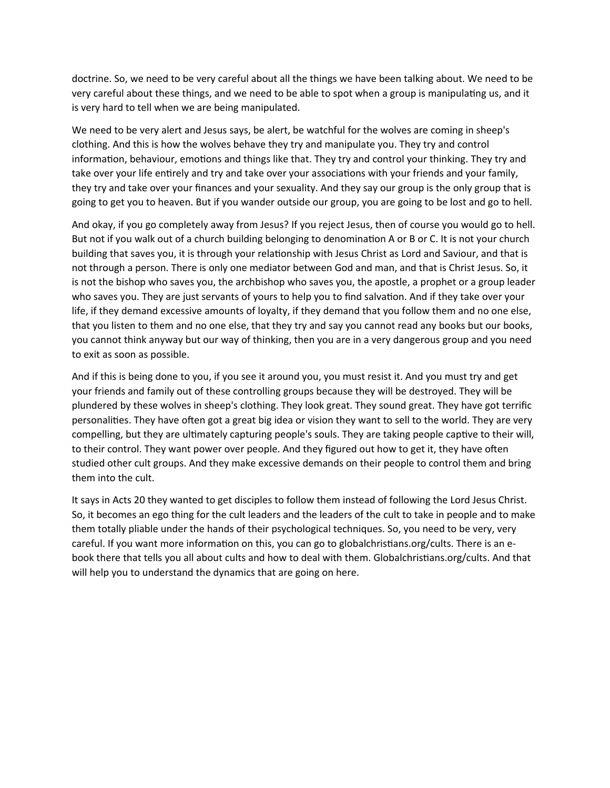doctrine. So, we need to be very careful about all the things we have been talking about. We need to be very careful about these things, and we need to be able to spot when a group is manipulating us, and it is very hard to tell when we are being manipulated.

We need to be very alert and Jesus says, be alert, be watchful for the wolves are coming in sheep's clothing. And this is how the wolves behave they try and manipulate you. They try and control information, behaviour, emotions and things like that. They try and control your thinking. They try and take over your life entirely and try and take over your associations with your friends and your family, they try and take over your finances and your sexuality. And they say our group is the only group that is going to get you to heaven. But if you wander outside our group, you are going to be lost and go to hell.

And okay, if you go completely away from Jesus? If you reject Jesus, then of course you would go to hell. But not if you walk out of a church building belonging to denomination A or B or C. It is not your church building that saves you, it is through your relationship with Jesus Christ as Lord and Saviour, and that is not through a person. There is only one mediator between God and man, and that is Christ Jesus. So, it is not the bishop who saves you, the archbishop who saves you, the apostle, a prophet or a group leader who saves you. They are just servants of yours to help you to find salvation. And if they take over your life, if they demand excessive amounts of loyalty, if they demand that you follow them and no one else, that you listen to them and no one else, that they try and say you cannot read any books but our books, you cannot think anyway but our way of thinking, then you are in a very dangerous group and you need to exit as soon as possible.

And if this is being done to you, if you see it around you, you must resist it. And you must try and get your friends and family out of these controlling groups because they will be destroyed. They will be plundered by these wolves in sheep's clothing. They look great. They sound great. They have got terrific personalities. They have often got a great big idea or vision they want to sell to the world. They are very compelling, but they are ultimately capturing people's souls. They are taking people captive to their will, to their control. They want power over people. And they figured out how to get it, they have often studied other cult groups. And they make excessive demands on their people to control them and bring them into the cult.

It says in Acts 20 they wanted to get disciples to follow them instead of following the Lord Jesus Christ. So, it becomes an ego thing for the cult leaders and the leaders of the cult to take in people and to make them totally pliable under the hands of their psychological techniques. So, you need to be very, very careful. If you want more information on this, you can go to globalchristians.org/cults. There is an ebook there that tells you all about cults and how to deal with them. Globalchristians.org/cults. And that will help you to understand the dynamics that are going on here.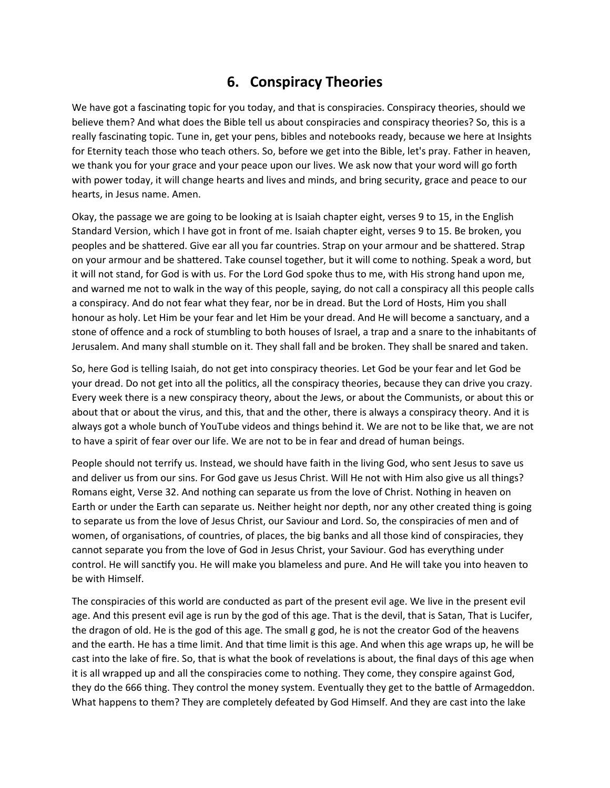# **6. Conspiracy Theories**

We have got a fascinating topic for you today, and that is conspiracies. Conspiracy theories, should we believe them? And what does the Bible tell us about conspiracies and conspiracy theories? So, this is a really fascinating topic. Tune in, get your pens, bibles and notebooks ready, because we here at Insights for Eternity teach those who teach others. So, before we get into the Bible, let's pray. Father in heaven, we thank you for your grace and your peace upon our lives. We ask now that your word will go forth with power today, it will change hearts and lives and minds, and bring security, grace and peace to our hearts, in Jesus name. Amen.

Okay, the passage we are going to be looking at is Isaiah chapter eight, verses 9 to 15, in the English Standard Version, which I have got in front of me. Isaiah chapter eight, verses 9 to 15. Be broken, you peoples and be shattered. Give ear all you far countries. Strap on your armour and be shattered. Strap on your armour and be shattered. Take counsel together, but it will come to nothing. Speak a word, but it will not stand, for God is with us. For the Lord God spoke thus to me, with His strong hand upon me, and warned me not to walk in the way of this people, saying, do not call a conspiracy all this people calls a conspiracy. And do not fear what they fear, nor be in dread. But the Lord of Hosts, Him you shall honour as holy. Let Him be your fear and let Him be your dread. And He will become a sanctuary, and a stone of offence and a rock of stumbling to both houses of Israel, a trap and a snare to the inhabitants of Jerusalem. And many shall stumble on it. They shall fall and be broken. They shall be snared and taken.

So, here God is telling Isaiah, do not get into conspiracy theories. Let God be your fear and let God be your dread. Do not get into all the politics, all the conspiracy theories, because they can drive you crazy. Every week there is a new conspiracy theory, about the Jews, or about the Communists, or about this or about that or about the virus, and this, that and the other, there is always a conspiracy theory. And it is always got a whole bunch of YouTube videos and things behind it. We are not to be like that, we are not to have a spirit of fear over our life. We are not to be in fear and dread of human beings.

People should not terrify us. Instead, we should have faith in the living God, who sent Jesus to save us and deliver us from our sins. For God gave us Jesus Christ. Will He not with Him also give us all things? Romans eight, Verse 32. And nothing can separate us from the love of Christ. Nothing in heaven on Earth or under the Earth can separate us. Neither height nor depth, nor any other created thing is going to separate us from the love of Jesus Christ, our Saviour and Lord. So, the conspiracies of men and of women, of organisations, of countries, of places, the big banks and all those kind of conspiracies, they cannot separate you from the love of God in Jesus Christ, your Saviour. God has everything under control. He will sanctify you. He will make you blameless and pure. And He will take you into heaven to be with Himself.

The conspiracies of this world are conducted as part of the present evil age. We live in the present evil age. And this present evil age is run by the god of this age. That is the devil, that is Satan, That is Lucifer, the dragon of old. He is the god of this age. The small g god, he is not the creator God of the heavens and the earth. He has a time limit. And that time limit is this age. And when this age wraps up, he will be cast into the lake of fire. So, that is what the book of revelations is about, the final days of this age when it is all wrapped up and all the conspiracies come to nothing. They come, they conspire against God, they do the 666 thing. They control the money system. Eventually they get to the battle of Armageddon. What happens to them? They are completely defeated by God Himself. And they are cast into the lake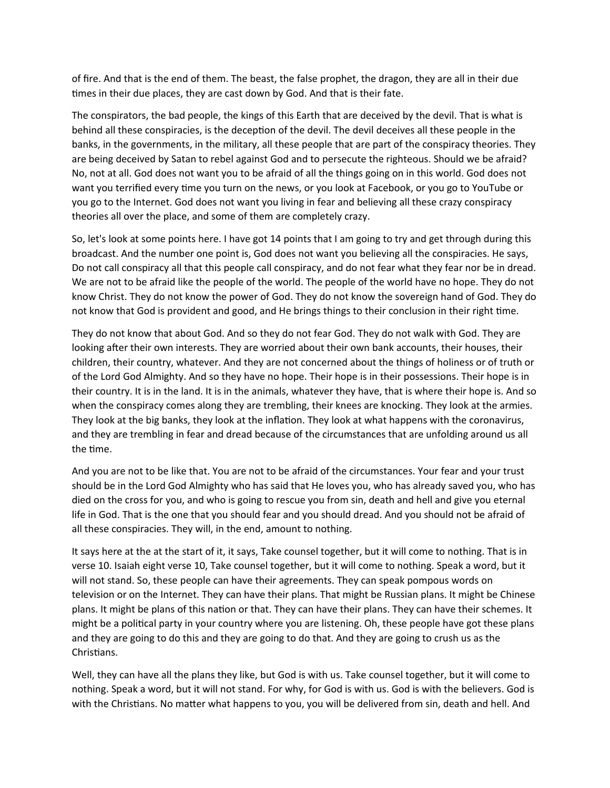of fire. And that is the end of them. The beast, the false prophet, the dragon, they are all in their due times in their due places, they are cast down by God. And that is their fate.

The conspirators, the bad people, the kings of this Earth that are deceived by the devil. That is what is behind all these conspiracies, is the deception of the devil. The devil deceives all these people in the banks, in the governments, in the military, all these people that are part of the conspiracy theories. They are being deceived by Satan to rebel against God and to persecute the righteous. Should we be afraid? No, not at all. God does not want you to be afraid of all the things going on in this world. God does not want you terrified every time you turn on the news, or you look at Facebook, or you go to YouTube or you go to the Internet. God does not want you living in fear and believing all these crazy conspiracy theories all over the place, and some of them are completely crazy.

So, let's look at some points here. I have got 14 points that I am going to try and get through during this broadcast. And the number one point is, God does not want you believing all the conspiracies. He says, Do not call conspiracy all that this people call conspiracy, and do not fear what they fear nor be in dread. We are not to be afraid like the people of the world. The people of the world have no hope. They do not know Christ. They do not know the power of God. They do not know the sovereign hand of God. They do not know that God is provident and good, and He brings things to their conclusion in their right time.

They do not know that about God. And so they do not fear God. They do not walk with God. They are looking after their own interests. They are worried about their own bank accounts, their houses, their children, their country, whatever. And they are not concerned about the things of holiness or of truth or of the Lord God Almighty. And so they have no hope. Their hope is in their possessions. Their hope is in their country. It is in the land. It is in the animals, whatever they have, that is where their hope is. And so when the conspiracy comes along they are trembling, their knees are knocking. They look at the armies. They look at the big banks, they look at the inflation. They look at what happens with the coronavirus, and they are trembling in fear and dread because of the circumstances that are unfolding around us all the time.

And you are not to be like that. You are not to be afraid of the circumstances. Your fear and your trust should be in the Lord God Almighty who has said that He loves you, who has already saved you, who has died on the cross for you, and who is going to rescue you from sin, death and hell and give you eternal life in God. That is the one that you should fear and you should dread. And you should not be afraid of all these conspiracies. They will, in the end, amount to nothing.

It says here at the at the start of it, it says, Take counsel together, but it will come to nothing. That is in verse 10. Isaiah eight verse 10, Take counsel together, but it will come to nothing. Speak a word, but it will not stand. So, these people can have their agreements. They can speak pompous words on television or on the Internet. They can have their plans. That might be Russian plans. It might be Chinese plans. It might be plans of this nation or that. They can have their plans. They can have their schemes. It might be a political party in your country where you are listening. Oh, these people have got these plans and they are going to do this and they are going to do that. And they are going to crush us as the Christians.

Well, they can have all the plans they like, but God is with us. Take counsel together, but it will come to nothing. Speak a word, but it will not stand. For why, for God is with us. God is with the believers. God is with the Christians. No matter what happens to you, you will be delivered from sin, death and hell. And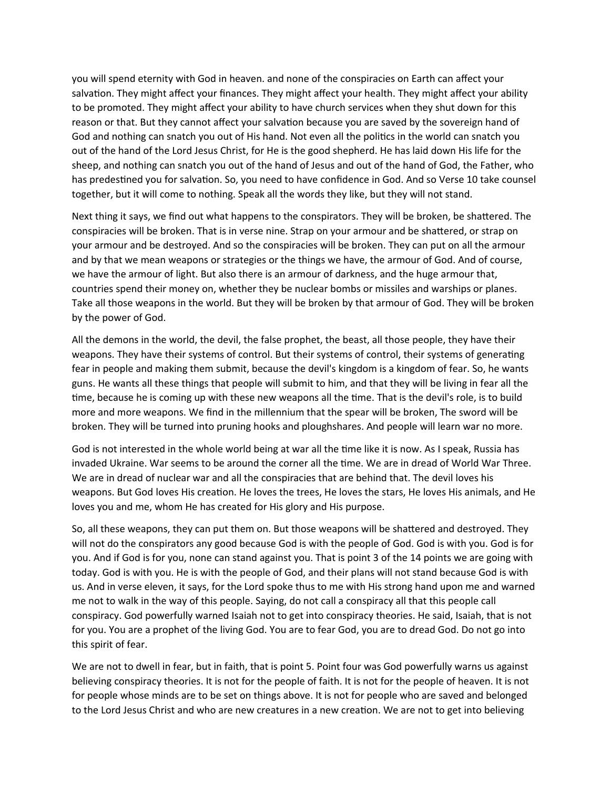you will spend eternity with God in heaven. and none of the conspiracies on Earth can affect your salvation. They might affect your finances. They might affect your health. They might affect your ability to be promoted. They might affect your ability to have church services when they shut down for this reason or that. But they cannot affect your salvation because you are saved by the sovereign hand of God and nothing can snatch you out of His hand. Not even all the politics in the world can snatch you out of the hand of the Lord Jesus Christ, for He is the good shepherd. He has laid down His life for the sheep, and nothing can snatch you out of the hand of Jesus and out of the hand of God, the Father, who has predestined you for salvation. So, you need to have confidence in God. And so Verse 10 take counsel together, but it will come to nothing. Speak all the words they like, but they will not stand.

Next thing it says, we find out what happens to the conspirators. They will be broken, be shattered. The conspiracies will be broken. That is in verse nine. Strap on your armour and be shattered, or strap on your armour and be destroyed. And so the conspiracies will be broken. They can put on all the armour and by that we mean weapons or strategies or the things we have, the armour of God. And of course, we have the armour of light. But also there is an armour of darkness, and the huge armour that, countries spend their money on, whether they be nuclear bombs or missiles and warships or planes. Take all those weapons in the world. But they will be broken by that armour of God. They will be broken by the power of God.

All the demons in the world, the devil, the false prophet, the beast, all those people, they have their weapons. They have their systems of control. But their systems of control, their systems of generating fear in people and making them submit, because the devil's kingdom is a kingdom of fear. So, he wants guns. He wants all these things that people will submit to him, and that they will be living in fear all the time, because he is coming up with these new weapons all the time. That is the devil's role, is to build more and more weapons. We find in the millennium that the spear will be broken, The sword will be broken. They will be turned into pruning hooks and ploughshares. And people will learn war no more.

God is not interested in the whole world being at war all the time like it is now. As I speak, Russia has invaded Ukraine. War seems to be around the corner all the time. We are in dread of World War Three. We are in dread of nuclear war and all the conspiracies that are behind that. The devil loves his weapons. But God loves His creation. He loves the trees, He loves the stars, He loves His animals, and He loves you and me, whom He has created for His glory and His purpose.

So, all these weapons, they can put them on. But those weapons will be shattered and destroyed. They will not do the conspirators any good because God is with the people of God. God is with you. God is for you. And if God is for you, none can stand against you. That is point 3 of the 14 points we are going with today. God is with you. He is with the people of God, and their plans will not stand because God is with us. And in verse eleven, it says, for the Lord spoke thus to me with His strong hand upon me and warned me not to walk in the way of this people. Saying, do not call a conspiracy all that this people call conspiracy. God powerfully warned Isaiah not to get into conspiracy theories. He said, Isaiah, that is not for you. You are a prophet of the living God. You are to fear God, you are to dread God. Do not go into this spirit of fear.

We are not to dwell in fear, but in faith, that is point 5. Point four was God powerfully warns us against believing conspiracy theories. It is not for the people of faith. It is not for the people of heaven. It is not for people whose minds are to be set on things above. It is not for people who are saved and belonged to the Lord Jesus Christ and who are new creatures in a new creation. We are not to get into believing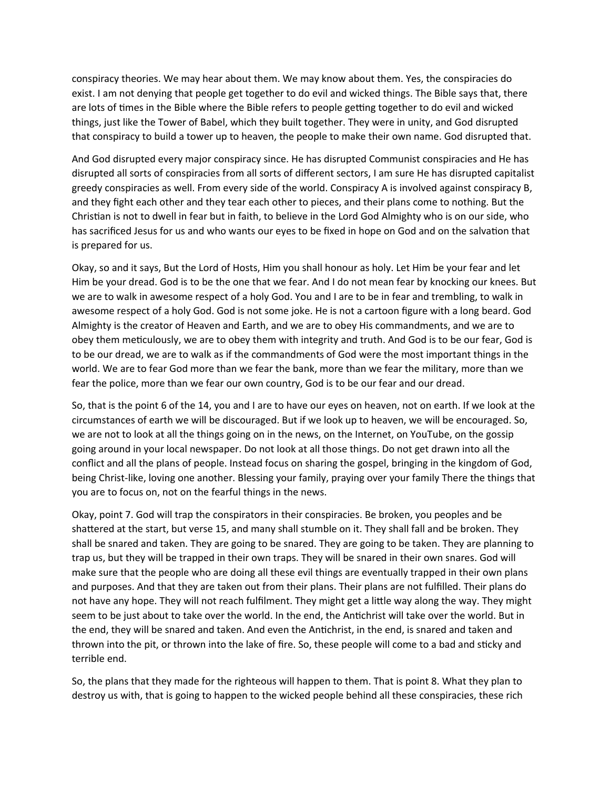conspiracy theories. We may hear about them. We may know about them. Yes, the conspiracies do exist. I am not denying that people get together to do evil and wicked things. The Bible says that, there are lots of times in the Bible where the Bible refers to people getting together to do evil and wicked things, just like the Tower of Babel, which they built together. They were in unity, and God disrupted that conspiracy to build a tower up to heaven, the people to make their own name. God disrupted that.

And God disrupted every major conspiracy since. He has disrupted Communist conspiracies and He has disrupted all sorts of conspiracies from all sorts of different sectors, I am sure He has disrupted capitalist greedy conspiracies as well. From every side of the world. Conspiracy A is involved against conspiracy B, and they fight each other and they tear each other to pieces, and their plans come to nothing. But the Christian is not to dwell in fear but in faith, to believe in the Lord God Almighty who is on our side, who has sacrificed Jesus for us and who wants our eyes to be fixed in hope on God and on the salvation that is prepared for us.

Okay, so and it says, But the Lord of Hosts, Him you shall honour as holy. Let Him be your fear and let Him be your dread. God is to be the one that we fear. And I do not mean fear by knocking our knees. But we are to walk in awesome respect of a holy God. You and I are to be in fear and trembling, to walk in awesome respect of a holy God. God is not some joke. He is not a cartoon figure with a long beard. God Almighty is the creator of Heaven and Earth, and we are to obey His commandments, and we are to obey them meticulously, we are to obey them with integrity and truth. And God is to be our fear, God is to be our dread, we are to walk as if the commandments of God were the most important things in the world. We are to fear God more than we fear the bank, more than we fear the military, more than we fear the police, more than we fear our own country, God is to be our fear and our dread.

So, that is the point 6 of the 14, you and I are to have our eyes on heaven, not on earth. If we look at the circumstances of earth we will be discouraged. But if we look up to heaven, we will be encouraged. So, we are not to look at all the things going on in the news, on the Internet, on YouTube, on the gossip going around in your local newspaper. Do not look at all those things. Do not get drawn into all the conflict and all the plans of people. Instead focus on sharing the gospel, bringing in the kingdom of God, being Christ-like, loving one another. Blessing your family, praying over your family There the things that you are to focus on, not on the fearful things in the news.

Okay, point 7. God will trap the conspirators in their conspiracies. Be broken, you peoples and be shattered at the start, but verse 15, and many shall stumble on it. They shall fall and be broken. They shall be snared and taken. They are going to be snared. They are going to be taken. They are planning to trap us, but they will be trapped in their own traps. They will be snared in their own snares. God will make sure that the people who are doing all these evil things are eventually trapped in their own plans and purposes. And that they are taken out from their plans. Their plans are not fulfilled. Their plans do not have any hope. They will not reach fulfilment. They might get a little way along the way. They might seem to be just about to take over the world. In the end, the Antichrist will take over the world. But in the end, they will be snared and taken. And even the Antichrist, in the end, is snared and taken and thrown into the pit, or thrown into the lake of fire. So, these people will come to a bad and sticky and terrible end.

So, the plans that they made for the righteous will happen to them. That is point 8. What they plan to destroy us with, that is going to happen to the wicked people behind all these conspiracies, these rich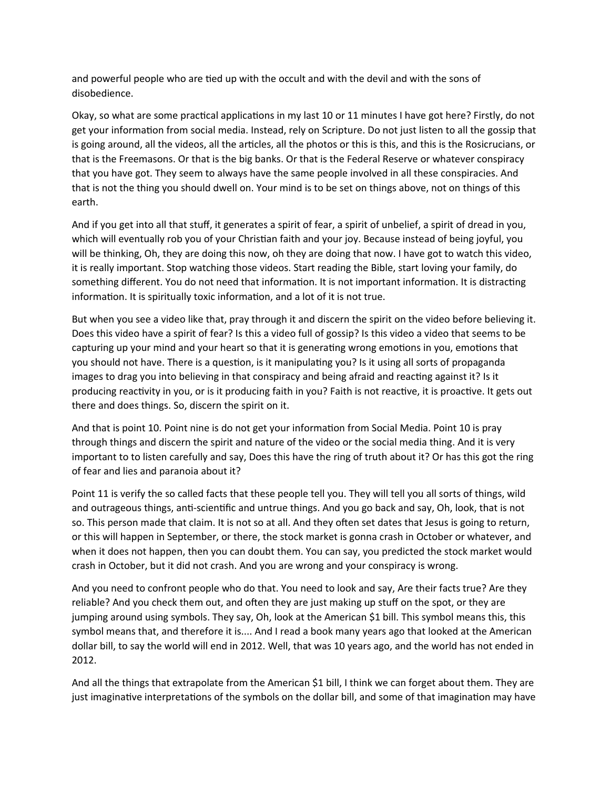and powerful people who are tied up with the occult and with the devil and with the sons of disobedience.

Okay, so what are some practical applications in my last 10 or 11 minutes I have got here? Firstly, do not get your information from social media. Instead, rely on Scripture. Do not just listen to all the gossip that is going around, all the videos, all the articles, all the photos or this is this, and this is the Rosicrucians, or that is the Freemasons. Or that is the big banks. Or that is the Federal Reserve or whatever conspiracy that you have got. They seem to always have the same people involved in all these conspiracies. And that is not the thing you should dwell on. Your mind is to be set on things above, not on things of this earth.

And if you get into all that stuff, it generates a spirit of fear, a spirit of unbelief, a spirit of dread in you, which will eventually rob you of your Christian faith and your joy. Because instead of being joyful, you will be thinking, Oh, they are doing this now, oh they are doing that now. I have got to watch this video, it is really important. Stop watching those videos. Start reading the Bible, start loving your family, do something different. You do not need that information. It is not important information. It is distracting information. It is spiritually toxic information, and a lot of it is not true.

But when you see a video like that, pray through it and discern the spirit on the video before believing it. Does this video have a spirit of fear? Is this a video full of gossip? Is this video a video that seems to be capturing up your mind and your heart so that it is generating wrong emotions in you, emotions that you should not have. There is a question, is it manipulating you? Is it using all sorts of propaganda images to drag you into believing in that conspiracy and being afraid and reacting against it? Is it producing reactivity in you, or is it producing faith in you? Faith is not reactive, it is proactive. It gets out there and does things. So, discern the spirit on it.

And that is point 10. Point nine is do not get your information from Social Media. Point 10 is pray through things and discern the spirit and nature of the video or the social media thing. And it is very important to to listen carefully and say, Does this have the ring of truth about it? Or has this got the ring of fear and lies and paranoia about it?

Point 11 is verify the so called facts that these people tell you. They will tell you all sorts of things, wild and outrageous things, anti-scientific and untrue things. And you go back and say, Oh, look, that is not so. This person made that claim. It is not so at all. And they often set dates that Jesus is going to return, or this will happen in September, or there, the stock market is gonna crash in October or whatever, and when it does not happen, then you can doubt them. You can say, you predicted the stock market would crash in October, but it did not crash. And you are wrong and your conspiracy is wrong.

And you need to confront people who do that. You need to look and say, Are their facts true? Are they reliable? And you check them out, and often they are just making up stuff on the spot, or they are jumping around using symbols. They say, Oh, look at the American \$1 bill. This symbol means this, this symbol means that, and therefore it is.... And I read a book many years ago that looked at the American dollar bill, to say the world will end in 2012. Well, that was 10 years ago, and the world has not ended in 2012.

And all the things that extrapolate from the American \$1 bill, I think we can forget about them. They are just imaginative interpretations of the symbols on the dollar bill, and some of that imagination may have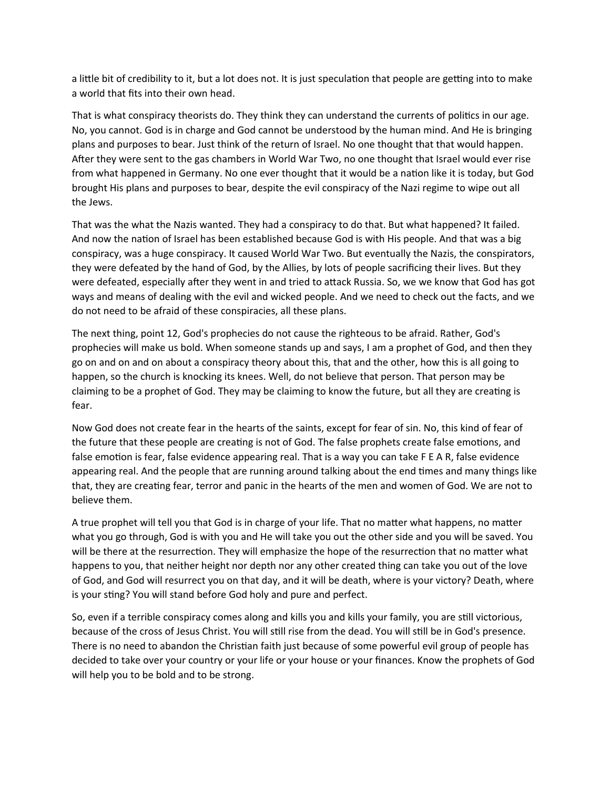a little bit of credibility to it, but a lot does not. It is just speculation that people are getting into to make a world that fits into their own head.

That is what conspiracy theorists do. They think they can understand the currents of politics in our age. No, you cannot. God is in charge and God cannot be understood by the human mind. And He is bringing plans and purposes to bear. Just think of the return of Israel. No one thought that that would happen. After they were sent to the gas chambers in World War Two, no one thought that Israel would ever rise from what happened in Germany. No one ever thought that it would be a nation like it is today, but God brought His plans and purposes to bear, despite the evil conspiracy of the Nazi regime to wipe out all the Jews.

That was the what the Nazis wanted. They had a conspiracy to do that. But what happened? It failed. And now the nation of Israel has been established because God is with His people. And that was a big conspiracy, was a huge conspiracy. It caused World War Two. But eventually the Nazis, the conspirators, they were defeated by the hand of God, by the Allies, by lots of people sacrificing their lives. But they were defeated, especially after they went in and tried to attack Russia. So, we we know that God has got ways and means of dealing with the evil and wicked people. And we need to check out the facts, and we do not need to be afraid of these conspiracies, all these plans.

The next thing, point 12, God's prophecies do not cause the righteous to be afraid. Rather, God's prophecies will make us bold. When someone stands up and says, I am a prophet of God, and then they go on and on and on about a conspiracy theory about this, that and the other, how this is all going to happen, so the church is knocking its knees. Well, do not believe that person. That person may be claiming to be a prophet of God. They may be claiming to know the future, but all they are creating is fear.

Now God does not create fear in the hearts of the saints, except for fear of sin. No, this kind of fear of the future that these people are creating is not of God. The false prophets create false emotions, and false emotion is fear, false evidence appearing real. That is a way you can take F E A R, false evidence appearing real. And the people that are running around talking about the end times and many things like that, they are creating fear, terror and panic in the hearts of the men and women of God. We are not to believe them.

A true prophet will tell you that God is in charge of your life. That no matter what happens, no matter what you go through, God is with you and He will take you out the other side and you will be saved. You will be there at the resurrection. They will emphasize the hope of the resurrection that no matter what happens to you, that neither height nor depth nor any other created thing can take you out of the love of God, and God will resurrect you on that day, and it will be death, where is your victory? Death, where is your sting? You will stand before God holy and pure and perfect.

So, even if a terrible conspiracy comes along and kills you and kills your family, you are still victorious, because of the cross of Jesus Christ. You will still rise from the dead. You will still be in God's presence. There is no need to abandon the Christian faith just because of some powerful evil group of people has decided to take over your country or your life or your house or your finances. Know the prophets of God will help you to be bold and to be strong.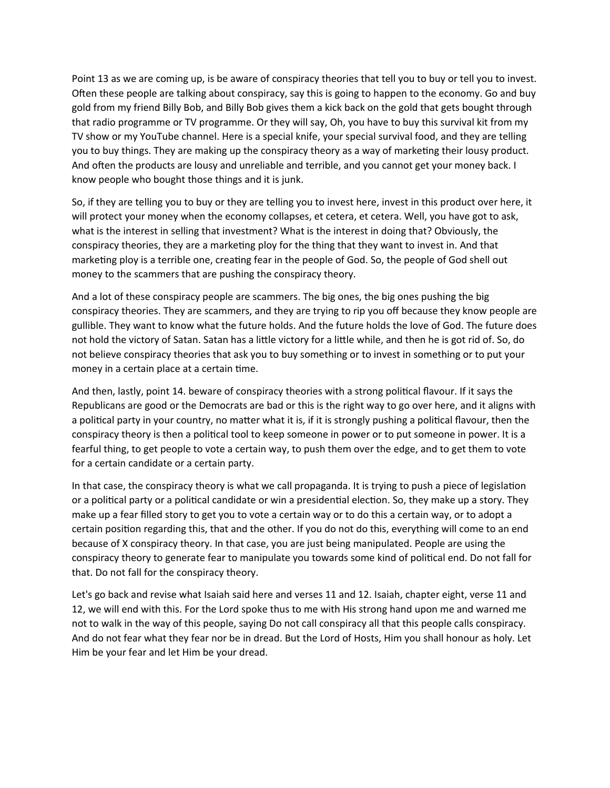Point 13 as we are coming up, is be aware of conspiracy theories that tell you to buy or tell you to invest. Often these people are talking about conspiracy, say this is going to happen to the economy. Go and buy gold from my friend Billy Bob, and Billy Bob gives them a kick back on the gold that gets bought through that radio programme or TV programme. Or they will say, Oh, you have to buy this survival kit from my TV show or my YouTube channel. Here is a special knife, your special survival food, and they are telling you to buy things. They are making up the conspiracy theory as a way of marketing their lousy product. And often the products are lousy and unreliable and terrible, and you cannot get your money back. I know people who bought those things and it is junk.

So, if they are telling you to buy or they are telling you to invest here, invest in this product over here, it will protect your money when the economy collapses, et cetera, et cetera. Well, you have got to ask, what is the interest in selling that investment? What is the interest in doing that? Obviously, the conspiracy theories, they are a marketing ploy for the thing that they want to invest in. And that marketing ploy is a terrible one, creating fear in the people of God. So, the people of God shell out money to the scammers that are pushing the conspiracy theory.

And a lot of these conspiracy people are scammers. The big ones, the big ones pushing the big conspiracy theories. They are scammers, and they are trying to rip you off because they know people are gullible. They want to know what the future holds. And the future holds the love of God. The future does not hold the victory of Satan. Satan has a little victory for a little while, and then he is got rid of. So, do not believe conspiracy theories that ask you to buy something or to invest in something or to put your money in a certain place at a certain time.

And then, lastly, point 14. beware of conspiracy theories with a strong political flavour. If it says the Republicans are good or the Democrats are bad or this is the right way to go over here, and it aligns with a political party in your country, no matter what it is, if it is strongly pushing a political flavour, then the conspiracy theory is then a political tool to keep someone in power or to put someone in power. It is a fearful thing, to get people to vote a certain way, to push them over the edge, and to get them to vote for a certain candidate or a certain party.

In that case, the conspiracy theory is what we call propaganda. It is trying to push a piece of legislation or a political party or a political candidate or win a presidential election. So, they make up a story. They make up a fear filled story to get you to vote a certain way or to do this a certain way, or to adopt a certain position regarding this, that and the other. If you do not do this, everything will come to an end because of X conspiracy theory. In that case, you are just being manipulated. People are using the conspiracy theory to generate fear to manipulate you towards some kind of political end. Do not fall for that. Do not fall for the conspiracy theory.

Let's go back and revise what Isaiah said here and verses 11 and 12. Isaiah, chapter eight, verse 11 and 12, we will end with this. For the Lord spoke thus to me with His strong hand upon me and warned me not to walk in the way of this people, saying Do not call conspiracy all that this people calls conspiracy. And do not fear what they fear nor be in dread. But the Lord of Hosts, Him you shall honour as holy. Let Him be your fear and let Him be your dread.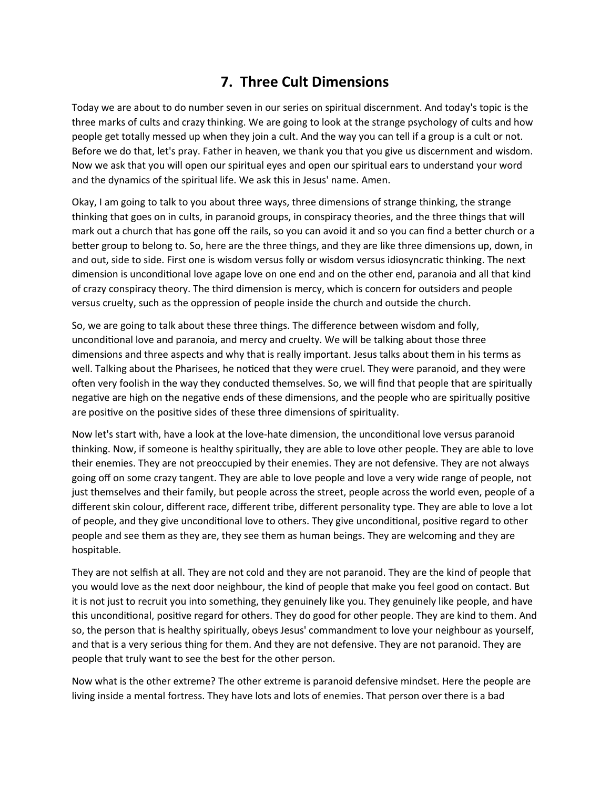# **7. Three Cult Dimensions**

Today we are about to do number seven in our series on spiritual discernment. And today's topic is the three marks of cults and crazy thinking. We are going to look at the strange psychology of cults and how people get totally messed up when they join a cult. And the way you can tell if a group is a cult or not. Before we do that, let's pray. Father in heaven, we thank you that you give us discernment and wisdom. Now we ask that you will open our spiritual eyes and open our spiritual ears to understand your word and the dynamics of the spiritual life. We ask this in Jesus' name. Amen.

Okay, I am going to talk to you about three ways, three dimensions of strange thinking, the strange thinking that goes on in cults, in paranoid groups, in conspiracy theories, and the three things that will mark out a church that has gone off the rails, so you can avoid it and so you can find a better church or a better group to belong to. So, here are the three things, and they are like three dimensions up, down, in and out, side to side. First one is wisdom versus folly or wisdom versus idiosyncratic thinking. The next dimension is unconditional love agape love on one end and on the other end, paranoia and all that kind of crazy conspiracy theory. The third dimension is mercy, which is concern for outsiders and people versus cruelty, such as the oppression of people inside the church and outside the church.

So, we are going to talk about these three things. The difference between wisdom and folly, unconditional love and paranoia, and mercy and cruelty. We will be talking about those three dimensions and three aspects and why that is really important. Jesus talks about them in his terms as well. Talking about the Pharisees, he noticed that they were cruel. They were paranoid, and they were often very foolish in the way they conducted themselves. So, we will find that people that are spiritually negative are high on the negative ends of these dimensions, and the people who are spiritually positive are positive on the positive sides of these three dimensions of spirituality.

Now let's start with, have a look at the love-hate dimension, the unconditional love versus paranoid thinking. Now, if someone is healthy spiritually, they are able to love other people. They are able to love their enemies. They are not preoccupied by their enemies. They are not defensive. They are not always going off on some crazy tangent. They are able to love people and love a very wide range of people, not just themselves and their family, but people across the street, people across the world even, people of a different skin colour, different race, different tribe, different personality type. They are able to love a lot of people, and they give unconditional love to others. They give unconditional, positive regard to other people and see them as they are, they see them as human beings. They are welcoming and they are hospitable.

They are not selfish at all. They are not cold and they are not paranoid. They are the kind of people that you would love as the next door neighbour, the kind of people that make you feel good on contact. But it is not just to recruit you into something, they genuinely like you. They genuinely like people, and have this unconditional, positive regard for others. They do good for other people. They are kind to them. And so, the person that is healthy spiritually, obeys Jesus' commandment to love your neighbour as yourself, and that is a very serious thing for them. And they are not defensive. They are not paranoid. They are people that truly want to see the best for the other person.

Now what is the other extreme? The other extreme is paranoid defensive mindset. Here the people are living inside a mental fortress. They have lots and lots of enemies. That person over there is a bad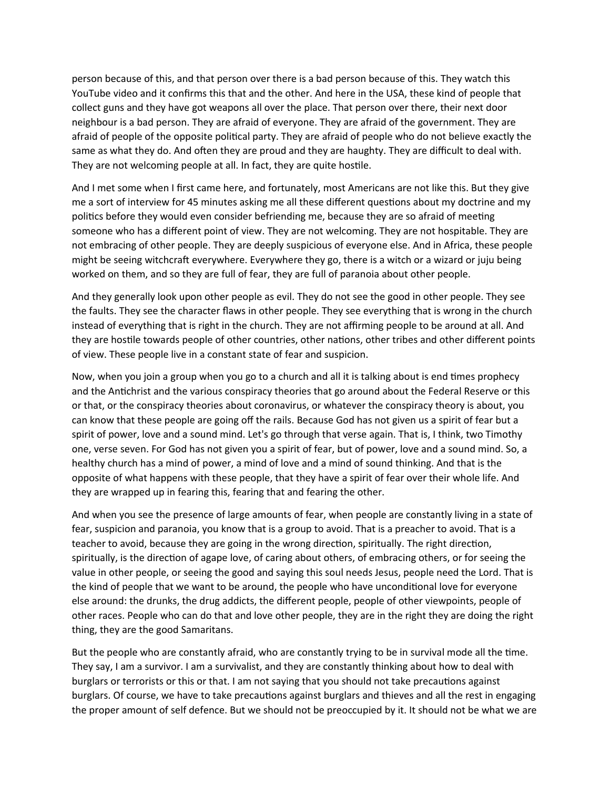person because of this, and that person over there is a bad person because of this. They watch this YouTube video and it confirms this that and the other. And here in the USA, these kind of people that collect guns and they have got weapons all over the place. That person over there, their next door neighbour is a bad person. They are afraid of everyone. They are afraid of the government. They are afraid of people of the opposite political party. They are afraid of people who do not believe exactly the same as what they do. And often they are proud and they are haughty. They are difficult to deal with. They are not welcoming people at all. In fact, they are quite hostile.

And I met some when I first came here, and fortunately, most Americans are not like this. But they give me a sort of interview for 45 minutes asking me all these different questions about my doctrine and my politics before they would even consider befriending me, because they are so afraid of meeting someone who has a different point of view. They are not welcoming. They are not hospitable. They are not embracing of other people. They are deeply suspicious of everyone else. And in Africa, these people might be seeing witchcraft everywhere. Everywhere they go, there is a witch or a wizard or juju being worked on them, and so they are full of fear, they are full of paranoia about other people.

And they generally look upon other people as evil. They do not see the good in other people. They see the faults. They see the character flaws in other people. They see everything that is wrong in the church instead of everything that is right in the church. They are not affirming people to be around at all. And they are hostile towards people of other countries, other nations, other tribes and other different points of view. These people live in a constant state of fear and suspicion.

Now, when you join a group when you go to a church and all it is talking about is end times prophecy and the Antichrist and the various conspiracy theories that go around about the Federal Reserve or this or that, or the conspiracy theories about coronavirus, or whatever the conspiracy theory is about, you can know that these people are going off the rails. Because God has not given us a spirit of fear but a spirit of power, love and a sound mind. Let's go through that verse again. That is, I think, two Timothy one, verse seven. For God has not given you a spirit of fear, but of power, love and a sound mind. So, a healthy church has a mind of power, a mind of love and a mind of sound thinking. And that is the opposite of what happens with these people, that they have a spirit of fear over their whole life. And they are wrapped up in fearing this, fearing that and fearing the other.

And when you see the presence of large amounts of fear, when people are constantly living in a state of fear, suspicion and paranoia, you know that is a group to avoid. That is a preacher to avoid. That is a teacher to avoid, because they are going in the wrong direction, spiritually. The right direction, spiritually, is the direction of agape love, of caring about others, of embracing others, or for seeing the value in other people, or seeing the good and saying this soul needs Jesus, people need the Lord. That is the kind of people that we want to be around, the people who have unconditional love for everyone else around: the drunks, the drug addicts, the different people, people of other viewpoints, people of other races. People who can do that and love other people, they are in the right they are doing the right thing, they are the good Samaritans.

But the people who are constantly afraid, who are constantly trying to be in survival mode all the time. They say, I am a survivor. I am a survivalist, and they are constantly thinking about how to deal with burglars or terrorists or this or that. I am not saying that you should not take precautions against burglars. Of course, we have to take precautions against burglars and thieves and all the rest in engaging the proper amount of self defence. But we should not be preoccupied by it. It should not be what we are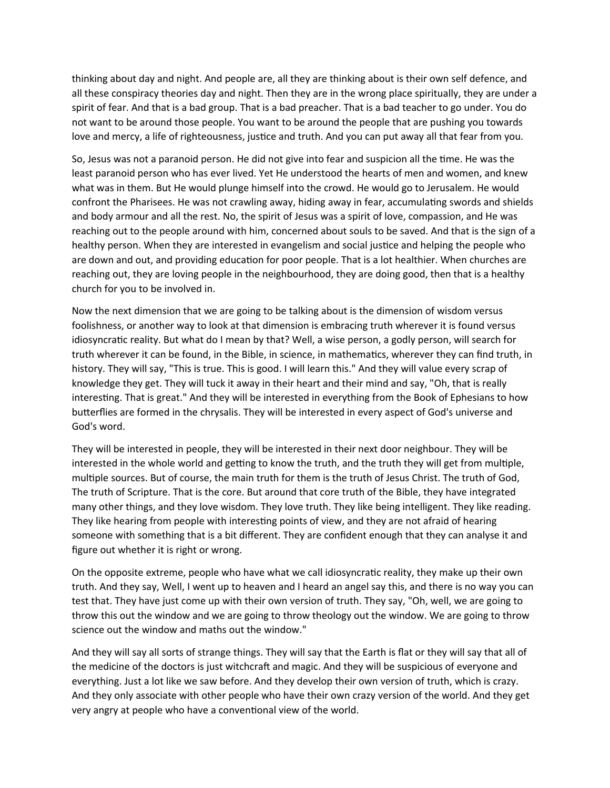thinking about day and night. And people are, all they are thinking about is their own self defence, and all these conspiracy theories day and night. Then they are in the wrong place spiritually, they are under a spirit of fear. And that is a bad group. That is a bad preacher. That is a bad teacher to go under. You do not want to be around those people. You want to be around the people that are pushing you towards love and mercy, a life of righteousness, justice and truth. And you can put away all that fear from you.

So, Jesus was not a paranoid person. He did not give into fear and suspicion all the time. He was the least paranoid person who has ever lived. Yet He understood the hearts of men and women, and knew what was in them. But He would plunge himself into the crowd. He would go to Jerusalem. He would confront the Pharisees. He was not crawling away, hiding away in fear, accumulating swords and shields and body armour and all the rest. No, the spirit of Jesus was a spirit of love, compassion, and He was reaching out to the people around with him, concerned about souls to be saved. And that is the sign of a healthy person. When they are interested in evangelism and social justice and helping the people who are down and out, and providing education for poor people. That is a lot healthier. When churches are reaching out, they are loving people in the neighbourhood, they are doing good, then that is a healthy church for you to be involved in.

Now the next dimension that we are going to be talking about is the dimension of wisdom versus foolishness, or another way to look at that dimension is embracing truth wherever it is found versus idiosyncratic reality. But what do I mean by that? Well, a wise person, a godly person, will search for truth wherever it can be found, in the Bible, in science, in mathematics, wherever they can find truth, in history. They will say, "This is true. This is good. I will learn this." And they will value every scrap of knowledge they get. They will tuck it away in their heart and their mind and say, "Oh, that is really interesting. That is great." And they will be interested in everything from the Book of Ephesians to how butterflies are formed in the chrysalis. They will be interested in every aspect of God's universe and God's word.

They will be interested in people, they will be interested in their next door neighbour. They will be interested in the whole world and getting to know the truth, and the truth they will get from multiple, multiple sources. But of course, the main truth for them is the truth of Jesus Christ. The truth of God, The truth of Scripture. That is the core. But around that core truth of the Bible, they have integrated many other things, and they love wisdom. They love truth. They like being intelligent. They like reading. They like hearing from people with interesting points of view, and they are not afraid of hearing someone with something that is a bit different. They are confident enough that they can analyse it and figure out whether it is right or wrong.

On the opposite extreme, people who have what we call idiosyncratic reality, they make up their own truth. And they say, Well, I went up to heaven and I heard an angel say this, and there is no way you can test that. They have just come up with their own version of truth. They say, "Oh, well, we are going to throw this out the window and we are going to throw theology out the window. We are going to throw science out the window and maths out the window."

And they will say all sorts of strange things. They will say that the Earth is flat or they will say that all of the medicine of the doctors is just witchcraft and magic. And they will be suspicious of everyone and everything. Just a lot like we saw before. And they develop their own version of truth, which is crazy. And they only associate with other people who have their own crazy version of the world. And they get very angry at people who have a conventional view of the world.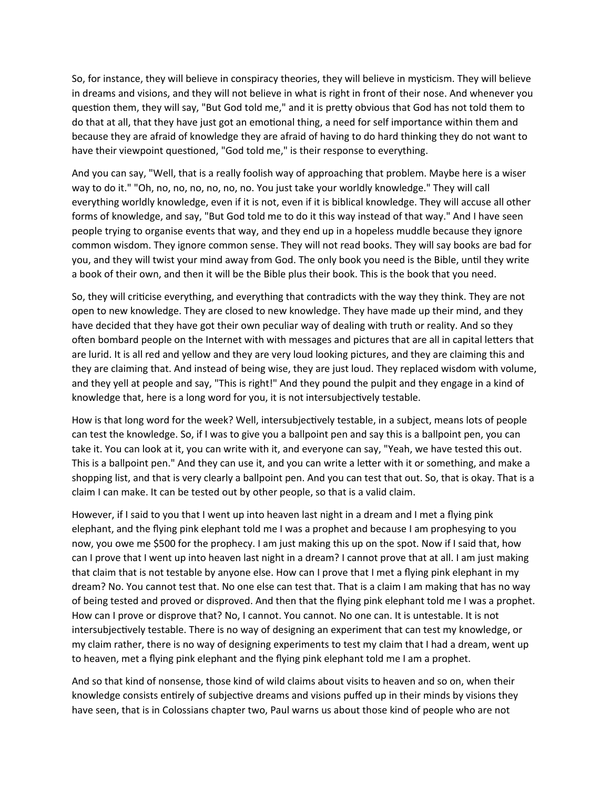So, for instance, they will believe in conspiracy theories, they will believe in mysticism. They will believe in dreams and visions, and they will not believe in what is right in front of their nose. And whenever you question them, they will say, "But God told me," and it is pretty obvious that God has not told them to do that at all, that they have just got an emotional thing, a need for self importance within them and because they are afraid of knowledge they are afraid of having to do hard thinking they do not want to have their viewpoint questioned, "God told me," is their response to everything.

And you can say, "Well, that is a really foolish way of approaching that problem. Maybe here is a wiser way to do it." "Oh, no, no, no, no, no, no. You just take your worldly knowledge." They will call everything worldly knowledge, even if it is not, even if it is biblical knowledge. They will accuse all other forms of knowledge, and say, "But God told me to do it this way instead of that way." And I have seen people trying to organise events that way, and they end up in a hopeless muddle because they ignore common wisdom. They ignore common sense. They will not read books. They will say books are bad for you, and they will twist your mind away from God. The only book you need is the Bible, until they write a book of their own, and then it will be the Bible plus their book. This is the book that you need.

So, they will criticise everything, and everything that contradicts with the way they think. They are not open to new knowledge. They are closed to new knowledge. They have made up their mind, and they have decided that they have got their own peculiar way of dealing with truth or reality. And so they often bombard people on the Internet with with messages and pictures that are all in capital letters that are lurid. It is all red and yellow and they are very loud looking pictures, and they are claiming this and they are claiming that. And instead of being wise, they are just loud. They replaced wisdom with volume, and they yell at people and say, "This is right!" And they pound the pulpit and they engage in a kind of knowledge that, here is a long word for you, it is not intersubjectively testable.

How is that long word for the week? Well, intersubjectively testable, in a subject, means lots of people can test the knowledge. So, if I was to give you a ballpoint pen and say this is a ballpoint pen, you can take it. You can look at it, you can write with it, and everyone can say, "Yeah, we have tested this out. This is a ballpoint pen." And they can use it, and you can write a letter with it or something, and make a shopping list, and that is very clearly a ballpoint pen. And you can test that out. So, that is okay. That is a claim I can make. It can be tested out by other people, so that is a valid claim.

However, if I said to you that I went up into heaven last night in a dream and I met a flying pink elephant, and the flying pink elephant told me I was a prophet and because I am prophesying to you now, you owe me \$500 for the prophecy. I am just making this up on the spot. Now if I said that, how can I prove that I went up into heaven last night in a dream? I cannot prove that at all. I am just making that claim that is not testable by anyone else. How can I prove that I met a flying pink elephant in my dream? No. You cannot test that. No one else can test that. That is a claim I am making that has no way of being tested and proved or disproved. And then that the flying pink elephant told me I was a prophet. How can I prove or disprove that? No, I cannot. You cannot. No one can. It is untestable. It is not intersubjectively testable. There is no way of designing an experiment that can test my knowledge, or my claim rather, there is no way of designing experiments to test my claim that I had a dream, went up to heaven, met a flying pink elephant and the flying pink elephant told me I am a prophet.

And so that kind of nonsense, those kind of wild claims about visits to heaven and so on, when their knowledge consists entirely of subjective dreams and visions puffed up in their minds by visions they have seen, that is in Colossians chapter two, Paul warns us about those kind of people who are not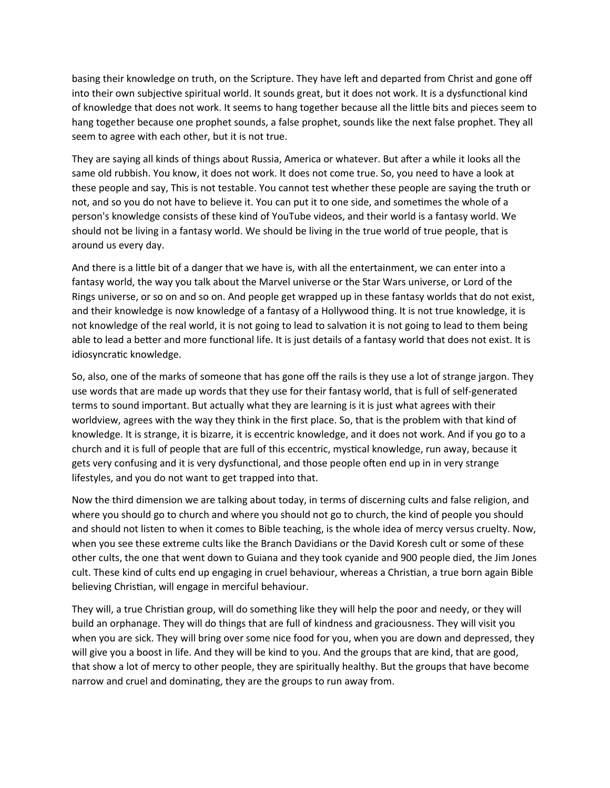basing their knowledge on truth, on the Scripture. They have left and departed from Christ and gone off into their own subjective spiritual world. It sounds great, but it does not work. It is a dysfunctional kind of knowledge that does not work. It seems to hang together because all the little bits and pieces seem to hang together because one prophet sounds, a false prophet, sounds like the next false prophet. They all seem to agree with each other, but it is not true.

They are saying all kinds of things about Russia, America or whatever. But after a while it looks all the same old rubbish. You know, it does not work. It does not come true. So, you need to have a look at these people and say, This is not testable. You cannot test whether these people are saying the truth or not, and so you do not have to believe it. You can put it to one side, and sometimes the whole of a person's knowledge consists of these kind of YouTube videos, and their world is a fantasy world. We should not be living in a fantasy world. We should be living in the true world of true people, that is around us every day.

And there is a little bit of a danger that we have is, with all the entertainment, we can enter into a fantasy world, the way you talk about the Marvel universe or the Star Wars universe, or Lord of the Rings universe, or so on and so on. And people get wrapped up in these fantasy worlds that do not exist, and their knowledge is now knowledge of a fantasy of a Hollywood thing. It is not true knowledge, it is not knowledge of the real world, it is not going to lead to salvation it is not going to lead to them being able to lead a better and more functional life. It is just details of a fantasy world that does not exist. It is idiosyncratic knowledge.

So, also, one of the marks of someone that has gone off the rails is they use a lot of strange jargon. They use words that are made up words that they use for their fantasy world, that is full of self-generated terms to sound important. But actually what they are learning is it is just what agrees with their worldview, agrees with the way they think in the first place. So, that is the problem with that kind of knowledge. It is strange, it is bizarre, it is eccentric knowledge, and it does not work. And if you go to a church and it is full of people that are full of this eccentric, mystical knowledge, run away, because it gets very confusing and it is very dysfunctional, and those people often end up in in very strange lifestyles, and you do not want to get trapped into that.

Now the third dimension we are talking about today, in terms of discerning cults and false religion, and where you should go to church and where you should not go to church, the kind of people you should and should not listen to when it comes to Bible teaching, is the whole idea of mercy versus cruelty. Now, when you see these extreme cults like the Branch Davidians or the David Koresh cult or some of these other cults, the one that went down to Guiana and they took cyanide and 900 people died, the Jim Jones cult. These kind of cults end up engaging in cruel behaviour, whereas a Christian, a true born again Bible believing Christian, will engage in merciful behaviour.

They will, a true Christian group, will do something like they will help the poor and needy, or they will build an orphanage. They will do things that are full of kindness and graciousness. They will visit you when you are sick. They will bring over some nice food for you, when you are down and depressed, they will give you a boost in life. And they will be kind to you. And the groups that are kind, that are good, that show a lot of mercy to other people, they are spiritually healthy. But the groups that have become narrow and cruel and dominating, they are the groups to run away from.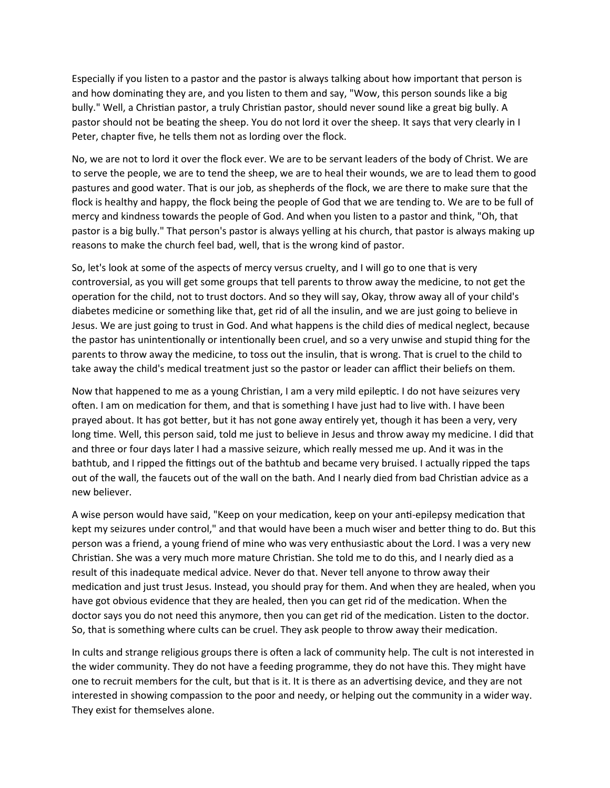Especially if you listen to a pastor and the pastor is always talking about how important that person is and how dominating they are, and you listen to them and say, "Wow, this person sounds like a big bully." Well, a Christian pastor, a truly Christian pastor, should never sound like a great big bully. A pastor should not be beating the sheep. You do not lord it over the sheep. It says that very clearly in I Peter, chapter five, he tells them not as lording over the flock.

No, we are not to lord it over the flock ever. We are to be servant leaders of the body of Christ. We are to serve the people, we are to tend the sheep, we are to heal their wounds, we are to lead them to good pastures and good water. That is our job, as shepherds of the flock, we are there to make sure that the flock is healthy and happy, the flock being the people of God that we are tending to. We are to be full of mercy and kindness towards the people of God. And when you listen to a pastor and think, "Oh, that pastor is a big bully." That person's pastor is always yelling at his church, that pastor is always making up reasons to make the church feel bad, well, that is the wrong kind of pastor.

So, let's look at some of the aspects of mercy versus cruelty, and I will go to one that is very controversial, as you will get some groups that tell parents to throw away the medicine, to not get the operation for the child, not to trust doctors. And so they will say, Okay, throw away all of your child's diabetes medicine or something like that, get rid of all the insulin, and we are just going to believe in Jesus. We are just going to trust in God. And what happens is the child dies of medical neglect, because the pastor has unintentionally or intentionally been cruel, and so a very unwise and stupid thing for the parents to throw away the medicine, to toss out the insulin, that is wrong. That is cruel to the child to take away the child's medical treatment just so the pastor or leader can afflict their beliefs on them.

Now that happened to me as a young Christian, I am a very mild epileptic. I do not have seizures very often. I am on medication for them, and that is something I have just had to live with. I have been prayed about. It has got better, but it has not gone away entirely yet, though it has been a very, very long time. Well, this person said, told me just to believe in Jesus and throw away my medicine. I did that and three or four days later I had a massive seizure, which really messed me up. And it was in the bathtub, and I ripped the fittings out of the bathtub and became very bruised. I actually ripped the taps out of the wall, the faucets out of the wall on the bath. And I nearly died from bad Christian advice as a new believer.

A wise person would have said, "Keep on your medication, keep on your anti-epilepsy medication that kept my seizures under control," and that would have been a much wiser and better thing to do. But this person was a friend, a young friend of mine who was very enthusiastic about the Lord. I was a very new Christian. She was a very much more mature Christian. She told me to do this, and I nearly died as a result of this inadequate medical advice. Never do that. Never tell anyone to throw away their medication and just trust Jesus. Instead, you should pray for them. And when they are healed, when you have got obvious evidence that they are healed, then you can get rid of the medication. When the doctor says you do not need this anymore, then you can get rid of the medication. Listen to the doctor. So, that is something where cults can be cruel. They ask people to throw away their medication.

In cults and strange religious groups there is often a lack of community help. The cult is not interested in the wider community. They do not have a feeding programme, they do not have this. They might have one to recruit members for the cult, but that is it. It is there as an advertising device, and they are not interested in showing compassion to the poor and needy, or helping out the community in a wider way. They exist for themselves alone.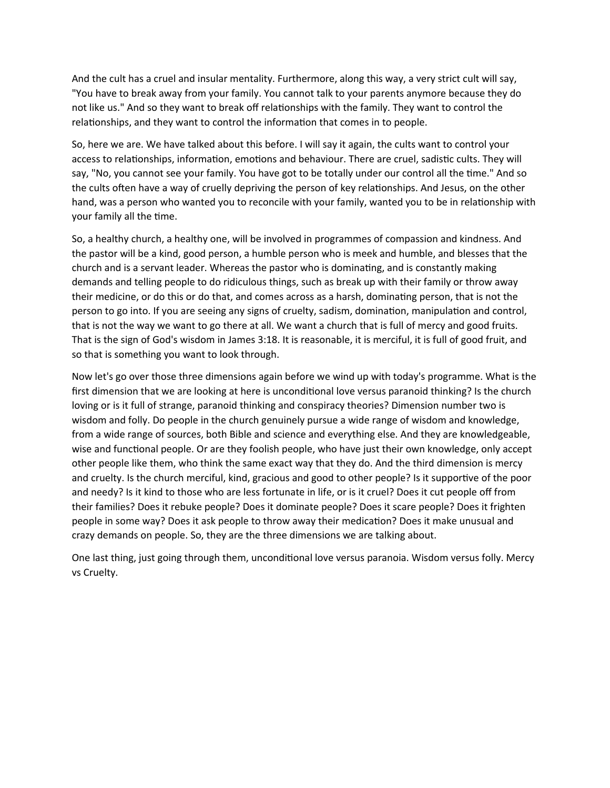And the cult has a cruel and insular mentality. Furthermore, along this way, a very strict cult will say, "You have to break away from your family. You cannot talk to your parents anymore because they do not like us." And so they want to break off relationships with the family. They want to control the relationships, and they want to control the information that comes in to people.

So, here we are. We have talked about this before. I will say it again, the cults want to control your access to relationships, information, emotions and behaviour. There are cruel, sadistic cults. They will say, "No, you cannot see your family. You have got to be totally under our control all the time." And so the cults often have a way of cruelly depriving the person of key relationships. And Jesus, on the other hand, was a person who wanted you to reconcile with your family, wanted you to be in relationship with your family all the time.

So, a healthy church, a healthy one, will be involved in programmes of compassion and kindness. And the pastor will be a kind, good person, a humble person who is meek and humble, and blesses that the church and is a servant leader. Whereas the pastor who is dominating, and is constantly making demands and telling people to do ridiculous things, such as break up with their family or throw away their medicine, or do this or do that, and comes across as a harsh, dominating person, that is not the person to go into. If you are seeing any signs of cruelty, sadism, domination, manipulation and control, that is not the way we want to go there at all. We want a church that is full of mercy and good fruits. That is the sign of God's wisdom in James 3:18. It is reasonable, it is merciful, it is full of good fruit, and so that is something you want to look through.

Now let's go over those three dimensions again before we wind up with today's programme. What is the first dimension that we are looking at here is unconditional love versus paranoid thinking? Is the church loving or is it full of strange, paranoid thinking and conspiracy theories? Dimension number two is wisdom and folly. Do people in the church genuinely pursue a wide range of wisdom and knowledge, from a wide range of sources, both Bible and science and everything else. And they are knowledgeable, wise and functional people. Or are they foolish people, who have just their own knowledge, only accept other people like them, who think the same exact way that they do. And the third dimension is mercy and cruelty. Is the church merciful, kind, gracious and good to other people? Is it supportive of the poor and needy? Is it kind to those who are less fortunate in life, or is it cruel? Does it cut people off from their families? Does it rebuke people? Does it dominate people? Does it scare people? Does it frighten people in some way? Does it ask people to throw away their medication? Does it make unusual and crazy demands on people. So, they are the three dimensions we are talking about.

One last thing, just going through them, unconditional love versus paranoia. Wisdom versus folly. Mercy vs Cruelty.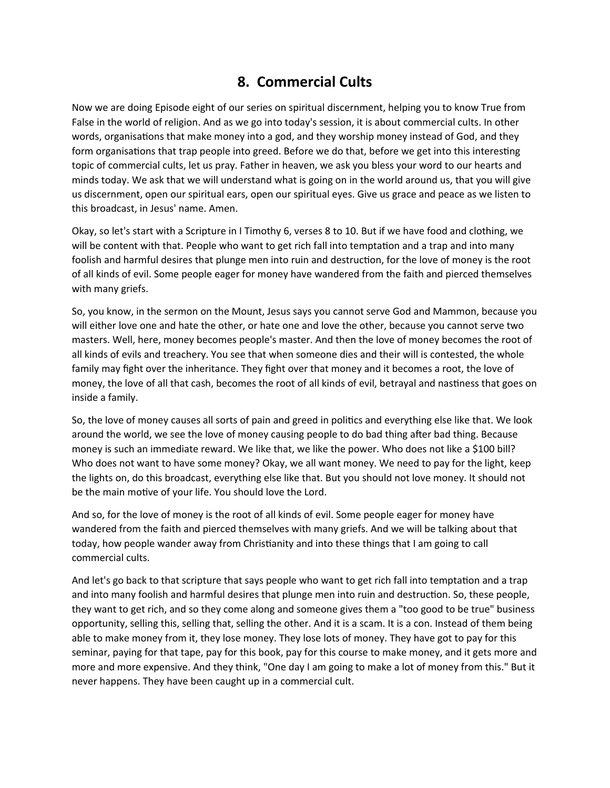## **8. Commercial Cults**

Now we are doing Episode eight of our series on spiritual discernment, helping you to know True from False in the world of religion. And as we go into today's session, it is about commercial cults. In other words, organisations that make money into a god, and they worship money instead of God, and they form organisations that trap people into greed. Before we do that, before we get into this interesting topic of commercial cults, let us pray. Father in heaven, we ask you bless your word to our hearts and minds today. We ask that we will understand what is going on in the world around us, that you will give us discernment, open our spiritual ears, open our spiritual eyes. Give us grace and peace as we listen to this broadcast, in Jesus' name. Amen.

Okay, so let's start with a Scripture in I Timothy 6, verses 8 to 10. But if we have food and clothing, we will be content with that. People who want to get rich fall into temptation and a trap and into many foolish and harmful desires that plunge men into ruin and destruction, for the love of money is the root of all kinds of evil. Some people eager for money have wandered from the faith and pierced themselves with many griefs.

So, you know, in the sermon on the Mount, Jesus says you cannot serve God and Mammon, because you will either love one and hate the other, or hate one and love the other, because you cannot serve two masters. Well, here, money becomes people's master. And then the love of money becomes the root of all kinds of evils and treachery. You see that when someone dies and their will is contested, the whole family may fight over the inheritance. They fight over that money and it becomes a root, the love of money, the love of all that cash, becomes the root of all kinds of evil, betrayal and nastiness that goes on inside a family.

So, the love of money causes all sorts of pain and greed in politics and everything else like that. We look around the world, we see the love of money causing people to do bad thing after bad thing. Because money is such an immediate reward. We like that, we like the power. Who does not like a \$100 bill? Who does not want to have some money? Okay, we all want money. We need to pay for the light, keep the lights on, do this broadcast, everything else like that. But you should not love money. It should not be the main motive of your life. You should love the Lord.

And so, for the love of money is the root of all kinds of evil. Some people eager for money have wandered from the faith and pierced themselves with many griefs. And we will be talking about that today, how people wander away from Christianity and into these things that I am going to call commercial cults.

And let's go back to that scripture that says people who want to get rich fall into temptation and a trap and into many foolish and harmful desires that plunge men into ruin and destruction. So, these people, they want to get rich, and so they come along and someone gives them a "too good to be true" business opportunity, selling this, selling that, selling the other. And it is a scam. It is a con. Instead of them being able to make money from it, they lose money. They lose lots of money. They have got to pay for this seminar, paying for that tape, pay for this book, pay for this course to make money, and it gets more and more and more expensive. And they think, "One day I am going to make a lot of money from this." But it never happens. They have been caught up in a commercial cult.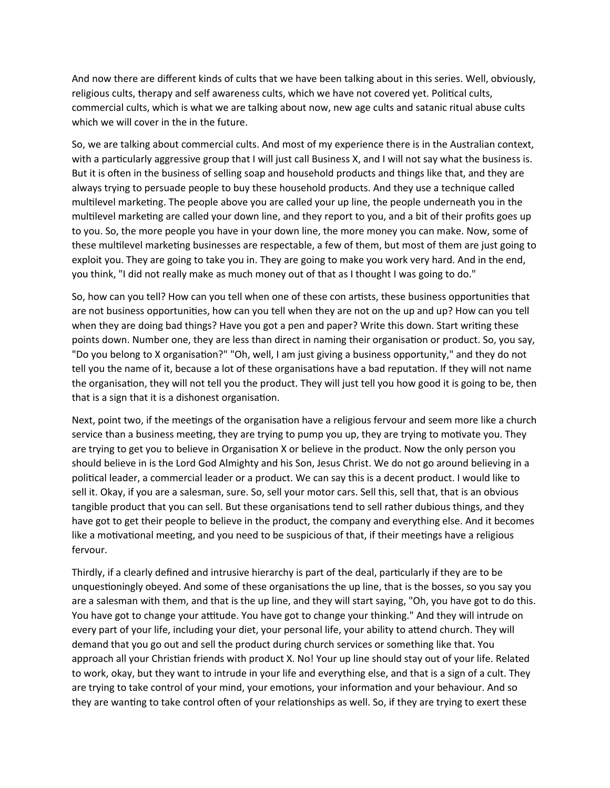And now there are different kinds of cults that we have been talking about in this series. Well, obviously, religious cults, therapy and self awareness cults, which we have not covered yet. Political cults, commercial cults, which is what we are talking about now, new age cults and satanic ritual abuse cults which we will cover in the in the future.

So, we are talking about commercial cults. And most of my experience there is in the Australian context, with a particularly aggressive group that I will just call Business X, and I will not say what the business is. But it is often in the business of selling soap and household products and things like that, and they are always trying to persuade people to buy these household products. And they use a technique called multilevel marketing. The people above you are called your up line, the people underneath you in the multilevel marketing are called your down line, and they report to you, and a bit of their profits goes up to you. So, the more people you have in your down line, the more money you can make. Now, some of these multilevel marketing businesses are respectable, a few of them, but most of them are just going to exploit you. They are going to take you in. They are going to make you work very hard. And in the end, you think, "I did not really make as much money out of that as I thought I was going to do."

So, how can you tell? How can you tell when one of these con artists, these business opportunities that are not business opportunities, how can you tell when they are not on the up and up? How can you tell when they are doing bad things? Have you got a pen and paper? Write this down. Start writing these points down. Number one, they are less than direct in naming their organisation or product. So, you say, "Do you belong to X organisation?" "Oh, well, I am just giving a business opportunity," and they do not tell you the name of it, because a lot of these organisations have a bad reputation. If they will not name the organisation, they will not tell you the product. They will just tell you how good it is going to be, then that is a sign that it is a dishonest organisation.

Next, point two, if the meetings of the organisation have a religious fervour and seem more like a church service than a business meeting, they are trying to pump you up, they are trying to motivate you. They are trying to get you to believe in Organisation X or believe in the product. Now the only person you should believe in is the Lord God Almighty and his Son, Jesus Christ. We do not go around believing in a political leader, a commercial leader or a product. We can say this is a decent product. I would like to sell it. Okay, if you are a salesman, sure. So, sell your motor cars. Sell this, sell that, that is an obvious tangible product that you can sell. But these organisations tend to sell rather dubious things, and they have got to get their people to believe in the product, the company and everything else. And it becomes like a motivational meeting, and you need to be suspicious of that, if their meetings have a religious fervour.

Thirdly, if a clearly defined and intrusive hierarchy is part of the deal, particularly if they are to be unquestioningly obeyed. And some of these organisations the up line, that is the bosses, so you say you are a salesman with them, and that is the up line, and they will start saying, "Oh, you have got to do this. You have got to change your attitude. You have got to change your thinking." And they will intrude on every part of your life, including your diet, your personal life, your ability to attend church. They will demand that you go out and sell the product during church services or something like that. You approach all your Christian friends with product X. No! Your up line should stay out of your life. Related to work, okay, but they want to intrude in your life and everything else, and that is a sign of a cult. They are trying to take control of your mind, your emotions, your information and your behaviour. And so they are wanting to take control often of your relationships as well. So, if they are trying to exert these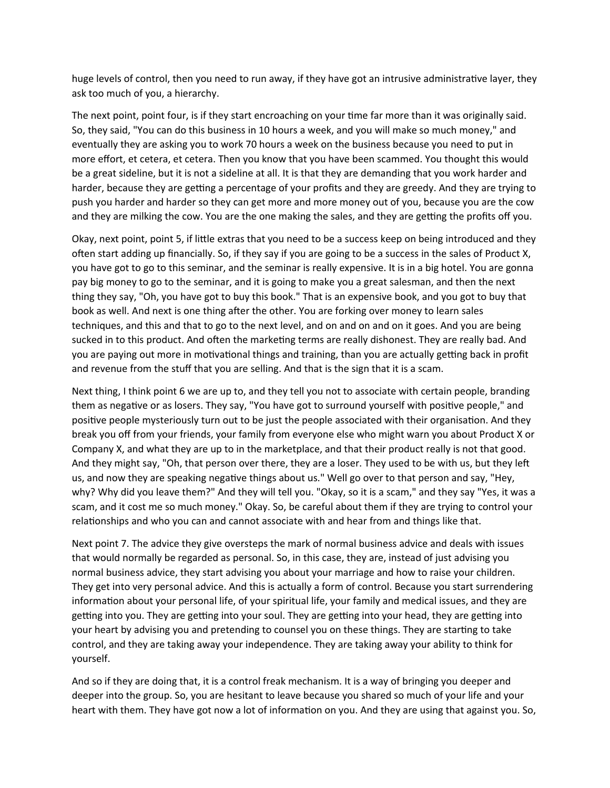huge levels of control, then you need to run away, if they have got an intrusive administrative layer, they ask too much of you, a hierarchy.

The next point, point four, is if they start encroaching on your time far more than it was originally said. So, they said, "You can do this business in 10 hours a week, and you will make so much money," and eventually they are asking you to work 70 hours a week on the business because you need to put in more effort, et cetera, et cetera. Then you know that you have been scammed. You thought this would be a great sideline, but it is not a sideline at all. It is that they are demanding that you work harder and harder, because they are getting a percentage of your profits and they are greedy. And they are trying to push you harder and harder so they can get more and more money out of you, because you are the cow and they are milking the cow. You are the one making the sales, and they are getting the profits off you.

Okay, next point, point 5, if little extras that you need to be a success keep on being introduced and they often start adding up financially. So, if they say if you are going to be a success in the sales of Product X, you have got to go to this seminar, and the seminar is really expensive. It is in a big hotel. You are gonna pay big money to go to the seminar, and it is going to make you a great salesman, and then the next thing they say, "Oh, you have got to buy this book." That is an expensive book, and you got to buy that book as well. And next is one thing after the other. You are forking over money to learn sales techniques, and this and that to go to the next level, and on and on and on it goes. And you are being sucked in to this product. And often the marketing terms are really dishonest. They are really bad. And you are paying out more in motivational things and training, than you are actually getting back in profit and revenue from the stuff that you are selling. And that is the sign that it is a scam.

Next thing, I think point 6 we are up to, and they tell you not to associate with certain people, branding them as negative or as losers. They say, "You have got to surround yourself with positive people," and positive people mysteriously turn out to be just the people associated with their organisation. And they break you off from your friends, your family from everyone else who might warn you about Product X or Company X, and what they are up to in the marketplace, and that their product really is not that good. And they might say, "Oh, that person over there, they are a loser. They used to be with us, but they left us, and now they are speaking negative things about us." Well go over to that person and say, "Hey, why? Why did you leave them?" And they will tell you. "Okay, so it is a scam," and they say "Yes, it was a scam, and it cost me so much money." Okay. So, be careful about them if they are trying to control your relationships and who you can and cannot associate with and hear from and things like that.

Next point 7. The advice they give oversteps the mark of normal business advice and deals with issues that would normally be regarded as personal. So, in this case, they are, instead of just advising you normal business advice, they start advising you about your marriage and how to raise your children. They get into very personal advice. And this is actually a form of control. Because you start surrendering information about your personal life, of your spiritual life, your family and medical issues, and they are getting into you. They are getting into your soul. They are getting into your head, they are getting into your heart by advising you and pretending to counsel you on these things. They are starting to take control, and they are taking away your independence. They are taking away your ability to think for yourself.

And so if they are doing that, it is a control freak mechanism. It is a way of bringing you deeper and deeper into the group. So, you are hesitant to leave because you shared so much of your life and your heart with them. They have got now a lot of information on you. And they are using that against you. So,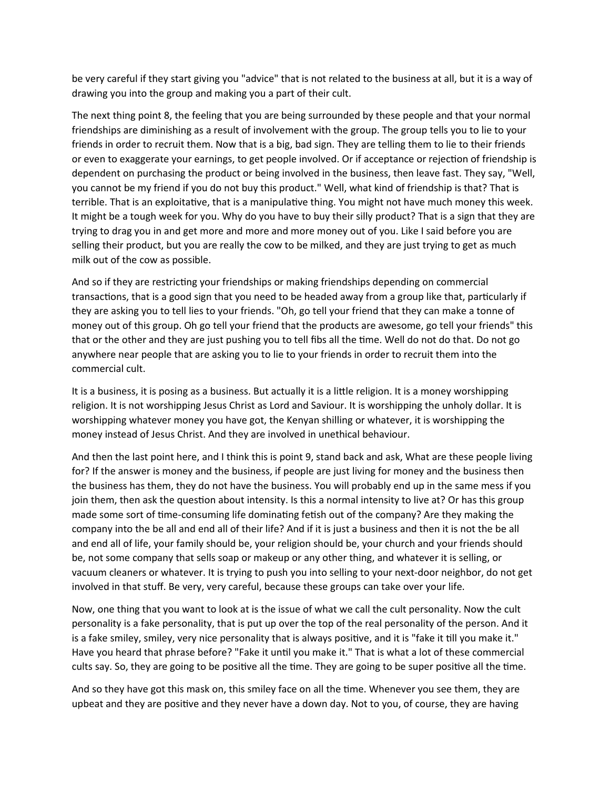be very careful if they start giving you "advice" that is not related to the business at all, but it is a way of drawing you into the group and making you a part of their cult.

The next thing point 8, the feeling that you are being surrounded by these people and that your normal friendships are diminishing as a result of involvement with the group. The group tells you to lie to your friends in order to recruit them. Now that is a big, bad sign. They are telling them to lie to their friends or even to exaggerate your earnings, to get people involved. Or if acceptance or rejection of friendship is dependent on purchasing the product or being involved in the business, then leave fast. They say, "Well, you cannot be my friend if you do not buy this product." Well, what kind of friendship is that? That is terrible. That is an exploitative, that is a manipulative thing. You might not have much money this week. It might be a tough week for you. Why do you have to buy their silly product? That is a sign that they are trying to drag you in and get more and more and more money out of you. Like I said before you are selling their product, but you are really the cow to be milked, and they are just trying to get as much milk out of the cow as possible.

And so if they are restricting your friendships or making friendships depending on commercial transactions, that is a good sign that you need to be headed away from a group like that, particularly if they are asking you to tell lies to your friends. "Oh, go tell your friend that they can make a tonne of money out of this group. Oh go tell your friend that the products are awesome, go tell your friends" this that or the other and they are just pushing you to tell fibs all the time. Well do not do that. Do not go anywhere near people that are asking you to lie to your friends in order to recruit them into the commercial cult.

It is a business, it is posing as a business. But actually it is a little religion. It is a money worshipping religion. It is not worshipping Jesus Christ as Lord and Saviour. It is worshipping the unholy dollar. It is worshipping whatever money you have got, the Kenyan shilling or whatever, it is worshipping the money instead of Jesus Christ. And they are involved in unethical behaviour.

And then the last point here, and I think this is point 9, stand back and ask, What are these people living for? If the answer is money and the business, if people are just living for money and the business then the business has them, they do not have the business. You will probably end up in the same mess if you join them, then ask the question about intensity. Is this a normal intensity to live at? Or has this group made some sort of time-consuming life dominating fetish out of the company? Are they making the company into the be all and end all of their life? And if it is just a business and then it is not the be all and end all of life, your family should be, your religion should be, your church and your friends should be, not some company that sells soap or makeup or any other thing, and whatever it is selling, or vacuum cleaners or whatever. It is trying to push you into selling to your next-door neighbor, do not get involved in that stuff. Be very, very careful, because these groups can take over your life.

Now, one thing that you want to look at is the issue of what we call the cult personality. Now the cult personality is a fake personality, that is put up over the top of the real personality of the person. And it is a fake smiley, smiley, very nice personality that is always positive, and it is "fake it till you make it." Have you heard that phrase before? "Fake it until you make it." That is what a lot of these commercial cults say. So, they are going to be positive all the time. They are going to be super positive all the time.

And so they have got this mask on, this smiley face on all the time. Whenever you see them, they are upbeat and they are positive and they never have a down day. Not to you, of course, they are having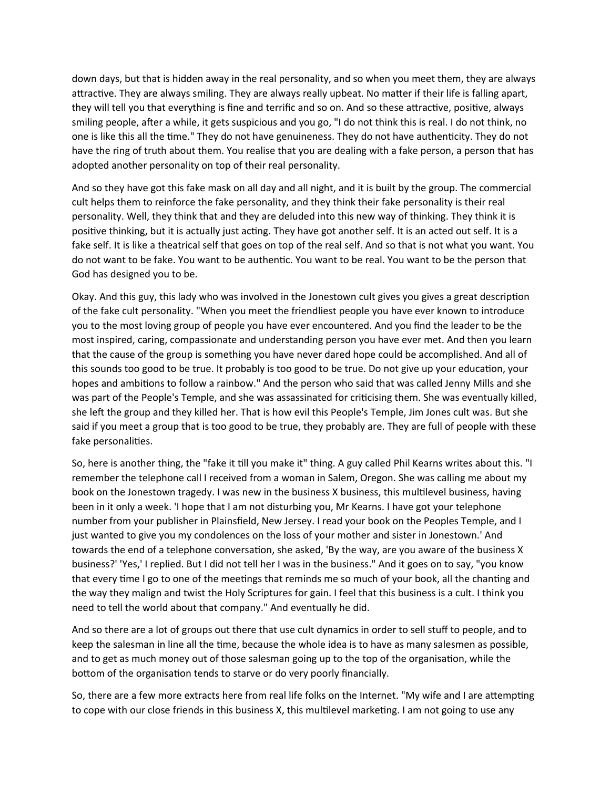down days, but that is hidden away in the real personality, and so when you meet them, they are always attractive. They are always smiling. They are always really upbeat. No matter if their life is falling apart, they will tell you that everything is fine and terrific and so on. And so these attractive, positive, always smiling people, after a while, it gets suspicious and you go, "I do not think this is real. I do not think, no one is like this all the time." They do not have genuineness. They do not have authenticity. They do not have the ring of truth about them. You realise that you are dealing with a fake person, a person that has adopted another personality on top of their real personality.

And so they have got this fake mask on all day and all night, and it is built by the group. The commercial cult helps them to reinforce the fake personality, and they think their fake personality is their real personality. Well, they think that and they are deluded into this new way of thinking. They think it is positive thinking, but it is actually just acting. They have got another self. It is an acted out self. It is a fake self. It is like a theatrical self that goes on top of the real self. And so that is not what you want. You do not want to be fake. You want to be authentic. You want to be real. You want to be the person that God has designed you to be.

Okay. And this guy, this lady who was involved in the Jonestown cult gives you gives a great description of the fake cult personality. "When you meet the friendliest people you have ever known to introduce you to the most loving group of people you have ever encountered. And you find the leader to be the most inspired, caring, compassionate and understanding person you have ever met. And then you learn that the cause of the group is something you have never dared hope could be accomplished. And all of this sounds too good to be true. It probably is too good to be true. Do not give up your education, your hopes and ambitions to follow a rainbow." And the person who said that was called Jenny Mills and she was part of the People's Temple, and she was assassinated for criticising them. She was eventually killed, she left the group and they killed her. That is how evil this People's Temple, Jim Jones cult was. But she said if you meet a group that is too good to be true, they probably are. They are full of people with these fake personalities.

So, here is another thing, the "fake it till you make it" thing. A guy called Phil Kearns writes about this. "I remember the telephone call I received from a woman in Salem, Oregon. She was calling me about my book on the Jonestown tragedy. I was new in the business X business, this multilevel business, having been in it only a week. 'I hope that I am not disturbing you, Mr Kearns. I have got your telephone number from your publisher in Plainsfield, New Jersey. I read your book on the Peoples Temple, and I just wanted to give you my condolences on the loss of your mother and sister in Jonestown.' And towards the end of a telephone conversation, she asked, 'By the way, are you aware of the business X business?' 'Yes,' I replied. But I did not tell her I was in the business." And it goes on to say, "you know that every time I go to one of the meetings that reminds me so much of your book, all the chanting and the way they malign and twist the Holy Scriptures for gain. I feel that this business is a cult. I think you need to tell the world about that company." And eventually he did.

And so there are a lot of groups out there that use cult dynamics in order to sell stuff to people, and to keep the salesman in line all the time, because the whole idea is to have as many salesmen as possible, and to get as much money out of those salesman going up to the top of the organisation, while the bottom of the organisation tends to starve or do very poorly financially.

So, there are a few more extracts here from real life folks on the Internet. "My wife and I are attempting to cope with our close friends in this business X, this multilevel marketing. I am not going to use any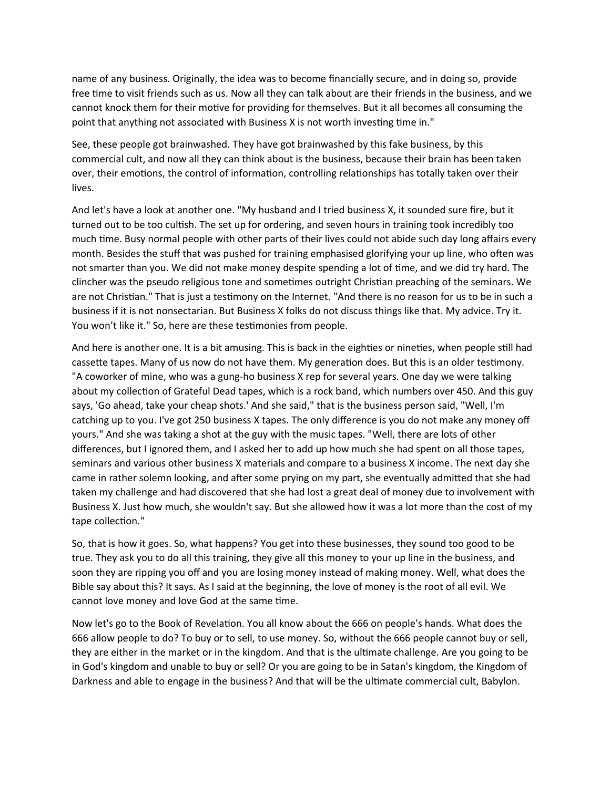name of any business. Originally, the idea was to become financially secure, and in doing so, provide free time to visit friends such as us. Now all they can talk about are their friends in the business, and we cannot knock them for their motive for providing for themselves. But it all becomes all consuming the point that anything not associated with Business X is not worth investing time in."

See, these people got brainwashed. They have got brainwashed by this fake business, by this commercial cult, and now all they can think about is the business, because their brain has been taken over, their emotions, the control of information, controlling relationships has totally taken over their lives.

And let's have a look at another one. "My husband and I tried business X, it sounded sure fire, but it turned out to be too cultish. The set up for ordering, and seven hours in training took incredibly too much time. Busy normal people with other parts of their lives could not abide such day long affairs every month. Besides the stuff that was pushed for training emphasised glorifying your up line, who often was not smarter than you. We did not make money despite spending a lot of time, and we did try hard. The clincher was the pseudo religious tone and sometimes outright Christian preaching of the seminars. We are not Christian." That is just a testimony on the Internet. "And there is no reason for us to be in such a business if it is not nonsectarian. But Business X folks do not discuss things like that. My advice. Try it. You won't like it." So, here are these testimonies from people.

And here is another one. It is a bit amusing. This is back in the eighties or nineties, when people still had cassette tapes. Many of us now do not have them. My generation does. But this is an older testimony. "A coworker of mine, who was a gung-ho business X rep for several years. One day we were talking about my collection of Grateful Dead tapes, which is a rock band, which numbers over 450. And this guy says, 'Go ahead, take your cheap shots.' And she said," that is the business person said, "Well, I'm catching up to you. I've got 250 business X tapes. The only difference is you do not make any money off yours." And she was taking a shot at the guy with the music tapes. "Well, there are lots of other differences, but I ignored them, and I asked her to add up how much she had spent on all those tapes, seminars and various other business X materials and compare to a business X income. The next day she came in rather solemn looking, and after some prying on my part, she eventually admitted that she had taken my challenge and had discovered that she had lost a great deal of money due to involvement with Business X. Just how much, she wouldn't say. But she allowed how it was a lot more than the cost of my tape collection."

So, that is how it goes. So, what happens? You get into these businesses, they sound too good to be true. They ask you to do all this training, they give all this money to your up line in the business, and soon they are ripping you off and you are losing money instead of making money. Well, what does the Bible say about this? It says. As I said at the beginning, the love of money is the root of all evil. We cannot love money and love God at the same time.

Now let's go to the Book of Revelation. You all know about the 666 on people's hands. What does the 666 allow people to do? To buy or to sell, to use money. So, without the 666 people cannot buy or sell, they are either in the market or in the kingdom. And that is the ultimate challenge. Are you going to be in God's kingdom and unable to buy or sell? Or you are going to be in Satan's kingdom, the Kingdom of Darkness and able to engage in the business? And that will be the ultimate commercial cult, Babylon.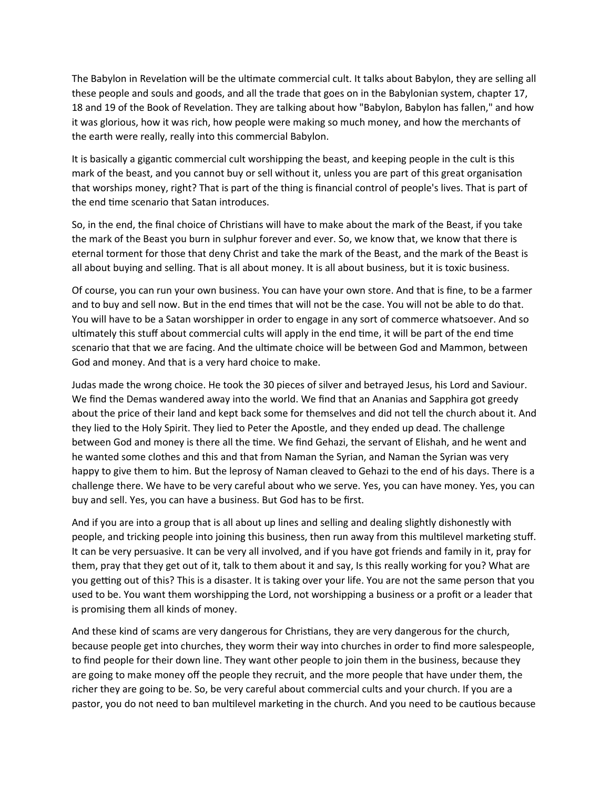The Babylon in Revelation will be the ultimate commercial cult. It talks about Babylon, they are selling all these people and souls and goods, and all the trade that goes on in the Babylonian system, chapter 17, 18 and 19 of the Book of Revelation. They are talking about how "Babylon, Babylon has fallen," and how it was glorious, how it was rich, how people were making so much money, and how the merchants of the earth were really, really into this commercial Babylon.

It is basically a gigantic commercial cult worshipping the beast, and keeping people in the cult is this mark of the beast, and you cannot buy or sell without it, unless you are part of this great organisation that worships money, right? That is part of the thing is financial control of people's lives. That is part of the end time scenario that Satan introduces.

So, in the end, the final choice of Christians will have to make about the mark of the Beast, if you take the mark of the Beast you burn in sulphur forever and ever. So, we know that, we know that there is eternal torment for those that deny Christ and take the mark of the Beast, and the mark of the Beast is all about buying and selling. That is all about money. It is all about business, but it is toxic business.

Of course, you can run your own business. You can have your own store. And that is fine, to be a farmer and to buy and sell now. But in the end times that will not be the case. You will not be able to do that. You will have to be a Satan worshipper in order to engage in any sort of commerce whatsoever. And so ultimately this stuff about commercial cults will apply in the end time, it will be part of the end time scenario that that we are facing. And the ultimate choice will be between God and Mammon, between God and money. And that is a very hard choice to make.

Judas made the wrong choice. He took the 30 pieces of silver and betrayed Jesus, his Lord and Saviour. We find the Demas wandered away into the world. We find that an Ananias and Sapphira got greedy about the price of their land and kept back some for themselves and did not tell the church about it. And they lied to the Holy Spirit. They lied to Peter the Apostle, and they ended up dead. The challenge between God and money is there all the time. We find Gehazi, the servant of Elishah, and he went and he wanted some clothes and this and that from Naman the Syrian, and Naman the Syrian was very happy to give them to him. But the leprosy of Naman cleaved to Gehazi to the end of his days. There is a challenge there. We have to be very careful about who we serve. Yes, you can have money. Yes, you can buy and sell. Yes, you can have a business. But God has to be first.

And if you are into a group that is all about up lines and selling and dealing slightly dishonestly with people, and tricking people into joining this business, then run away from this multilevel marketing stuff. It can be very persuasive. It can be very all involved, and if you have got friends and family in it, pray for them, pray that they get out of it, talk to them about it and say, Is this really working for you? What are you getting out of this? This is a disaster. It is taking over your life. You are not the same person that you used to be. You want them worshipping the Lord, not worshipping a business or a profit or a leader that is promising them all kinds of money.

And these kind of scams are very dangerous for Christians, they are very dangerous for the church, because people get into churches, they worm their way into churches in order to find more salespeople, to find people for their down line. They want other people to join them in the business, because they are going to make money off the people they recruit, and the more people that have under them, the richer they are going to be. So, be very careful about commercial cults and your church. If you are a pastor, you do not need to ban multilevel marketing in the church. And you need to be cautious because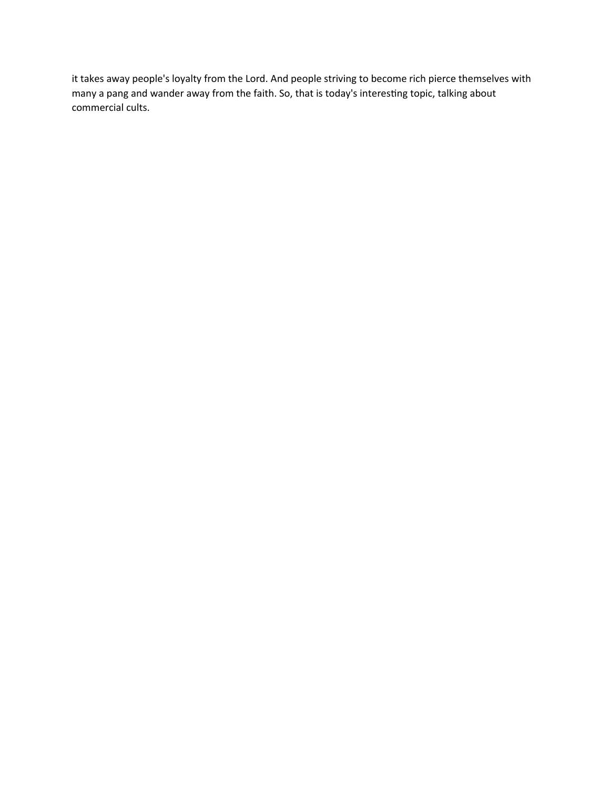it takes away people's loyalty from the Lord. And people striving to become rich pierce themselves with many a pang and wander away from the faith. So, that is today's interesting topic, talking about commercial cults.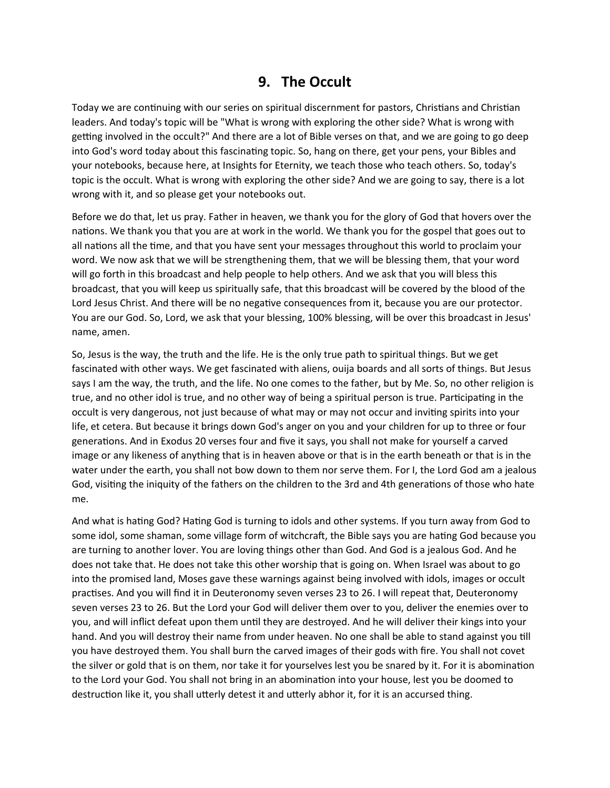#### **9. The Occult**

Today we are continuing with our series on spiritual discernment for pastors, Christians and Christian leaders. And today's topic will be "What is wrong with exploring the other side? What is wrong with getting involved in the occult?" And there are a lot of Bible verses on that, and we are going to go deep into God's word today about this fascinating topic. So, hang on there, get your pens, your Bibles and your notebooks, because here, at Insights for Eternity, we teach those who teach others. So, today's topic is the occult. What is wrong with exploring the other side? And we are going to say, there is a lot wrong with it, and so please get your notebooks out.

Before we do that, let us pray. Father in heaven, we thank you for the glory of God that hovers over the nations. We thank you that you are at work in the world. We thank you for the gospel that goes out to all nations all the time, and that you have sent your messages throughout this world to proclaim your word. We now ask that we will be strengthening them, that we will be blessing them, that your word will go forth in this broadcast and help people to help others. And we ask that you will bless this broadcast, that you will keep us spiritually safe, that this broadcast will be covered by the blood of the Lord Jesus Christ. And there will be no negative consequences from it, because you are our protector. You are our God. So, Lord, we ask that your blessing, 100% blessing, will be over this broadcast in Jesus' name, amen.

So, Jesus is the way, the truth and the life. He is the only true path to spiritual things. But we get fascinated with other ways. We get fascinated with aliens, ouija boards and all sorts of things. But Jesus says I am the way, the truth, and the life. No one comes to the father, but by Me. So, no other religion is true, and no other idol is true, and no other way of being a spiritual person is true. Participating in the occult is very dangerous, not just because of what may or may not occur and inviting spirits into your life, et cetera. But because it brings down God's anger on you and your children for up to three or four generations. And in Exodus 20 verses four and five it says, you shall not make for yourself a carved image or any likeness of anything that is in heaven above or that is in the earth beneath or that is in the water under the earth, you shall not bow down to them nor serve them. For I, the Lord God am a jealous God, visiting the iniquity of the fathers on the children to the 3rd and 4th generations of those who hate me.

And what is hating God? Hating God is turning to idols and other systems. If you turn away from God to some idol, some shaman, some village form of witchcraft, the Bible says you are hating God because you are turning to another lover. You are loving things other than God. And God is a jealous God. And he does not take that. He does not take this other worship that is going on. When Israel was about to go into the promised land, Moses gave these warnings against being involved with idols, images or occult practises. And you will find it in Deuteronomy seven verses 23 to 26. I will repeat that, Deuteronomy seven verses 23 to 26. But the Lord your God will deliver them over to you, deliver the enemies over to you, and will inflict defeat upon them until they are destroyed. And he will deliver their kings into your hand. And you will destroy their name from under heaven. No one shall be able to stand against you till you have destroyed them. You shall burn the carved images of their gods with fire. You shall not covet the silver or gold that is on them, nor take it for yourselves lest you be snared by it. For it is abomination to the Lord your God. You shall not bring in an abomination into your house, lest you be doomed to destruction like it, you shall utterly detest it and utterly abhor it, for it is an accursed thing.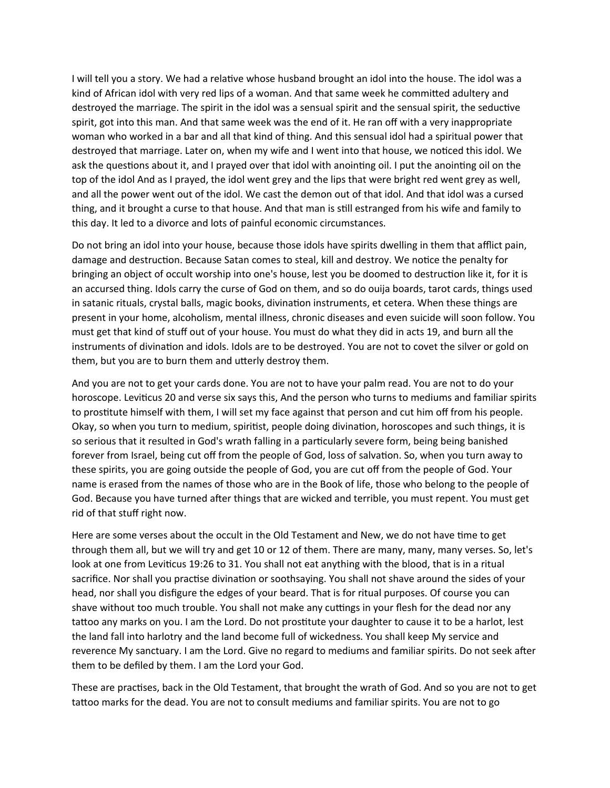I will tell you a story. We had a relative whose husband brought an idol into the house. The idol was a kind of African idol with very red lips of a woman. And that same week he committed adultery and destroyed the marriage. The spirit in the idol was a sensual spirit and the sensual spirit, the seductive spirit, got into this man. And that same week was the end of it. He ran off with a very inappropriate woman who worked in a bar and all that kind of thing. And this sensual idol had a spiritual power that destroyed that marriage. Later on, when my wife and I went into that house, we noticed this idol. We ask the questions about it, and I prayed over that idol with anointing oil. I put the anointing oil on the top of the idol And as I prayed, the idol went grey and the lips that were bright red went grey as well, and all the power went out of the idol. We cast the demon out of that idol. And that idol was a cursed thing, and it brought a curse to that house. And that man is still estranged from his wife and family to this day. It led to a divorce and lots of painful economic circumstances.

Do not bring an idol into your house, because those idols have spirits dwelling in them that afflict pain, damage and destruction. Because Satan comes to steal, kill and destroy. We notice the penalty for bringing an object of occult worship into one's house, lest you be doomed to destruction like it, for it is an accursed thing. Idols carry the curse of God on them, and so do ouija boards, tarot cards, things used in satanic rituals, crystal balls, magic books, divination instruments, et cetera. When these things are present in your home, alcoholism, mental illness, chronic diseases and even suicide will soon follow. You must get that kind of stuff out of your house. You must do what they did in acts 19, and burn all the instruments of divination and idols. Idols are to be destroyed. You are not to covet the silver or gold on them, but you are to burn them and utterly destroy them.

And you are not to get your cards done. You are not to have your palm read. You are not to do your horoscope. Leviticus 20 and verse six says this, And the person who turns to mediums and familiar spirits to prostitute himself with them, I will set my face against that person and cut him off from his people. Okay, so when you turn to medium, spiritist, people doing divination, horoscopes and such things, it is so serious that it resulted in God's wrath falling in a particularly severe form, being being banished forever from Israel, being cut off from the people of God, loss of salvation. So, when you turn away to these spirits, you are going outside the people of God, you are cut off from the people of God. Your name is erased from the names of those who are in the Book of life, those who belong to the people of God. Because you have turned after things that are wicked and terrible, you must repent. You must get rid of that stuff right now.

Here are some verses about the occult in the Old Testament and New, we do not have time to get through them all, but we will try and get 10 or 12 of them. There are many, many, many verses. So, let's look at one from Leviticus 19:26 to 31. You shall not eat anything with the blood, that is in a ritual sacrifice. Nor shall you practise divination or soothsaying. You shall not shave around the sides of your head, nor shall you disfigure the edges of your beard. That is for ritual purposes. Of course you can shave without too much trouble. You shall not make any cuttings in your flesh for the dead nor any tattoo any marks on you. I am the Lord. Do not prostitute your daughter to cause it to be a harlot, lest the land fall into harlotry and the land become full of wickedness. You shall keep My service and reverence My sanctuary. I am the Lord. Give no regard to mediums and familiar spirits. Do not seek after them to be defiled by them. I am the Lord your God.

These are practises, back in the Old Testament, that brought the wrath of God. And so you are not to get tattoo marks for the dead. You are not to consult mediums and familiar spirits. You are not to go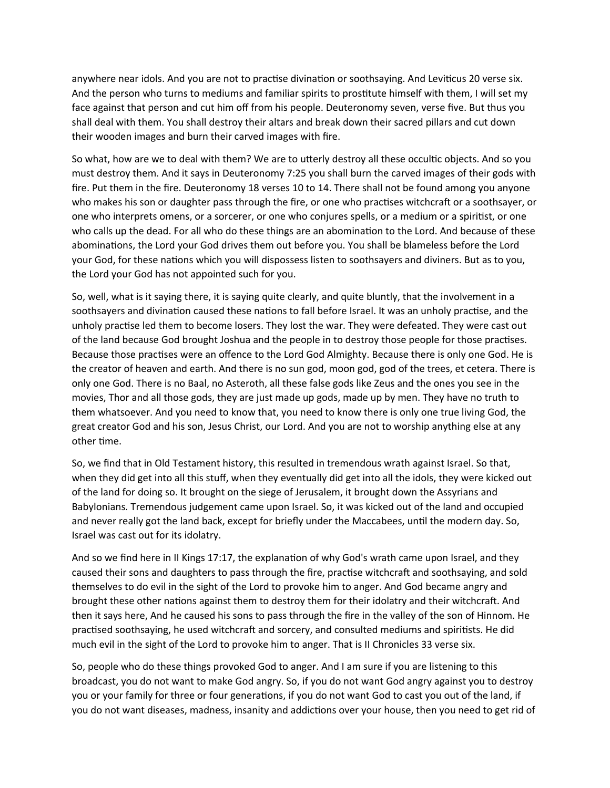anywhere near idols. And you are not to practise divination or soothsaying. And Leviticus 20 verse six. And the person who turns to mediums and familiar spirits to prostitute himself with them, I will set my face against that person and cut him off from his people. Deuteronomy seven, verse five. But thus you shall deal with them. You shall destroy their altars and break down their sacred pillars and cut down their wooden images and burn their carved images with fire.

So what, how are we to deal with them? We are to utterly destroy all these occultic objects. And so you must destroy them. And it says in Deuteronomy 7:25 you shall burn the carved images of their gods with fire. Put them in the fire. Deuteronomy 18 verses 10 to 14. There shall not be found among you anyone who makes his son or daughter pass through the fire, or one who practises witchcraft or a soothsayer, or one who interprets omens, or a sorcerer, or one who conjures spells, or a medium or a spiritist, or one who calls up the dead. For all who do these things are an abomination to the Lord. And because of these abominations, the Lord your God drives them out before you. You shall be blameless before the Lord your God, for these nations which you will dispossess listen to soothsayers and diviners. But as to you, the Lord your God has not appointed such for you.

So, well, what is it saying there, it is saying quite clearly, and quite bluntly, that the involvement in a soothsayers and divination caused these nations to fall before Israel. It was an unholy practise, and the unholy practise led them to become losers. They lost the war. They were defeated. They were cast out of the land because God brought Joshua and the people in to destroy those people for those practises. Because those practises were an offence to the Lord God Almighty. Because there is only one God. He is the creator of heaven and earth. And there is no sun god, moon god, god of the trees, et cetera. There is only one God. There is no Baal, no Asteroth, all these false gods like Zeus and the ones you see in the movies, Thor and all those gods, they are just made up gods, made up by men. They have no truth to them whatsoever. And you need to know that, you need to know there is only one true living God, the great creator God and his son, Jesus Christ, our Lord. And you are not to worship anything else at any other time.

So, we find that in Old Testament history, this resulted in tremendous wrath against Israel. So that, when they did get into all this stuff, when they eventually did get into all the idols, they were kicked out of the land for doing so. It brought on the siege of Jerusalem, it brought down the Assyrians and Babylonians. Tremendous judgement came upon Israel. So, it was kicked out of the land and occupied and never really got the land back, except for briefly under the Maccabees, until the modern day. So, Israel was cast out for its idolatry.

And so we find here in II Kings 17:17, the explanation of why God's wrath came upon Israel, and they caused their sons and daughters to pass through the fire, practise witchcraft and soothsaying, and sold themselves to do evil in the sight of the Lord to provoke him to anger. And God became angry and brought these other nations against them to destroy them for their idolatry and their witchcraft. And then it says here, And he caused his sons to pass through the fire in the valley of the son of Hinnom. He practised soothsaying, he used witchcraft and sorcery, and consulted mediums and spiritists. He did much evil in the sight of the Lord to provoke him to anger. That is II Chronicles 33 verse six.

So, people who do these things provoked God to anger. And I am sure if you are listening to this broadcast, you do not want to make God angry. So, if you do not want God angry against you to destroy you or your family for three or four generations, if you do not want God to cast you out of the land, if you do not want diseases, madness, insanity and addictions over your house, then you need to get rid of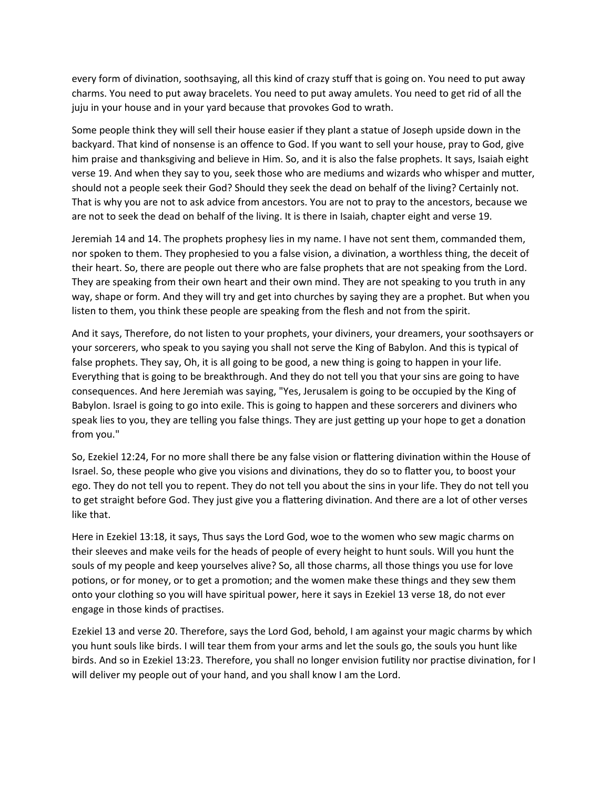every form of divination, soothsaying, all this kind of crazy stuff that is going on. You need to put away charms. You need to put away bracelets. You need to put away amulets. You need to get rid of all the juju in your house and in your yard because that provokes God to wrath.

Some people think they will sell their house easier if they plant a statue of Joseph upside down in the backyard. That kind of nonsense is an offence to God. If you want to sell your house, pray to God, give him praise and thanksgiving and believe in Him. So, and it is also the false prophets. It says, Isaiah eight verse 19. And when they say to you, seek those who are mediums and wizards who whisper and mutter, should not a people seek their God? Should they seek the dead on behalf of the living? Certainly not. That is why you are not to ask advice from ancestors. You are not to pray to the ancestors, because we are not to seek the dead on behalf of the living. It is there in Isaiah, chapter eight and verse 19.

Jeremiah 14 and 14. The prophets prophesy lies in my name. I have not sent them, commanded them, nor spoken to them. They prophesied to you a false vision, a divination, a worthless thing, the deceit of their heart. So, there are people out there who are false prophets that are not speaking from the Lord. They are speaking from their own heart and their own mind. They are not speaking to you truth in any way, shape or form. And they will try and get into churches by saying they are a prophet. But when you listen to them, you think these people are speaking from the flesh and not from the spirit.

And it says, Therefore, do not listen to your prophets, your diviners, your dreamers, your soothsayers or your sorcerers, who speak to you saying you shall not serve the King of Babylon. And this is typical of false prophets. They say, Oh, it is all going to be good, a new thing is going to happen in your life. Everything that is going to be breakthrough. And they do not tell you that your sins are going to have consequences. And here Jeremiah was saying, "Yes, Jerusalem is going to be occupied by the King of Babylon. Israel is going to go into exile. This is going to happen and these sorcerers and diviners who speak lies to you, they are telling you false things. They are just getting up your hope to get a donation from you."

So, Ezekiel 12:24, For no more shall there be any false vision or flattering divination within the House of Israel. So, these people who give you visions and divinations, they do so to flatter you, to boost your ego. They do not tell you to repent. They do not tell you about the sins in your life. They do not tell you to get straight before God. They just give you a flattering divination. And there are a lot of other verses like that.

Here in Ezekiel 13:18, it says, Thus says the Lord God, woe to the women who sew magic charms on their sleeves and make veils for the heads of people of every height to hunt souls. Will you hunt the souls of my people and keep yourselves alive? So, all those charms, all those things you use for love potions, or for money, or to get a promotion; and the women make these things and they sew them onto your clothing so you will have spiritual power, here it says in Ezekiel 13 verse 18, do not ever engage in those kinds of practises.

Ezekiel 13 and verse 20. Therefore, says the Lord God, behold, I am against your magic charms by which you hunt souls like birds. I will tear them from your arms and let the souls go, the souls you hunt like birds. And so in Ezekiel 13:23. Therefore, you shall no longer envision futility nor practise divination, for I will deliver my people out of your hand, and you shall know I am the Lord.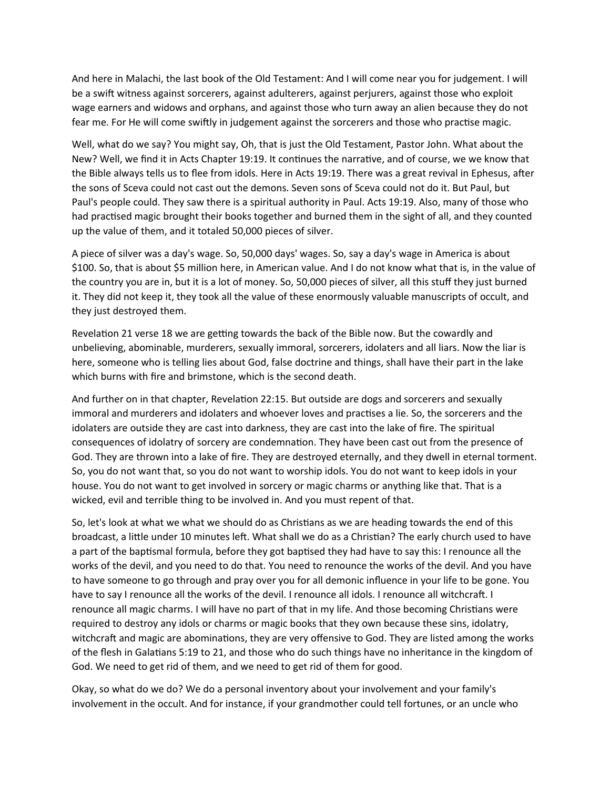And here in Malachi, the last book of the Old Testament: And I will come near you for judgement. I will be a swift witness against sorcerers, against adulterers, against perjurers, against those who exploit wage earners and widows and orphans, and against those who turn away an alien because they do not fear me. For He will come swiftly in judgement against the sorcerers and those who practise magic.

Well, what do we say? You might say, Oh, that is just the Old Testament, Pastor John. What about the New? Well, we find it in Acts Chapter 19:19. It continues the narrative, and of course, we we know that the Bible always tells us to flee from idols. Here in Acts 19:19. There was a great revival in Ephesus, after the sons of Sceva could not cast out the demons. Seven sons of Sceva could not do it. But Paul, but Paul's people could. They saw there is a spiritual authority in Paul. Acts 19:19. Also, many of those who had practised magic brought their books together and burned them in the sight of all, and they counted up the value of them, and it totaled 50,000 pieces of silver.

A piece of silver was a day's wage. So, 50,000 days' wages. So, say a day's wage in America is about \$100. So, that is about \$5 million here, in American value. And I do not know what that is, in the value of the country you are in, but it is a lot of money. So, 50,000 pieces of silver, all this stuff they just burned it. They did not keep it, they took all the value of these enormously valuable manuscripts of occult, and they just destroyed them.

Revelation 21 verse 18 we are getting towards the back of the Bible now. But the cowardly and unbelieving, abominable, murderers, sexually immoral, sorcerers, idolaters and all liars. Now the liar is here, someone who is telling lies about God, false doctrine and things, shall have their part in the lake which burns with fire and brimstone, which is the second death.

And further on in that chapter, Revelation 22:15. But outside are dogs and sorcerers and sexually immoral and murderers and idolaters and whoever loves and practises a lie. So, the sorcerers and the idolaters are outside they are cast into darkness, they are cast into the lake of fire. The spiritual consequences of idolatry of sorcery are condemnation. They have been cast out from the presence of God. They are thrown into a lake of fire. They are destroyed eternally, and they dwell in eternal torment. So, you do not want that, so you do not want to worship idols. You do not want to keep idols in your house. You do not want to get involved in sorcery or magic charms or anything like that. That is a wicked, evil and terrible thing to be involved in. And you must repent of that.

So, let's look at what we what we should do as Christians as we are heading towards the end of this broadcast, a little under 10 minutes left. What shall we do as a Christian? The early church used to have a part of the baptismal formula, before they got baptised they had have to say this: I renounce all the works of the devil, and you need to do that. You need to renounce the works of the devil. And you have to have someone to go through and pray over you for all demonic influence in your life to be gone. You have to say I renounce all the works of the devil. I renounce all idols. I renounce all witchcraft. I renounce all magic charms. I will have no part of that in my life. And those becoming Christians were required to destroy any idols or charms or magic books that they own because these sins, idolatry, witchcraft and magic are abominations, they are very offensive to God. They are listed among the works of the flesh in Galatians 5:19 to 21, and those who do such things have no inheritance in the kingdom of God. We need to get rid of them, and we need to get rid of them for good.

Okay, so what do we do? We do a personal inventory about your involvement and your family's involvement in the occult. And for instance, if your grandmother could tell fortunes, or an uncle who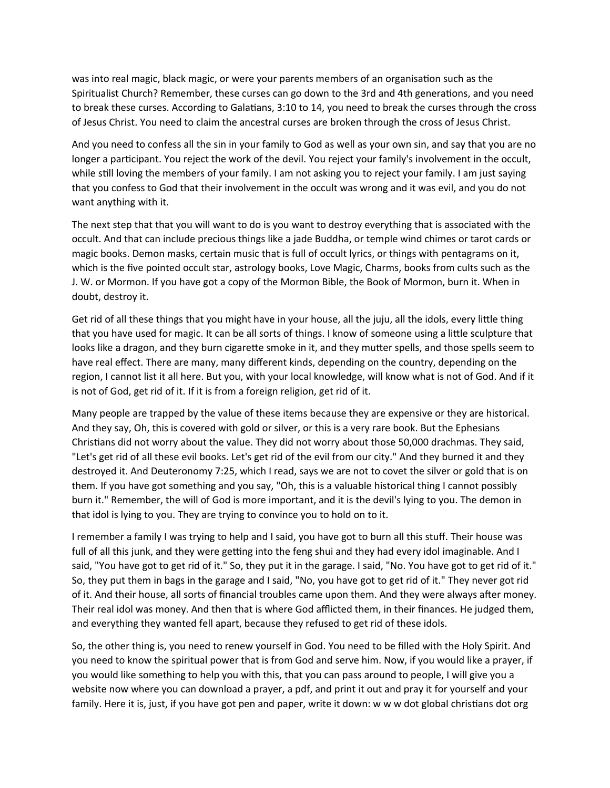was into real magic, black magic, or were your parents members of an organisation such as the Spiritualist Church? Remember, these curses can go down to the 3rd and 4th generations, and you need to break these curses. According to Galatians, 3:10 to 14, you need to break the curses through the cross of Jesus Christ. You need to claim the ancestral curses are broken through the cross of Jesus Christ.

And you need to confess all the sin in your family to God as well as your own sin, and say that you are no longer a participant. You reject the work of the devil. You reject your family's involvement in the occult, while still loving the members of your family. I am not asking you to reject your family. I am just saying that you confess to God that their involvement in the occult was wrong and it was evil, and you do not want anything with it.

The next step that that you will want to do is you want to destroy everything that is associated with the occult. And that can include precious things like a jade Buddha, or temple wind chimes or tarot cards or magic books. Demon masks, certain music that is full of occult lyrics, or things with pentagrams on it, which is the five pointed occult star, astrology books, Love Magic, Charms, books from cults such as the J. W. or Mormon. If you have got a copy of the Mormon Bible, the Book of Mormon, burn it. When in doubt, destroy it.

Get rid of all these things that you might have in your house, all the juju, all the idols, every little thing that you have used for magic. It can be all sorts of things. I know of someone using a little sculpture that looks like a dragon, and they burn cigarette smoke in it, and they mutter spells, and those spells seem to have real effect. There are many, many different kinds, depending on the country, depending on the region, I cannot list it all here. But you, with your local knowledge, will know what is not of God. And if it is not of God, get rid of it. If it is from a foreign religion, get rid of it.

Many people are trapped by the value of these items because they are expensive or they are historical. And they say, Oh, this is covered with gold or silver, or this is a very rare book. But the Ephesians Christians did not worry about the value. They did not worry about those 50,000 drachmas. They said, "Let's get rid of all these evil books. Let's get rid of the evil from our city." And they burned it and they destroyed it. And Deuteronomy 7:25, which I read, says we are not to covet the silver or gold that is on them. If you have got something and you say, "Oh, this is a valuable historical thing I cannot possibly burn it." Remember, the will of God is more important, and it is the devil's lying to you. The demon in that idol is lying to you. They are trying to convince you to hold on to it.

I remember a family I was trying to help and I said, you have got to burn all this stuff. Their house was full of all this junk, and they were getting into the feng shui and they had every idol imaginable. And I said, "You have got to get rid of it." So, they put it in the garage. I said, "No. You have got to get rid of it." So, they put them in bags in the garage and I said, "No, you have got to get rid of it." They never got rid of it. And their house, all sorts of financial troubles came upon them. And they were always after money. Their real idol was money. And then that is where God afflicted them, in their finances. He judged them, and everything they wanted fell apart, because they refused to get rid of these idols.

So, the other thing is, you need to renew yourself in God. You need to be filled with the Holy Spirit. And you need to know the spiritual power that is from God and serve him. Now, if you would like a prayer, if you would like something to help you with this, that you can pass around to people, I will give you a website now where you can download a prayer, a pdf, and print it out and pray it for yourself and your family. Here it is, just, if you have got pen and paper, write it down: w w w dot global christians dot org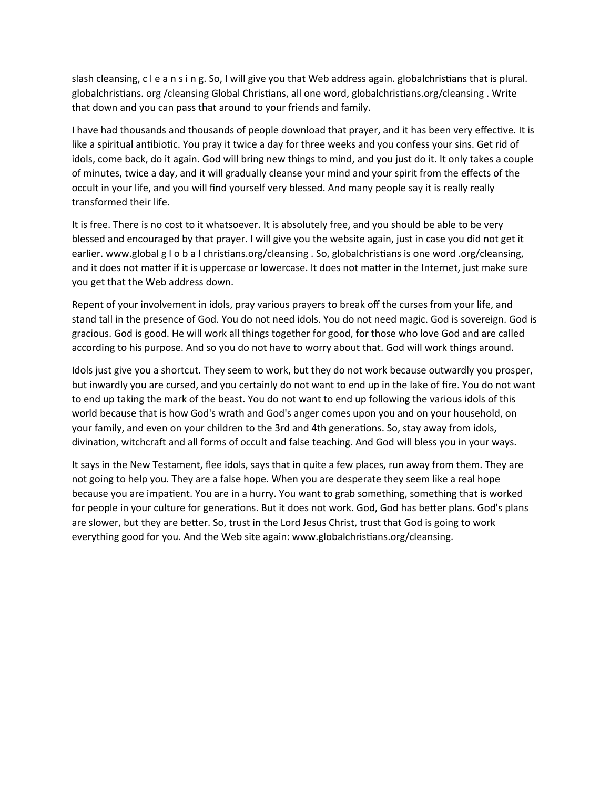slash cleansing, c l e a n s i n g. So, I will give you that Web address again. globalchristians that is plural. globalchristians. org /cleansing Global Christians, all one word, globalchristians.org/cleansing . Write that down and you can pass that around to your friends and family.

I have had thousands and thousands of people download that prayer, and it has been very effective. It is like a spiritual antibiotic. You pray it twice a day for three weeks and you confess your sins. Get rid of idols, come back, do it again. God will bring new things to mind, and you just do it. It only takes a couple of minutes, twice a day, and it will gradually cleanse your mind and your spirit from the effects of the occult in your life, and you will find yourself very blessed. And many people say it is really really transformed their life.

It is free. There is no cost to it whatsoever. It is absolutely free, and you should be able to be very blessed and encouraged by that prayer. I will give you the website again, just in case you did not get it earlier. www.global g l o b a l christians.org/cleansing . So, globalchristians is one word .org/cleansing, and it does not matter if it is uppercase or lowercase. It does not matter in the Internet, just make sure you get that the Web address down.

Repent of your involvement in idols, pray various prayers to break off the curses from your life, and stand tall in the presence of God. You do not need idols. You do not need magic. God is sovereign. God is gracious. God is good. He will work all things together for good, for those who love God and are called according to his purpose. And so you do not have to worry about that. God will work things around.

Idols just give you a shortcut. They seem to work, but they do not work because outwardly you prosper, but inwardly you are cursed, and you certainly do not want to end up in the lake of fire. You do not want to end up taking the mark of the beast. You do not want to end up following the various idols of this world because that is how God's wrath and God's anger comes upon you and on your household, on your family, and even on your children to the 3rd and 4th generations. So, stay away from idols, divination, witchcraft and all forms of occult and false teaching. And God will bless you in your ways.

It says in the New Testament, flee idols, says that in quite a few places, run away from them. They are not going to help you. They are a false hope. When you are desperate they seem like a real hope because you are impatient. You are in a hurry. You want to grab something, something that is worked for people in your culture for generations. But it does not work. God, God has better plans. God's plans are slower, but they are better. So, trust in the Lord Jesus Christ, trust that God is going to work everything good for you. And the Web site again: www.globalchristians.org/cleansing.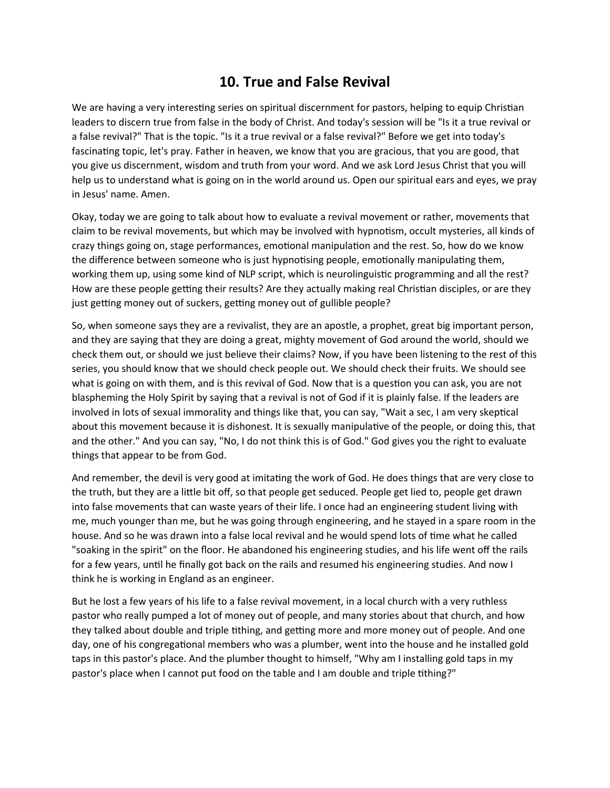#### **10. True and False Revival**

We are having a very interesting series on spiritual discernment for pastors, helping to equip Christian leaders to discern true from false in the body of Christ. And today's session will be "Is it a true revival or a false revival?" That is the topic. "Is it a true revival or a false revival?" Before we get into today's fascinating topic, let's pray. Father in heaven, we know that you are gracious, that you are good, that you give us discernment, wisdom and truth from your word. And we ask Lord Jesus Christ that you will help us to understand what is going on in the world around us. Open our spiritual ears and eyes, we pray in Jesus' name. Amen.

Okay, today we are going to talk about how to evaluate a revival movement or rather, movements that claim to be revival movements, but which may be involved with hypnotism, occult mysteries, all kinds of crazy things going on, stage performances, emotional manipulation and the rest. So, how do we know the difference between someone who is just hypnotising people, emotionally manipulating them, working them up, using some kind of NLP script, which is neurolinguistic programming and all the rest? How are these people getting their results? Are they actually making real Christian disciples, or are they just getting money out of suckers, getting money out of gullible people?

So, when someone says they are a revivalist, they are an apostle, a prophet, great big important person, and they are saying that they are doing a great, mighty movement of God around the world, should we check them out, or should we just believe their claims? Now, if you have been listening to the rest of this series, you should know that we should check people out. We should check their fruits. We should see what is going on with them, and is this revival of God. Now that is a question you can ask, you are not blaspheming the Holy Spirit by saying that a revival is not of God if it is plainly false. If the leaders are involved in lots of sexual immorality and things like that, you can say, "Wait a sec, I am very skeptical about this movement because it is dishonest. It is sexually manipulative of the people, or doing this, that and the other." And you can say, "No, I do not think this is of God." God gives you the right to evaluate things that appear to be from God.

And remember, the devil is very good at imitating the work of God. He does things that are very close to the truth, but they are a little bit off, so that people get seduced. People get lied to, people get drawn into false movements that can waste years of their life. I once had an engineering student living with me, much younger than me, but he was going through engineering, and he stayed in a spare room in the house. And so he was drawn into a false local revival and he would spend lots of time what he called "soaking in the spirit" on the floor. He abandoned his engineering studies, and his life went off the rails for a few years, until he finally got back on the rails and resumed his engineering studies. And now I think he is working in England as an engineer.

But he lost a few years of his life to a false revival movement, in a local church with a very ruthless pastor who really pumped a lot of money out of people, and many stories about that church, and how they talked about double and triple tithing, and getting more and more money out of people. And one day, one of his congregational members who was a plumber, went into the house and he installed gold taps in this pastor's place. And the plumber thought to himself, "Why am I installing gold taps in my pastor's place when I cannot put food on the table and I am double and triple tithing?"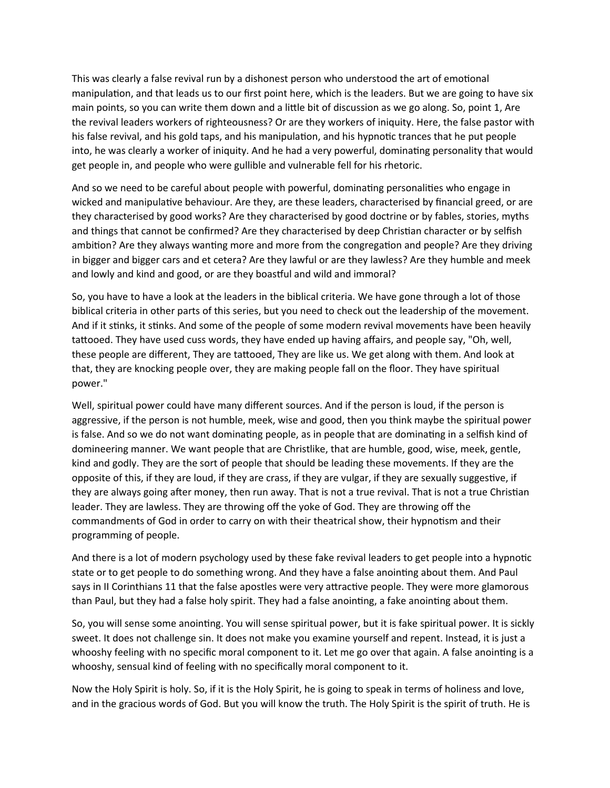This was clearly a false revival run by a dishonest person who understood the art of emotional manipulation, and that leads us to our first point here, which is the leaders. But we are going to have six main points, so you can write them down and a little bit of discussion as we go along. So, point 1, Are the revival leaders workers of righteousness? Or are they workers of iniquity. Here, the false pastor with his false revival, and his gold taps, and his manipulation, and his hypnotic trances that he put people into, he was clearly a worker of iniquity. And he had a very powerful, dominating personality that would get people in, and people who were gullible and vulnerable fell for his rhetoric.

And so we need to be careful about people with powerful, dominating personalities who engage in wicked and manipulative behaviour. Are they, are these leaders, characterised by financial greed, or are they characterised by good works? Are they characterised by good doctrine or by fables, stories, myths and things that cannot be confirmed? Are they characterised by deep Christian character or by selfish ambition? Are they always wanting more and more from the congregation and people? Are they driving in bigger and bigger cars and et cetera? Are they lawful or are they lawless? Are they humble and meek and lowly and kind and good, or are they boastful and wild and immoral?

So, you have to have a look at the leaders in the biblical criteria. We have gone through a lot of those biblical criteria in other parts of this series, but you need to check out the leadership of the movement. And if it stinks, it stinks. And some of the people of some modern revival movements have been heavily tattooed. They have used cuss words, they have ended up having affairs, and people say, "Oh, well, these people are different, They are tattooed, They are like us. We get along with them. And look at that, they are knocking people over, they are making people fall on the floor. They have spiritual power."

Well, spiritual power could have many different sources. And if the person is loud, if the person is aggressive, if the person is not humble, meek, wise and good, then you think maybe the spiritual power is false. And so we do not want dominating people, as in people that are dominating in a selfish kind of domineering manner. We want people that are Christlike, that are humble, good, wise, meek, gentle, kind and godly. They are the sort of people that should be leading these movements. If they are the opposite of this, if they are loud, if they are crass, if they are vulgar, if they are sexually suggestive, if they are always going after money, then run away. That is not a true revival. That is not a true Christian leader. They are lawless. They are throwing off the yoke of God. They are throwing off the commandments of God in order to carry on with their theatrical show, their hypnotism and their programming of people.

And there is a lot of modern psychology used by these fake revival leaders to get people into a hypnotic state or to get people to do something wrong. And they have a false anointing about them. And Paul says in II Corinthians 11 that the false apostles were very attractive people. They were more glamorous than Paul, but they had a false holy spirit. They had a false anointing, a fake anointing about them.

So, you will sense some anointing. You will sense spiritual power, but it is fake spiritual power. It is sickly sweet. It does not challenge sin. It does not make you examine yourself and repent. Instead, it is just a whooshy feeling with no specific moral component to it. Let me go over that again. A false anointing is a whooshy, sensual kind of feeling with no specifically moral component to it.

Now the Holy Spirit is holy. So, if it is the Holy Spirit, he is going to speak in terms of holiness and love, and in the gracious words of God. But you will know the truth. The Holy Spirit is the spirit of truth. He is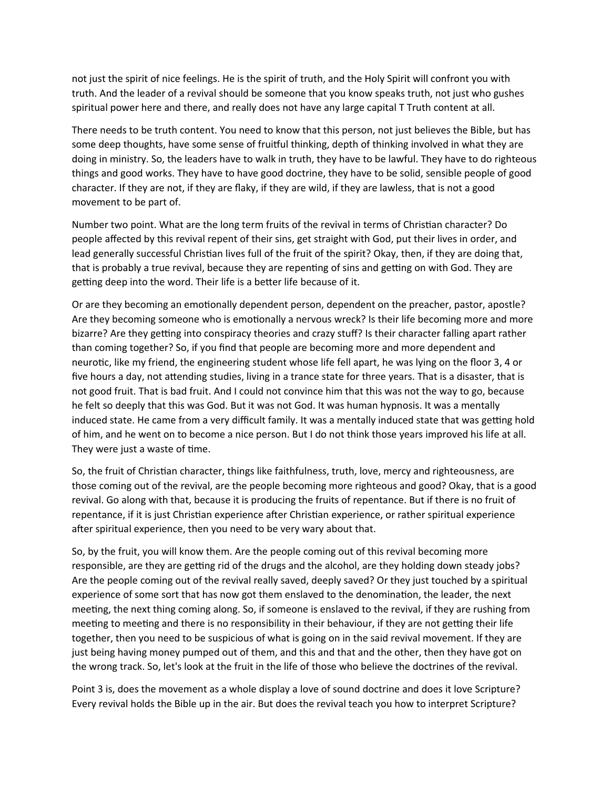not just the spirit of nice feelings. He is the spirit of truth, and the Holy Spirit will confront you with truth. And the leader of a revival should be someone that you know speaks truth, not just who gushes spiritual power here and there, and really does not have any large capital T Truth content at all.

There needs to be truth content. You need to know that this person, not just believes the Bible, but has some deep thoughts, have some sense of fruitful thinking, depth of thinking involved in what they are doing in ministry. So, the leaders have to walk in truth, they have to be lawful. They have to do righteous things and good works. They have to have good doctrine, they have to be solid, sensible people of good character. If they are not, if they are flaky, if they are wild, if they are lawless, that is not a good movement to be part of.

Number two point. What are the long term fruits of the revival in terms of Christian character? Do people affected by this revival repent of their sins, get straight with God, put their lives in order, and lead generally successful Christian lives full of the fruit of the spirit? Okay, then, if they are doing that, that is probably a true revival, because they are repenting of sins and getting on with God. They are getting deep into the word. Their life is a better life because of it.

Or are they becoming an emotionally dependent person, dependent on the preacher, pastor, apostle? Are they becoming someone who is emotionally a nervous wreck? Is their life becoming more and more bizarre? Are they getting into conspiracy theories and crazy stuff? Is their character falling apart rather than coming together? So, if you find that people are becoming more and more dependent and neurotic, like my friend, the engineering student whose life fell apart, he was lying on the floor 3, 4 or five hours a day, not attending studies, living in a trance state for three years. That is a disaster, that is not good fruit. That is bad fruit. And I could not convince him that this was not the way to go, because he felt so deeply that this was God. But it was not God. It was human hypnosis. It was a mentally induced state. He came from a very difficult family. It was a mentally induced state that was getting hold of him, and he went on to become a nice person. But I do not think those years improved his life at all. They were just a waste of time.

So, the fruit of Christian character, things like faithfulness, truth, love, mercy and righteousness, are those coming out of the revival, are the people becoming more righteous and good? Okay, that is a good revival. Go along with that, because it is producing the fruits of repentance. But if there is no fruit of repentance, if it is just Christian experience after Christian experience, or rather spiritual experience after spiritual experience, then you need to be very wary about that.

So, by the fruit, you will know them. Are the people coming out of this revival becoming more responsible, are they are getting rid of the drugs and the alcohol, are they holding down steady jobs? Are the people coming out of the revival really saved, deeply saved? Or they just touched by a spiritual experience of some sort that has now got them enslaved to the denomination, the leader, the next meeting, the next thing coming along. So, if someone is enslaved to the revival, if they are rushing from meeting to meeting and there is no responsibility in their behaviour, if they are not getting their life together, then you need to be suspicious of what is going on in the said revival movement. If they are just being having money pumped out of them, and this and that and the other, then they have got on the wrong track. So, let's look at the fruit in the life of those who believe the doctrines of the revival.

Point 3 is, does the movement as a whole display a love of sound doctrine and does it love Scripture? Every revival holds the Bible up in the air. But does the revival teach you how to interpret Scripture?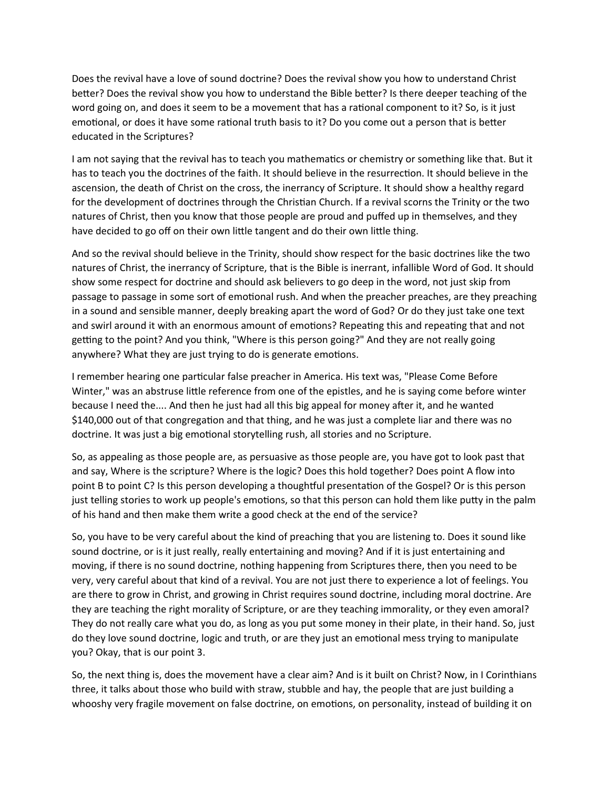Does the revival have a love of sound doctrine? Does the revival show you how to understand Christ better? Does the revival show you how to understand the Bible better? Is there deeper teaching of the word going on, and does it seem to be a movement that has a rational component to it? So, is it just emotional, or does it have some rational truth basis to it? Do you come out a person that is better educated in the Scriptures?

I am not saying that the revival has to teach you mathematics or chemistry or something like that. But it has to teach you the doctrines of the faith. It should believe in the resurrection. It should believe in the ascension, the death of Christ on the cross, the inerrancy of Scripture. It should show a healthy regard for the development of doctrines through the Christian Church. If a revival scorns the Trinity or the two natures of Christ, then you know that those people are proud and puffed up in themselves, and they have decided to go off on their own little tangent and do their own little thing.

And so the revival should believe in the Trinity, should show respect for the basic doctrines like the two natures of Christ, the inerrancy of Scripture, that is the Bible is inerrant, infallible Word of God. It should show some respect for doctrine and should ask believers to go deep in the word, not just skip from passage to passage in some sort of emotional rush. And when the preacher preaches, are they preaching in a sound and sensible manner, deeply breaking apart the word of God? Or do they just take one text and swirl around it with an enormous amount of emotions? Repeating this and repeating that and not getting to the point? And you think, "Where is this person going?" And they are not really going anywhere? What they are just trying to do is generate emotions.

I remember hearing one particular false preacher in America. His text was, "Please Come Before Winter," was an abstruse little reference from one of the epistles, and he is saying come before winter because I need the.... And then he just had all this big appeal for money after it, and he wanted \$140,000 out of that congregation and that thing, and he was just a complete liar and there was no doctrine. It was just a big emotional storytelling rush, all stories and no Scripture.

So, as appealing as those people are, as persuasive as those people are, you have got to look past that and say, Where is the scripture? Where is the logic? Does this hold together? Does point A flow into point B to point C? Is this person developing a thoughtful presentation of the Gospel? Or is this person just telling stories to work up people's emotions, so that this person can hold them like putty in the palm of his hand and then make them write a good check at the end of the service?

So, you have to be very careful about the kind of preaching that you are listening to. Does it sound like sound doctrine, or is it just really, really entertaining and moving? And if it is just entertaining and moving, if there is no sound doctrine, nothing happening from Scriptures there, then you need to be very, very careful about that kind of a revival. You are not just there to experience a lot of feelings. You are there to grow in Christ, and growing in Christ requires sound doctrine, including moral doctrine. Are they are teaching the right morality of Scripture, or are they teaching immorality, or they even amoral? They do not really care what you do, as long as you put some money in their plate, in their hand. So, just do they love sound doctrine, logic and truth, or are they just an emotional mess trying to manipulate you? Okay, that is our point 3.

So, the next thing is, does the movement have a clear aim? And is it built on Christ? Now, in I Corinthians three, it talks about those who build with straw, stubble and hay, the people that are just building a whooshy very fragile movement on false doctrine, on emotions, on personality, instead of building it on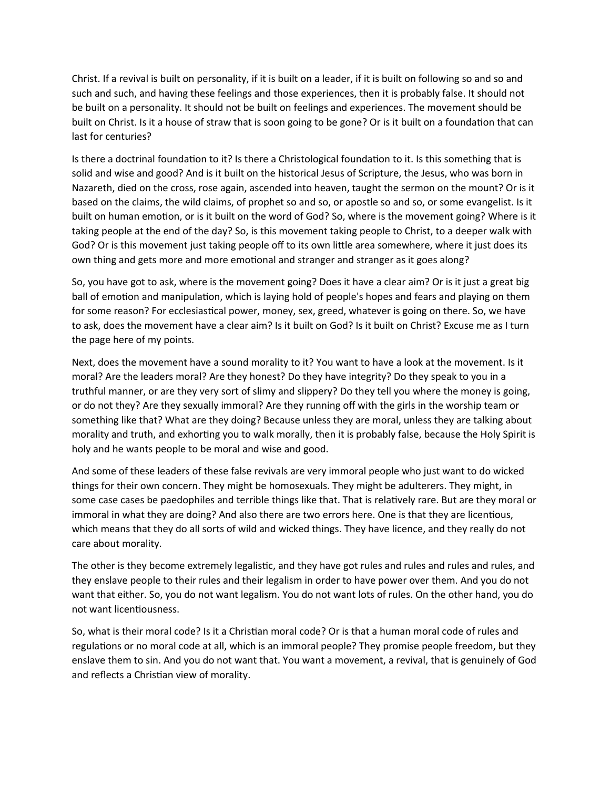Christ. If a revival is built on personality, if it is built on a leader, if it is built on following so and so and such and such, and having these feelings and those experiences, then it is probably false. It should not be built on a personality. It should not be built on feelings and experiences. The movement should be built on Christ. Is it a house of straw that is soon going to be gone? Or is it built on a foundation that can last for centuries?

Is there a doctrinal foundation to it? Is there a Christological foundation to it. Is this something that is solid and wise and good? And is it built on the historical Jesus of Scripture, the Jesus, who was born in Nazareth, died on the cross, rose again, ascended into heaven, taught the sermon on the mount? Or is it based on the claims, the wild claims, of prophet so and so, or apostle so and so, or some evangelist. Is it built on human emotion, or is it built on the word of God? So, where is the movement going? Where is it taking people at the end of the day? So, is this movement taking people to Christ, to a deeper walk with God? Or is this movement just taking people off to its own little area somewhere, where it just does its own thing and gets more and more emotional and stranger and stranger as it goes along?

So, you have got to ask, where is the movement going? Does it have a clear aim? Or is it just a great big ball of emotion and manipulation, which is laying hold of people's hopes and fears and playing on them for some reason? For ecclesiastical power, money, sex, greed, whatever is going on there. So, we have to ask, does the movement have a clear aim? Is it built on God? Is it built on Christ? Excuse me as I turn the page here of my points.

Next, does the movement have a sound morality to it? You want to have a look at the movement. Is it moral? Are the leaders moral? Are they honest? Do they have integrity? Do they speak to you in a truthful manner, or are they very sort of slimy and slippery? Do they tell you where the money is going, or do not they? Are they sexually immoral? Are they running off with the girls in the worship team or something like that? What are they doing? Because unless they are moral, unless they are talking about morality and truth, and exhorting you to walk morally, then it is probably false, because the Holy Spirit is holy and he wants people to be moral and wise and good.

And some of these leaders of these false revivals are very immoral people who just want to do wicked things for their own concern. They might be homosexuals. They might be adulterers. They might, in some case cases be paedophiles and terrible things like that. That is relatively rare. But are they moral or immoral in what they are doing? And also there are two errors here. One is that they are licentious, which means that they do all sorts of wild and wicked things. They have licence, and they really do not care about morality.

The other is they become extremely legalistic, and they have got rules and rules and rules and rules, and they enslave people to their rules and their legalism in order to have power over them. And you do not want that either. So, you do not want legalism. You do not want lots of rules. On the other hand, you do not want licentiousness.

So, what is their moral code? Is it a Christian moral code? Or is that a human moral code of rules and regulations or no moral code at all, which is an immoral people? They promise people freedom, but they enslave them to sin. And you do not want that. You want a movement, a revival, that is genuinely of God and reflects a Christian view of morality.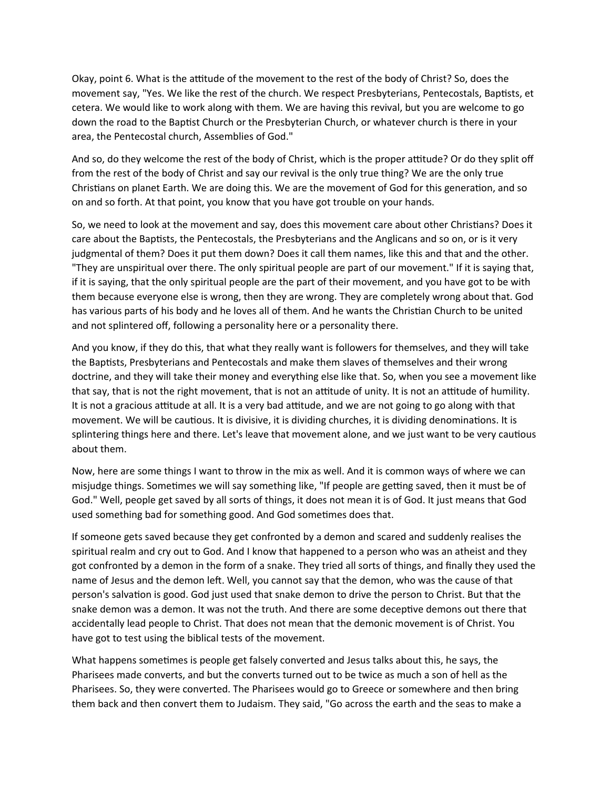Okay, point 6. What is the attitude of the movement to the rest of the body of Christ? So, does the movement say, "Yes. We like the rest of the church. We respect Presbyterians, Pentecostals, Baptists, et cetera. We would like to work along with them. We are having this revival, but you are welcome to go down the road to the Baptist Church or the Presbyterian Church, or whatever church is there in your area, the Pentecostal church, Assemblies of God."

And so, do they welcome the rest of the body of Christ, which is the proper attitude? Or do they split off from the rest of the body of Christ and say our revival is the only true thing? We are the only true Christians on planet Earth. We are doing this. We are the movement of God for this generation, and so on and so forth. At that point, you know that you have got trouble on your hands.

So, we need to look at the movement and say, does this movement care about other Christians? Does it care about the Baptists, the Pentecostals, the Presbyterians and the Anglicans and so on, or is it very judgmental of them? Does it put them down? Does it call them names, like this and that and the other. "They are unspiritual over there. The only spiritual people are part of our movement." If it is saying that, if it is saying, that the only spiritual people are the part of their movement, and you have got to be with them because everyone else is wrong, then they are wrong. They are completely wrong about that. God has various parts of his body and he loves all of them. And he wants the Christian Church to be united and not splintered off, following a personality here or a personality there.

And you know, if they do this, that what they really want is followers for themselves, and they will take the Baptists, Presbyterians and Pentecostals and make them slaves of themselves and their wrong doctrine, and they will take their money and everything else like that. So, when you see a movement like that say, that is not the right movement, that is not an attitude of unity. It is not an attitude of humility. It is not a gracious attitude at all. It is a very bad attitude, and we are not going to go along with that movement. We will be cautious. It is divisive, it is dividing churches, it is dividing denominations. It is splintering things here and there. Let's leave that movement alone, and we just want to be very cautious about them.

Now, here are some things I want to throw in the mix as well. And it is common ways of where we can misjudge things. Sometimes we will say something like, "If people are getting saved, then it must be of God." Well, people get saved by all sorts of things, it does not mean it is of God. It just means that God used something bad for something good. And God sometimes does that.

If someone gets saved because they get confronted by a demon and scared and suddenly realises the spiritual realm and cry out to God. And I know that happened to a person who was an atheist and they got confronted by a demon in the form of a snake. They tried all sorts of things, and finally they used the name of Jesus and the demon left. Well, you cannot say that the demon, who was the cause of that person's salvation is good. God just used that snake demon to drive the person to Christ. But that the snake demon was a demon. It was not the truth. And there are some deceptive demons out there that accidentally lead people to Christ. That does not mean that the demonic movement is of Christ. You have got to test using the biblical tests of the movement.

What happens sometimes is people get falsely converted and Jesus talks about this, he says, the Pharisees made converts, and but the converts turned out to be twice as much a son of hell as the Pharisees. So, they were converted. The Pharisees would go to Greece or somewhere and then bring them back and then convert them to Judaism. They said, "Go across the earth and the seas to make a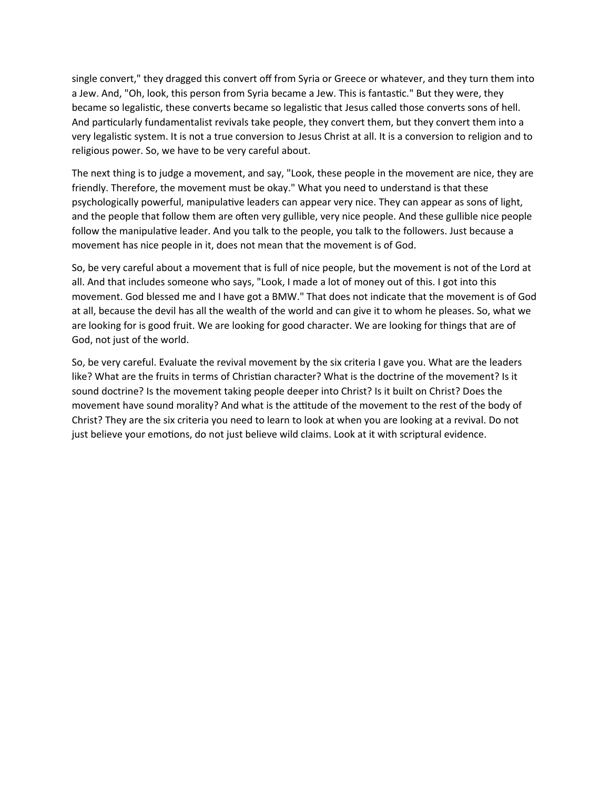single convert," they dragged this convert off from Syria or Greece or whatever, and they turn them into a Jew. And, "Oh, look, this person from Syria became a Jew. This is fantastic." But they were, they became so legalistic, these converts became so legalistic that Jesus called those converts sons of hell. And particularly fundamentalist revivals take people, they convert them, but they convert them into a very legalistic system. It is not a true conversion to Jesus Christ at all. It is a conversion to religion and to religious power. So, we have to be very careful about.

The next thing is to judge a movement, and say, "Look, these people in the movement are nice, they are friendly. Therefore, the movement must be okay." What you need to understand is that these psychologically powerful, manipulative leaders can appear very nice. They can appear as sons of light, and the people that follow them are often very gullible, very nice people. And these gullible nice people follow the manipulative leader. And you talk to the people, you talk to the followers. Just because a movement has nice people in it, does not mean that the movement is of God.

So, be very careful about a movement that is full of nice people, but the movement is not of the Lord at all. And that includes someone who says, "Look, I made a lot of money out of this. I got into this movement. God blessed me and I have got a BMW." That does not indicate that the movement is of God at all, because the devil has all the wealth of the world and can give it to whom he pleases. So, what we are looking for is good fruit. We are looking for good character. We are looking for things that are of God, not just of the world.

So, be very careful. Evaluate the revival movement by the six criteria I gave you. What are the leaders like? What are the fruits in terms of Christian character? What is the doctrine of the movement? Is it sound doctrine? Is the movement taking people deeper into Christ? Is it built on Christ? Does the movement have sound morality? And what is the attitude of the movement to the rest of the body of Christ? They are the six criteria you need to learn to look at when you are looking at a revival. Do not just believe your emotions, do not just believe wild claims. Look at it with scriptural evidence.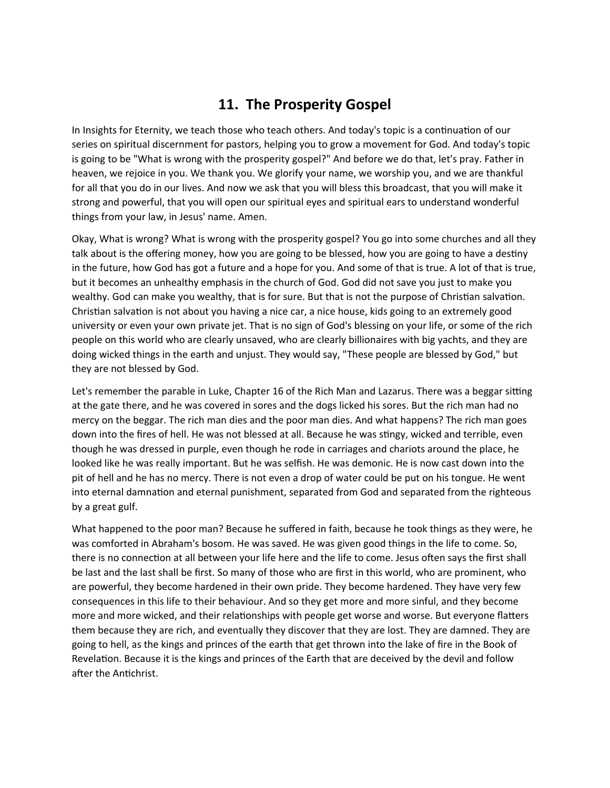## **11. The Prosperity Gospel**

In Insights for Eternity, we teach those who teach others. And today's topic is a continuation of our series on spiritual discernment for pastors, helping you to grow a movement for God. And today's topic is going to be "What is wrong with the prosperity gospel?" And before we do that, let's pray. Father in heaven, we rejoice in you. We thank you. We glorify your name, we worship you, and we are thankful for all that you do in our lives. And now we ask that you will bless this broadcast, that you will make it strong and powerful, that you will open our spiritual eyes and spiritual ears to understand wonderful things from your law, in Jesus' name. Amen.

Okay, What is wrong? What is wrong with the prosperity gospel? You go into some churches and all they talk about is the offering money, how you are going to be blessed, how you are going to have a destiny in the future, how God has got a future and a hope for you. And some of that is true. A lot of that is true, but it becomes an unhealthy emphasis in the church of God. God did not save you just to make you wealthy. God can make you wealthy, that is for sure. But that is not the purpose of Christian salvation. Christian salvation is not about you having a nice car, a nice house, kids going to an extremely good university or even your own private jet. That is no sign of God's blessing on your life, or some of the rich people on this world who are clearly unsaved, who are clearly billionaires with big yachts, and they are doing wicked things in the earth and unjust. They would say, "These people are blessed by God," but they are not blessed by God.

Let's remember the parable in Luke, Chapter 16 of the Rich Man and Lazarus. There was a beggar sitting at the gate there, and he was covered in sores and the dogs licked his sores. But the rich man had no mercy on the beggar. The rich man dies and the poor man dies. And what happens? The rich man goes down into the fires of hell. He was not blessed at all. Because he was stingy, wicked and terrible, even though he was dressed in purple, even though he rode in carriages and chariots around the place, he looked like he was really important. But he was selfish. He was demonic. He is now cast down into the pit of hell and he has no mercy. There is not even a drop of water could be put on his tongue. He went into eternal damnation and eternal punishment, separated from God and separated from the righteous by a great gulf.

What happened to the poor man? Because he suffered in faith, because he took things as they were, he was comforted in Abraham's bosom. He was saved. He was given good things in the life to come. So, there is no connection at all between your life here and the life to come. Jesus often says the first shall be last and the last shall be first. So many of those who are first in this world, who are prominent, who are powerful, they become hardened in their own pride. They become hardened. They have very few consequences in this life to their behaviour. And so they get more and more sinful, and they become more and more wicked, and their relationships with people get worse and worse. But everyone flatters them because they are rich, and eventually they discover that they are lost. They are damned. They are going to hell, as the kings and princes of the earth that get thrown into the lake of fire in the Book of Revelation. Because it is the kings and princes of the Earth that are deceived by the devil and follow after the Antichrist.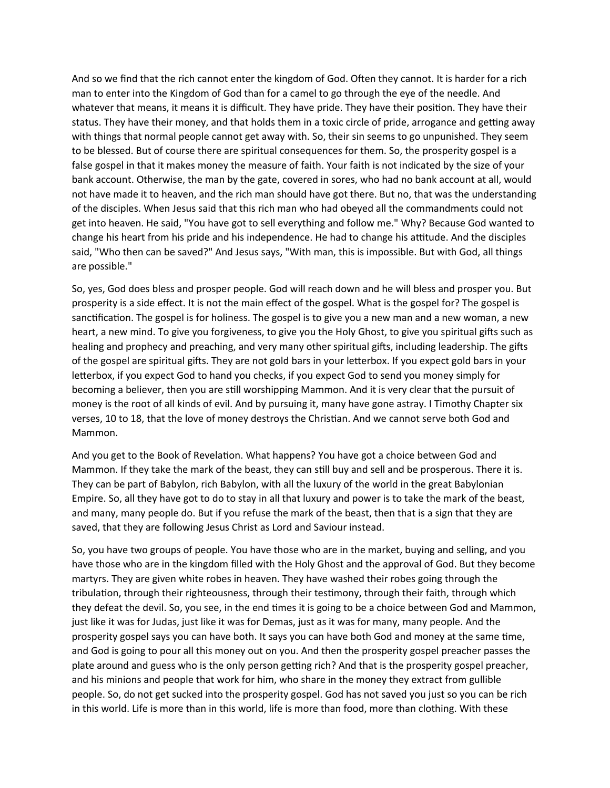And so we find that the rich cannot enter the kingdom of God. Often they cannot. It is harder for a rich man to enter into the Kingdom of God than for a camel to go through the eye of the needle. And whatever that means, it means it is difficult. They have pride. They have their position. They have their status. They have their money, and that holds them in a toxic circle of pride, arrogance and getting away with things that normal people cannot get away with. So, their sin seems to go unpunished. They seem to be blessed. But of course there are spiritual consequences for them. So, the prosperity gospel is a false gospel in that it makes money the measure of faith. Your faith is not indicated by the size of your bank account. Otherwise, the man by the gate, covered in sores, who had no bank account at all, would not have made it to heaven, and the rich man should have got there. But no, that was the understanding of the disciples. When Jesus said that this rich man who had obeyed all the commandments could not get into heaven. He said, "You have got to sell everything and follow me." Why? Because God wanted to change his heart from his pride and his independence. He had to change his attitude. And the disciples said, "Who then can be saved?" And Jesus says, "With man, this is impossible. But with God, all things are possible."

So, yes, God does bless and prosper people. God will reach down and he will bless and prosper you. But prosperity is a side effect. It is not the main effect of the gospel. What is the gospel for? The gospel is sanctification. The gospel is for holiness. The gospel is to give you a new man and a new woman, a new heart, a new mind. To give you forgiveness, to give you the Holy Ghost, to give you spiritual gifts such as healing and prophecy and preaching, and very many other spiritual gifts, including leadership. The gifts of the gospel are spiritual gifts. They are not gold bars in your letterbox. If you expect gold bars in your letterbox, if you expect God to hand you checks, if you expect God to send you money simply for becoming a believer, then you are still worshipping Mammon. And it is very clear that the pursuit of money is the root of all kinds of evil. And by pursuing it, many have gone astray. I Timothy Chapter six verses, 10 to 18, that the love of money destroys the Christian. And we cannot serve both God and Mammon.

And you get to the Book of Revelation. What happens? You have got a choice between God and Mammon. If they take the mark of the beast, they can still buy and sell and be prosperous. There it is. They can be part of Babylon, rich Babylon, with all the luxury of the world in the great Babylonian Empire. So, all they have got to do to stay in all that luxury and power is to take the mark of the beast, and many, many people do. But if you refuse the mark of the beast, then that is a sign that they are saved, that they are following Jesus Christ as Lord and Saviour instead.

So, you have two groups of people. You have those who are in the market, buying and selling, and you have those who are in the kingdom filled with the Holy Ghost and the approval of God. But they become martyrs. They are given white robes in heaven. They have washed their robes going through the tribulation, through their righteousness, through their testimony, through their faith, through which they defeat the devil. So, you see, in the end times it is going to be a choice between God and Mammon, just like it was for Judas, just like it was for Demas, just as it was for many, many people. And the prosperity gospel says you can have both. It says you can have both God and money at the same time, and God is going to pour all this money out on you. And then the prosperity gospel preacher passes the plate around and guess who is the only person getting rich? And that is the prosperity gospel preacher, and his minions and people that work for him, who share in the money they extract from gullible people. So, do not get sucked into the prosperity gospel. God has not saved you just so you can be rich in this world. Life is more than in this world, life is more than food, more than clothing. With these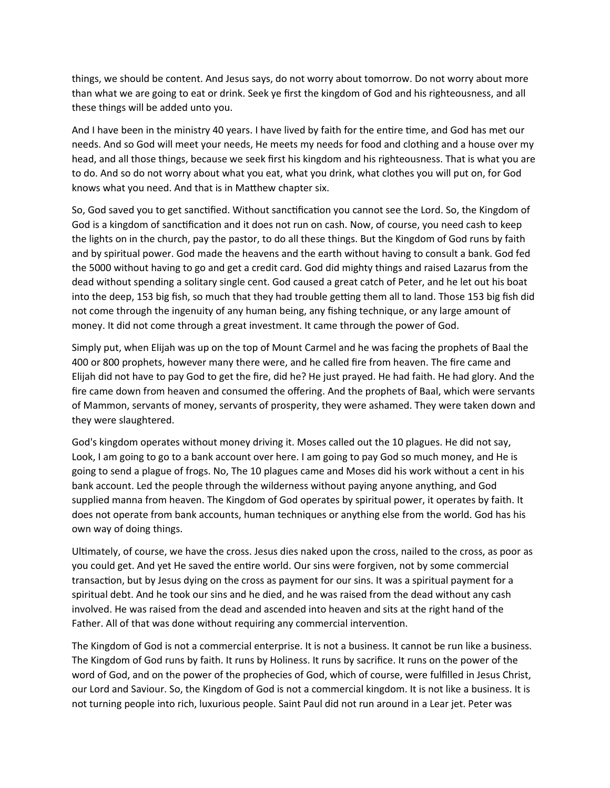things, we should be content. And Jesus says, do not worry about tomorrow. Do not worry about more than what we are going to eat or drink. Seek ye first the kingdom of God and his righteousness, and all these things will be added unto you.

And I have been in the ministry 40 years. I have lived by faith for the entire time, and God has met our needs. And so God will meet your needs, He meets my needs for food and clothing and a house over my head, and all those things, because we seek first his kingdom and his righteousness. That is what you are to do. And so do not worry about what you eat, what you drink, what clothes you will put on, for God knows what you need. And that is in Matthew chapter six.

So, God saved you to get sanctified. Without sanctification you cannot see the Lord. So, the Kingdom of God is a kingdom of sanctification and it does not run on cash. Now, of course, you need cash to keep the lights on in the church, pay the pastor, to do all these things. But the Kingdom of God runs by faith and by spiritual power. God made the heavens and the earth without having to consult a bank. God fed the 5000 without having to go and get a credit card. God did mighty things and raised Lazarus from the dead without spending a solitary single cent. God caused a great catch of Peter, and he let out his boat into the deep, 153 big fish, so much that they had trouble getting them all to land. Those 153 big fish did not come through the ingenuity of any human being, any fishing technique, or any large amount of money. It did not come through a great investment. It came through the power of God.

Simply put, when Elijah was up on the top of Mount Carmel and he was facing the prophets of Baal the 400 or 800 prophets, however many there were, and he called fire from heaven. The fire came and Elijah did not have to pay God to get the fire, did he? He just prayed. He had faith. He had glory. And the fire came down from heaven and consumed the offering. And the prophets of Baal, which were servants of Mammon, servants of money, servants of prosperity, they were ashamed. They were taken down and they were slaughtered.

God's kingdom operates without money driving it. Moses called out the 10 plagues. He did not say, Look, I am going to go to a bank account over here. I am going to pay God so much money, and He is going to send a plague of frogs. No, The 10 plagues came and Moses did his work without a cent in his bank account. Led the people through the wilderness without paying anyone anything, and God supplied manna from heaven. The Kingdom of God operates by spiritual power, it operates by faith. It does not operate from bank accounts, human techniques or anything else from the world. God has his own way of doing things.

Ultimately, of course, we have the cross. Jesus dies naked upon the cross, nailed to the cross, as poor as you could get. And yet He saved the entire world. Our sins were forgiven, not by some commercial transaction, but by Jesus dying on the cross as payment for our sins. It was a spiritual payment for a spiritual debt. And he took our sins and he died, and he was raised from the dead without any cash involved. He was raised from the dead and ascended into heaven and sits at the right hand of the Father. All of that was done without requiring any commercial intervention.

The Kingdom of God is not a commercial enterprise. It is not a business. It cannot be run like a business. The Kingdom of God runs by faith. It runs by Holiness. It runs by sacrifice. It runs on the power of the word of God, and on the power of the prophecies of God, which of course, were fulfilled in Jesus Christ, our Lord and Saviour. So, the Kingdom of God is not a commercial kingdom. It is not like a business. It is not turning people into rich, luxurious people. Saint Paul did not run around in a Lear jet. Peter was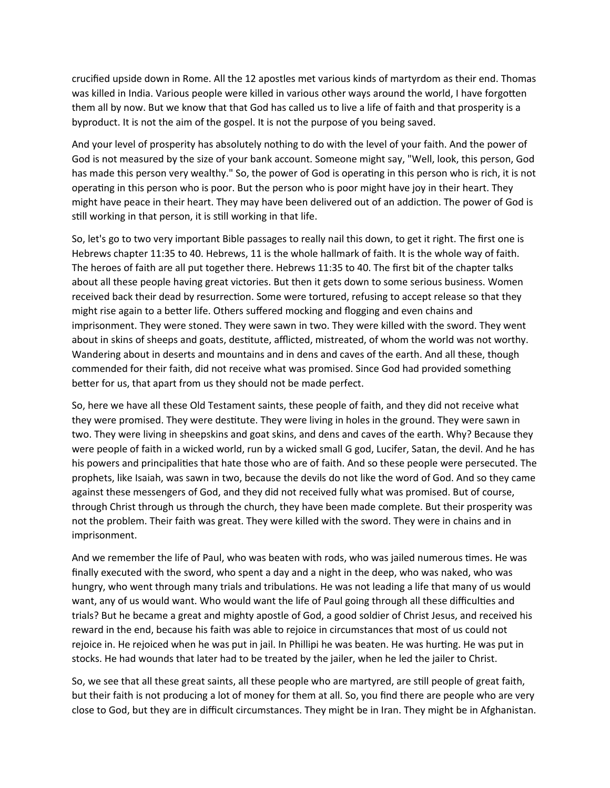crucified upside down in Rome. All the 12 apostles met various kinds of martyrdom as their end. Thomas was killed in India. Various people were killed in various other ways around the world, I have forgotten them all by now. But we know that that God has called us to live a life of faith and that prosperity is a byproduct. It is not the aim of the gospel. It is not the purpose of you being saved.

And your level of prosperity has absolutely nothing to do with the level of your faith. And the power of God is not measured by the size of your bank account. Someone might say, "Well, look, this person, God has made this person very wealthy." So, the power of God is operating in this person who is rich, it is not operating in this person who is poor. But the person who is poor might have joy in their heart. They might have peace in their heart. They may have been delivered out of an addiction. The power of God is still working in that person, it is still working in that life.

So, let's go to two very important Bible passages to really nail this down, to get it right. The first one is Hebrews chapter 11:35 to 40. Hebrews, 11 is the whole hallmark of faith. It is the whole way of faith. The heroes of faith are all put together there. Hebrews 11:35 to 40. The first bit of the chapter talks about all these people having great victories. But then it gets down to some serious business. Women received back their dead by resurrection. Some were tortured, refusing to accept release so that they might rise again to a better life. Others suffered mocking and flogging and even chains and imprisonment. They were stoned. They were sawn in two. They were killed with the sword. They went about in skins of sheeps and goats, destitute, afflicted, mistreated, of whom the world was not worthy. Wandering about in deserts and mountains and in dens and caves of the earth. And all these, though commended for their faith, did not receive what was promised. Since God had provided something better for us, that apart from us they should not be made perfect.

So, here we have all these Old Testament saints, these people of faith, and they did not receive what they were promised. They were destitute. They were living in holes in the ground. They were sawn in two. They were living in sheepskins and goat skins, and dens and caves of the earth. Why? Because they were people of faith in a wicked world, run by a wicked small G god, Lucifer, Satan, the devil. And he has his powers and principalities that hate those who are of faith. And so these people were persecuted. The prophets, like Isaiah, was sawn in two, because the devils do not like the word of God. And so they came against these messengers of God, and they did not received fully what was promised. But of course, through Christ through us through the church, they have been made complete. But their prosperity was not the problem. Their faith was great. They were killed with the sword. They were in chains and in imprisonment.

And we remember the life of Paul, who was beaten with rods, who was jailed numerous times. He was finally executed with the sword, who spent a day and a night in the deep, who was naked, who was hungry, who went through many trials and tribulations. He was not leading a life that many of us would want, any of us would want. Who would want the life of Paul going through all these difficulties and trials? But he became a great and mighty apostle of God, a good soldier of Christ Jesus, and received his reward in the end, because his faith was able to rejoice in circumstances that most of us could not rejoice in. He rejoiced when he was put in jail. In Phillipi he was beaten. He was hurting. He was put in stocks. He had wounds that later had to be treated by the jailer, when he led the jailer to Christ.

So, we see that all these great saints, all these people who are martyred, are still people of great faith, but their faith is not producing a lot of money for them at all. So, you find there are people who are very close to God, but they are in difficult circumstances. They might be in Iran. They might be in Afghanistan.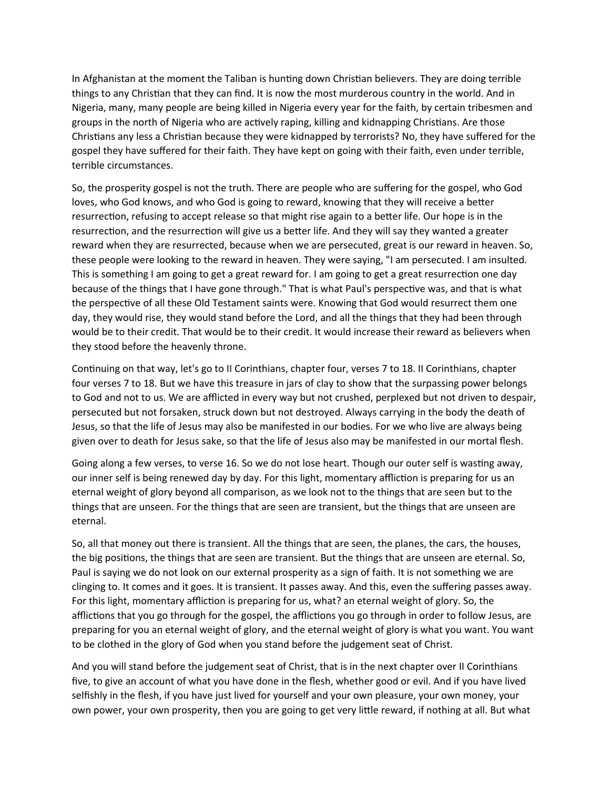In Afghanistan at the moment the Taliban is hunting down Christian believers. They are doing terrible things to any Christian that they can find. It is now the most murderous country in the world. And in Nigeria, many, many people are being killed in Nigeria every year for the faith, by certain tribesmen and groups in the north of Nigeria who are actively raping, killing and kidnapping Christians. Are those Christians any less a Christian because they were kidnapped by terrorists? No, they have suffered for the gospel they have suffered for their faith. They have kept on going with their faith, even under terrible, terrible circumstances.

So, the prosperity gospel is not the truth. There are people who are suffering for the gospel, who God loves, who God knows, and who God is going to reward, knowing that they will receive a better resurrection, refusing to accept release so that might rise again to a better life. Our hope is in the resurrection, and the resurrection will give us a better life. And they will say they wanted a greater reward when they are resurrected, because when we are persecuted, great is our reward in heaven. So, these people were looking to the reward in heaven. They were saying, "I am persecuted. I am insulted. This is something I am going to get a great reward for. I am going to get a great resurrection one day because of the things that I have gone through." That is what Paul's perspective was, and that is what the perspective of all these Old Testament saints were. Knowing that God would resurrect them one day, they would rise, they would stand before the Lord, and all the things that they had been through would be to their credit. That would be to their credit. It would increase their reward as believers when they stood before the heavenly throne.

Continuing on that way, let's go to II Corinthians, chapter four, verses 7 to 18. II Corinthians, chapter four verses 7 to 18. But we have this treasure in jars of clay to show that the surpassing power belongs to God and not to us. We are afflicted in every way but not crushed, perplexed but not driven to despair, persecuted but not forsaken, struck down but not destroyed. Always carrying in the body the death of Jesus, so that the life of Jesus may also be manifested in our bodies. For we who live are always being given over to death for Jesus sake, so that the life of Jesus also may be manifested in our mortal flesh.

Going along a few verses, to verse 16. So we do not lose heart. Though our outer self is wasting away, our inner self is being renewed day by day. For this light, momentary affliction is preparing for us an eternal weight of glory beyond all comparison, as we look not to the things that are seen but to the things that are unseen. For the things that are seen are transient, but the things that are unseen are eternal.

So, all that money out there is transient. All the things that are seen, the planes, the cars, the houses, the big positions, the things that are seen are transient. But the things that are unseen are eternal. So, Paul is saying we do not look on our external prosperity as a sign of faith. It is not something we are clinging to. It comes and it goes. It is transient. It passes away. And this, even the suffering passes away. For this light, momentary affliction is preparing for us, what? an eternal weight of glory. So, the afflictions that you go through for the gospel, the afflictions you go through in order to follow Jesus, are preparing for you an eternal weight of glory, and the eternal weight of glory is what you want. You want to be clothed in the glory of God when you stand before the judgement seat of Christ.

And you will stand before the judgement seat of Christ, that is in the next chapter over II Corinthians five, to give an account of what you have done in the flesh, whether good or evil. And if you have lived selfishly in the flesh, if you have just lived for yourself and your own pleasure, your own money, your own power, your own prosperity, then you are going to get very little reward, if nothing at all. But what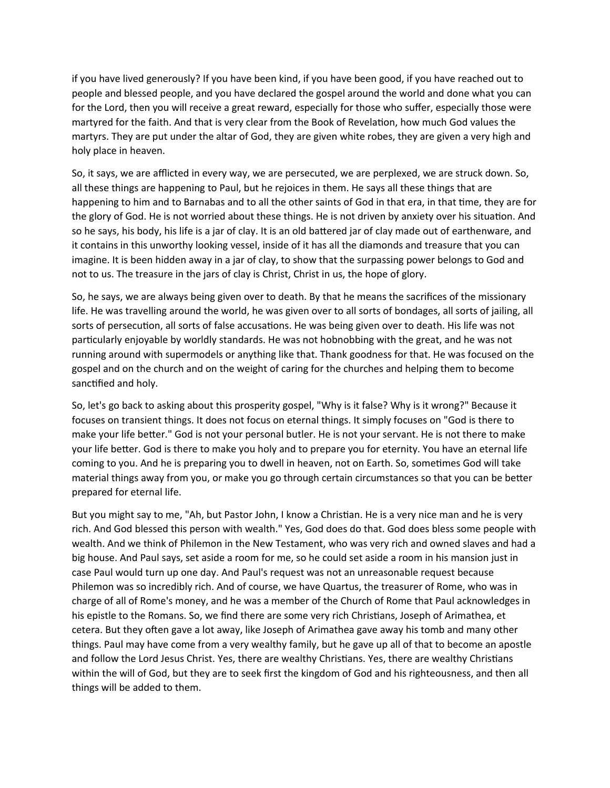if you have lived generously? If you have been kind, if you have been good, if you have reached out to people and blessed people, and you have declared the gospel around the world and done what you can for the Lord, then you will receive a great reward, especially for those who suffer, especially those were martyred for the faith. And that is very clear from the Book of Revelation, how much God values the martyrs. They are put under the altar of God, they are given white robes, they are given a very high and holy place in heaven.

So, it says, we are afflicted in every way, we are persecuted, we are perplexed, we are struck down. So, all these things are happening to Paul, but he rejoices in them. He says all these things that are happening to him and to Barnabas and to all the other saints of God in that era, in that time, they are for the glory of God. He is not worried about these things. He is not driven by anxiety over his situation. And so he says, his body, his life is a jar of clay. It is an old battered jar of clay made out of earthenware, and it contains in this unworthy looking vessel, inside of it has all the diamonds and treasure that you can imagine. It is been hidden away in a jar of clay, to show that the surpassing power belongs to God and not to us. The treasure in the jars of clay is Christ, Christ in us, the hope of glory.

So, he says, we are always being given over to death. By that he means the sacrifices of the missionary life. He was travelling around the world, he was given over to all sorts of bondages, all sorts of jailing, all sorts of persecution, all sorts of false accusations. He was being given over to death. His life was not particularly enjoyable by worldly standards. He was not hobnobbing with the great, and he was not running around with supermodels or anything like that. Thank goodness for that. He was focused on the gospel and on the church and on the weight of caring for the churches and helping them to become sanctified and holy.

So, let's go back to asking about this prosperity gospel, "Why is it false? Why is it wrong?" Because it focuses on transient things. It does not focus on eternal things. It simply focuses on "God is there to make your life better." God is not your personal butler. He is not your servant. He is not there to make your life better. God is there to make you holy and to prepare you for eternity. You have an eternal life coming to you. And he is preparing you to dwell in heaven, not on Earth. So, sometimes God will take material things away from you, or make you go through certain circumstances so that you can be better prepared for eternal life.

But you might say to me, "Ah, but Pastor John, I know a Christian. He is a very nice man and he is very rich. And God blessed this person with wealth." Yes, God does do that. God does bless some people with wealth. And we think of Philemon in the New Testament, who was very rich and owned slaves and had a big house. And Paul says, set aside a room for me, so he could set aside a room in his mansion just in case Paul would turn up one day. And Paul's request was not an unreasonable request because Philemon was so incredibly rich. And of course, we have Quartus, the treasurer of Rome, who was in charge of all of Rome's money, and he was a member of the Church of Rome that Paul acknowledges in his epistle to the Romans. So, we find there are some very rich Christians, Joseph of Arimathea, et cetera. But they often gave a lot away, like Joseph of Arimathea gave away his tomb and many other things. Paul may have come from a very wealthy family, but he gave up all of that to become an apostle and follow the Lord Jesus Christ. Yes, there are wealthy Christians. Yes, there are wealthy Christians within the will of God, but they are to seek first the kingdom of God and his righteousness, and then all things will be added to them.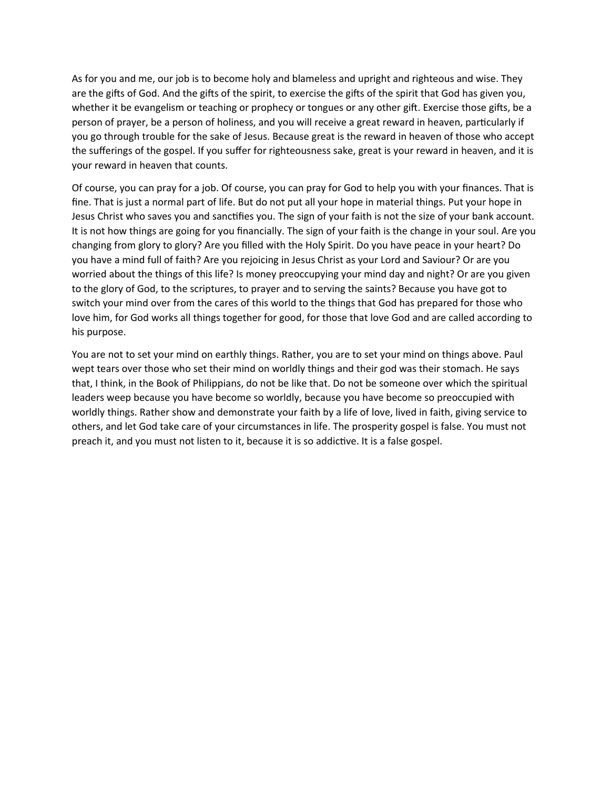As for you and me, our job is to become holy and blameless and upright and righteous and wise. They are the gifts of God. And the gifts of the spirit, to exercise the gifts of the spirit that God has given you, whether it be evangelism or teaching or prophecy or tongues or any other gift. Exercise those gifts, be a person of prayer, be a person of holiness, and you will receive a great reward in heaven, particularly if you go through trouble for the sake of Jesus. Because great is the reward in heaven of those who accept the sufferings of the gospel. If you suffer for righteousness sake, great is your reward in heaven, and it is your reward in heaven that counts.

Of course, you can pray for a job. Of course, you can pray for God to help you with your finances. That is fine. That is just a normal part of life. But do not put all your hope in material things. Put your hope in Jesus Christ who saves you and sanctifies you. The sign of your faith is not the size of your bank account. It is not how things are going for you financially. The sign of your faith is the change in your soul. Are you changing from glory to glory? Are you filled with the Holy Spirit. Do you have peace in your heart? Do you have a mind full of faith? Are you rejoicing in Jesus Christ as your Lord and Saviour? Or are you worried about the things of this life? Is money preoccupying your mind day and night? Or are you given to the glory of God, to the scriptures, to prayer and to serving the saints? Because you have got to switch your mind over from the cares of this world to the things that God has prepared for those who love him, for God works all things together for good, for those that love God and are called according to his purpose.

You are not to set your mind on earthly things. Rather, you are to set your mind on things above. Paul wept tears over those who set their mind on worldly things and their god was their stomach. He says that, I think, in the Book of Philippians, do not be like that. Do not be someone over which the spiritual leaders weep because you have become so worldly, because you have become so preoccupied with worldly things. Rather show and demonstrate your faith by a life of love, lived in faith, giving service to others, and let God take care of your circumstances in life. The prosperity gospel is false. You must not preach it, and you must not listen to it, because it is so addictive. It is a false gospel.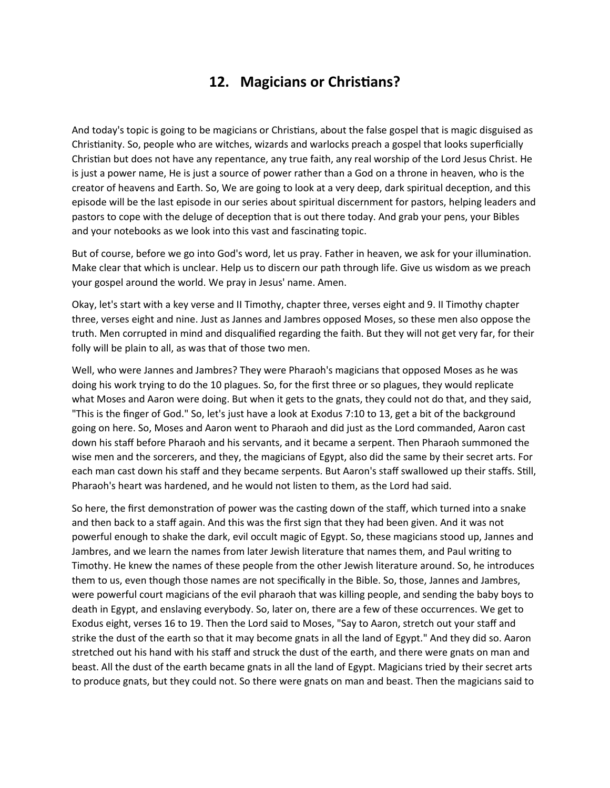## **12. Magicians or Christians?**

And today's topic is going to be magicians or Christians, about the false gospel that is magic disguised as Christianity. So, people who are witches, wizards and warlocks preach a gospel that looks superficially Christian but does not have any repentance, any true faith, any real worship of the Lord Jesus Christ. He is just a power name, He is just a source of power rather than a God on a throne in heaven, who is the creator of heavens and Earth. So, We are going to look at a very deep, dark spiritual deception, and this episode will be the last episode in our series about spiritual discernment for pastors, helping leaders and pastors to cope with the deluge of deception that is out there today. And grab your pens, your Bibles and your notebooks as we look into this vast and fascinating topic.

But of course, before we go into God's word, let us pray. Father in heaven, we ask for your illumination. Make clear that which is unclear. Help us to discern our path through life. Give us wisdom as we preach your gospel around the world. We pray in Jesus' name. Amen.

Okay, let's start with a key verse and II Timothy, chapter three, verses eight and 9. II Timothy chapter three, verses eight and nine. Just as Jannes and Jambres opposed Moses, so these men also oppose the truth. Men corrupted in mind and disqualified regarding the faith. But they will not get very far, for their folly will be plain to all, as was that of those two men.

Well, who were Jannes and Jambres? They were Pharaoh's magicians that opposed Moses as he was doing his work trying to do the 10 plagues. So, for the first three or so plagues, they would replicate what Moses and Aaron were doing. But when it gets to the gnats, they could not do that, and they said, "This is the finger of God." So, let's just have a look at Exodus 7:10 to 13, get a bit of the background going on here. So, Moses and Aaron went to Pharaoh and did just as the Lord commanded, Aaron cast down his staff before Pharaoh and his servants, and it became a serpent. Then Pharaoh summoned the wise men and the sorcerers, and they, the magicians of Egypt, also did the same by their secret arts. For each man cast down his staff and they became serpents. But Aaron's staff swallowed up their staffs. Still, Pharaoh's heart was hardened, and he would not listen to them, as the Lord had said.

So here, the first demonstration of power was the casting down of the staff, which turned into a snake and then back to a staff again. And this was the first sign that they had been given. And it was not powerful enough to shake the dark, evil occult magic of Egypt. So, these magicians stood up, Jannes and Jambres, and we learn the names from later Jewish literature that names them, and Paul writing to Timothy. He knew the names of these people from the other Jewish literature around. So, he introduces them to us, even though those names are not specifically in the Bible. So, those, Jannes and Jambres, were powerful court magicians of the evil pharaoh that was killing people, and sending the baby boys to death in Egypt, and enslaving everybody. So, later on, there are a few of these occurrences. We get to Exodus eight, verses 16 to 19. Then the Lord said to Moses, "Say to Aaron, stretch out your staff and strike the dust of the earth so that it may become gnats in all the land of Egypt." And they did so. Aaron stretched out his hand with his staff and struck the dust of the earth, and there were gnats on man and beast. All the dust of the earth became gnats in all the land of Egypt. Magicians tried by their secret arts to produce gnats, but they could not. So there were gnats on man and beast. Then the magicians said to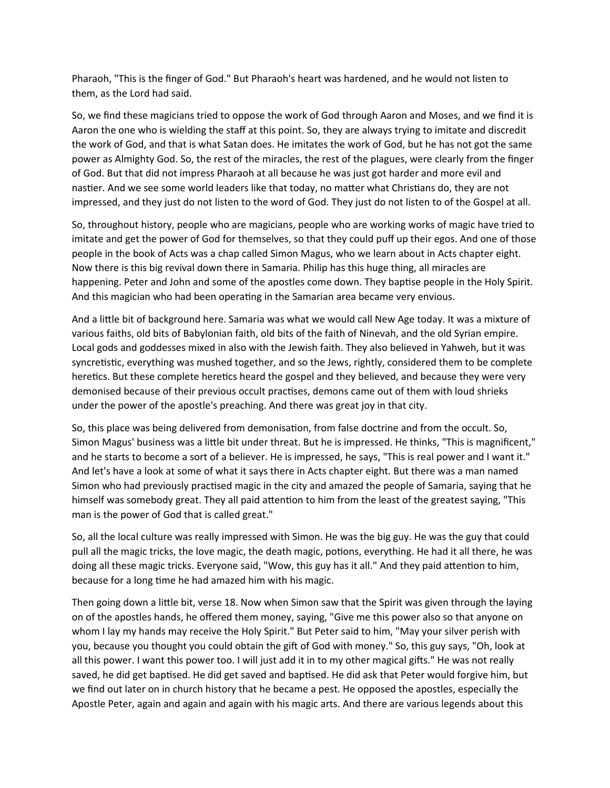Pharaoh, "This is the finger of God." But Pharaoh's heart was hardened, and he would not listen to them, as the Lord had said.

So, we find these magicians tried to oppose the work of God through Aaron and Moses, and we find it is Aaron the one who is wielding the staff at this point. So, they are always trying to imitate and discredit the work of God, and that is what Satan does. He imitates the work of God, but he has not got the same power as Almighty God. So, the rest of the miracles, the rest of the plagues, were clearly from the finger of God. But that did not impress Pharaoh at all because he was just got harder and more evil and nastier. And we see some world leaders like that today, no matter what Christians do, they are not impressed, and they just do not listen to the word of God. They just do not listen to of the Gospel at all.

So, throughout history, people who are magicians, people who are working works of magic have tried to imitate and get the power of God for themselves, so that they could puff up their egos. And one of those people in the book of Acts was a chap called Simon Magus, who we learn about in Acts chapter eight. Now there is this big revival down there in Samaria. Philip has this huge thing, all miracles are happening. Peter and John and some of the apostles come down. They baptise people in the Holy Spirit. And this magician who had been operating in the Samarian area became very envious.

And a little bit of background here. Samaria was what we would call New Age today. It was a mixture of various faiths, old bits of Babylonian faith, old bits of the faith of Ninevah, and the old Syrian empire. Local gods and goddesses mixed in also with the Jewish faith. They also believed in Yahweh, but it was syncretistic, everything was mushed together, and so the Jews, rightly, considered them to be complete heretics. But these complete heretics heard the gospel and they believed, and because they were very demonised because of their previous occult practises, demons came out of them with loud shrieks under the power of the apostle's preaching. And there was great joy in that city.

So, this place was being delivered from demonisation, from false doctrine and from the occult. So, Simon Magus' business was a little bit under threat. But he is impressed. He thinks, "This is magnificent," and he starts to become a sort of a believer. He is impressed, he says, "This is real power and I want it." And let's have a look at some of what it says there in Acts chapter eight. But there was a man named Simon who had previously practised magic in the city and amazed the people of Samaria, saying that he himself was somebody great. They all paid attention to him from the least of the greatest saying, "This man is the power of God that is called great."

So, all the local culture was really impressed with Simon. He was the big guy. He was the guy that could pull all the magic tricks, the love magic, the death magic, potions, everything. He had it all there, he was doing all these magic tricks. Everyone said, "Wow, this guy has it all." And they paid attention to him, because for a long time he had amazed him with his magic.

Then going down a little bit, verse 18. Now when Simon saw that the Spirit was given through the laying on of the apostles hands, he offered them money, saying, "Give me this power also so that anyone on whom I lay my hands may receive the Holy Spirit." But Peter said to him, "May your silver perish with you, because you thought you could obtain the gift of God with money." So, this guy says, "Oh, look at all this power. I want this power too. I will just add it in to my other magical gifts." He was not really saved, he did get baptised. He did get saved and baptised. He did ask that Peter would forgive him, but we find out later on in church history that he became a pest. He opposed the apostles, especially the Apostle Peter, again and again and again with his magic arts. And there are various legends about this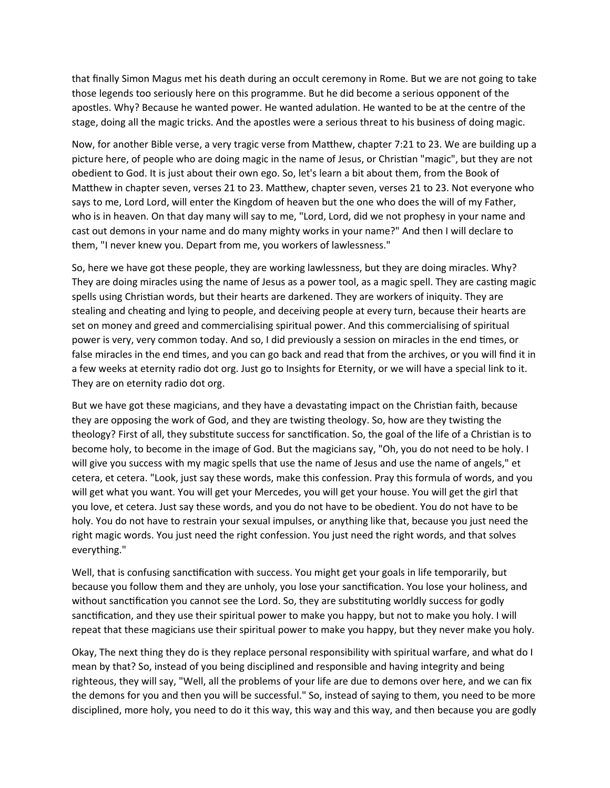that finally Simon Magus met his death during an occult ceremony in Rome. But we are not going to take those legends too seriously here on this programme. But he did become a serious opponent of the apostles. Why? Because he wanted power. He wanted adulation. He wanted to be at the centre of the stage, doing all the magic tricks. And the apostles were a serious threat to his business of doing magic.

Now, for another Bible verse, a very tragic verse from Matthew, chapter 7:21 to 23. We are building up a picture here, of people who are doing magic in the name of Jesus, or Christian "magic", but they are not obedient to God. It is just about their own ego. So, let's learn a bit about them, from the Book of Matthew in chapter seven, verses 21 to 23. Matthew, chapter seven, verses 21 to 23. Not everyone who says to me, Lord Lord, will enter the Kingdom of heaven but the one who does the will of my Father, who is in heaven. On that day many will say to me, "Lord, Lord, did we not prophesy in your name and cast out demons in your name and do many mighty works in your name?" And then I will declare to them, "I never knew you. Depart from me, you workers of lawlessness."

So, here we have got these people, they are working lawlessness, but they are doing miracles. Why? They are doing miracles using the name of Jesus as a power tool, as a magic spell. They are casting magic spells using Christian words, but their hearts are darkened. They are workers of iniquity. They are stealing and cheating and lying to people, and deceiving people at every turn, because their hearts are set on money and greed and commercialising spiritual power. And this commercialising of spiritual power is very, very common today. And so, I did previously a session on miracles in the end times, or false miracles in the end times, and you can go back and read that from the archives, or you will find it in a few weeks at eternity radio dot org. Just go to Insights for Eternity, or we will have a special link to it. They are on eternity radio dot org.

But we have got these magicians, and they have a devastating impact on the Christian faith, because they are opposing the work of God, and they are twisting theology. So, how are they twisting the theology? First of all, they substitute success for sanctification. So, the goal of the life of a Christian is to become holy, to become in the image of God. But the magicians say, "Oh, you do not need to be holy. I will give you success with my magic spells that use the name of Jesus and use the name of angels," et cetera, et cetera. "Look, just say these words, make this confession. Pray this formula of words, and you will get what you want. You will get your Mercedes, you will get your house. You will get the girl that you love, et cetera. Just say these words, and you do not have to be obedient. You do not have to be holy. You do not have to restrain your sexual impulses, or anything like that, because you just need the right magic words. You just need the right confession. You just need the right words, and that solves everything."

Well, that is confusing sanctification with success. You might get your goals in life temporarily, but because you follow them and they are unholy, you lose your sanctification. You lose your holiness, and without sanctification you cannot see the Lord. So, they are substituting worldly success for godly sanctification, and they use their spiritual power to make you happy, but not to make you holy. I will repeat that these magicians use their spiritual power to make you happy, but they never make you holy.

Okay, The next thing they do is they replace personal responsibility with spiritual warfare, and what do I mean by that? So, instead of you being disciplined and responsible and having integrity and being righteous, they will say, "Well, all the problems of your life are due to demons over here, and we can fix the demons for you and then you will be successful." So, instead of saying to them, you need to be more disciplined, more holy, you need to do it this way, this way and this way, and then because you are godly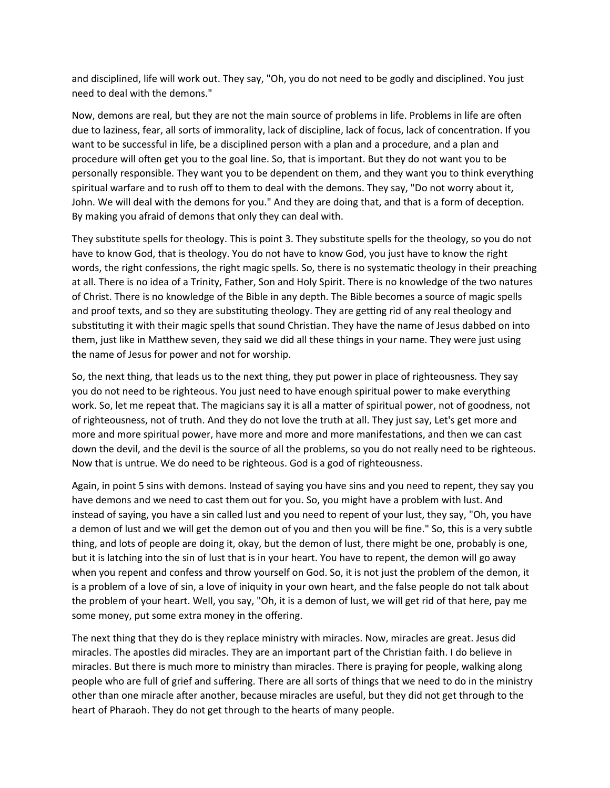and disciplined, life will work out. They say, "Oh, you do not need to be godly and disciplined. You just need to deal with the demons."

Now, demons are real, but they are not the main source of problems in life. Problems in life are often due to laziness, fear, all sorts of immorality, lack of discipline, lack of focus, lack of concentration. If you want to be successful in life, be a disciplined person with a plan and a procedure, and a plan and procedure will often get you to the goal line. So, that is important. But they do not want you to be personally responsible. They want you to be dependent on them, and they want you to think everything spiritual warfare and to rush off to them to deal with the demons. They say, "Do not worry about it, John. We will deal with the demons for you." And they are doing that, and that is a form of deception. By making you afraid of demons that only they can deal with.

They substitute spells for theology. This is point 3. They substitute spells for the theology, so you do not have to know God, that is theology. You do not have to know God, you just have to know the right words, the right confessions, the right magic spells. So, there is no systematic theology in their preaching at all. There is no idea of a Trinity, Father, Son and Holy Spirit. There is no knowledge of the two natures of Christ. There is no knowledge of the Bible in any depth. The Bible becomes a source of magic spells and proof texts, and so they are substituting theology. They are getting rid of any real theology and substituting it with their magic spells that sound Christian. They have the name of Jesus dabbed on into them, just like in Matthew seven, they said we did all these things in your name. They were just using the name of Jesus for power and not for worship.

So, the next thing, that leads us to the next thing, they put power in place of righteousness. They say you do not need to be righteous. You just need to have enough spiritual power to make everything work. So, let me repeat that. The magicians say it is all a matter of spiritual power, not of goodness, not of righteousness, not of truth. And they do not love the truth at all. They just say, Let's get more and more and more spiritual power, have more and more and more manifestations, and then we can cast down the devil, and the devil is the source of all the problems, so you do not really need to be righteous. Now that is untrue. We do need to be righteous. God is a god of righteousness.

Again, in point 5 sins with demons. Instead of saying you have sins and you need to repent, they say you have demons and we need to cast them out for you. So, you might have a problem with lust. And instead of saying, you have a sin called lust and you need to repent of your lust, they say, "Oh, you have a demon of lust and we will get the demon out of you and then you will be fine." So, this is a very subtle thing, and lots of people are doing it, okay, but the demon of lust, there might be one, probably is one, but it is latching into the sin of lust that is in your heart. You have to repent, the demon will go away when you repent and confess and throw yourself on God. So, it is not just the problem of the demon, it is a problem of a love of sin, a love of iniquity in your own heart, and the false people do not talk about the problem of your heart. Well, you say, "Oh, it is a demon of lust, we will get rid of that here, pay me some money, put some extra money in the offering.

The next thing that they do is they replace ministry with miracles. Now, miracles are great. Jesus did miracles. The apostles did miracles. They are an important part of the Christian faith. I do believe in miracles. But there is much more to ministry than miracles. There is praying for people, walking along people who are full of grief and suffering. There are all sorts of things that we need to do in the ministry other than one miracle after another, because miracles are useful, but they did not get through to the heart of Pharaoh. They do not get through to the hearts of many people.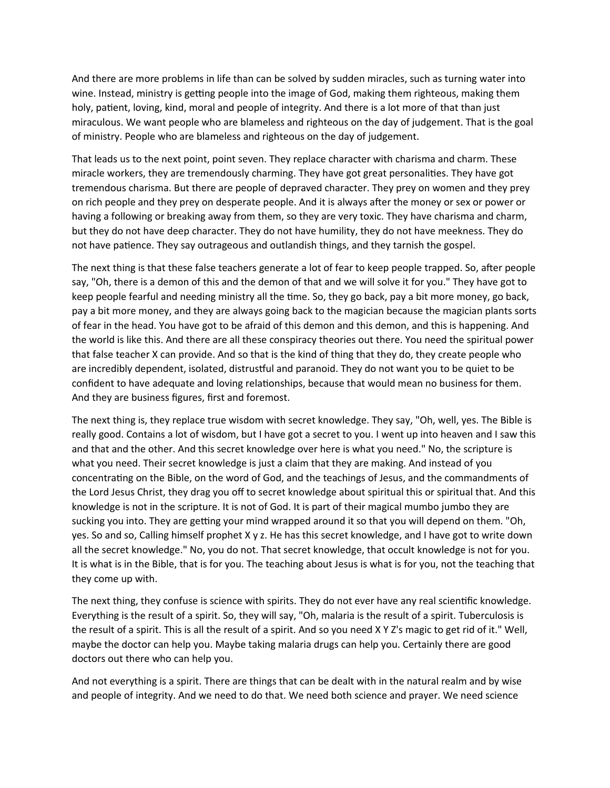And there are more problems in life than can be solved by sudden miracles, such as turning water into wine. Instead, ministry is getting people into the image of God, making them righteous, making them holy, patient, loving, kind, moral and people of integrity. And there is a lot more of that than just miraculous. We want people who are blameless and righteous on the day of judgement. That is the goal of ministry. People who are blameless and righteous on the day of judgement.

That leads us to the next point, point seven. They replace character with charisma and charm. These miracle workers, they are tremendously charming. They have got great personalities. They have got tremendous charisma. But there are people of depraved character. They prey on women and they prey on rich people and they prey on desperate people. And it is always after the money or sex or power or having a following or breaking away from them, so they are very toxic. They have charisma and charm, but they do not have deep character. They do not have humility, they do not have meekness. They do not have patience. They say outrageous and outlandish things, and they tarnish the gospel.

The next thing is that these false teachers generate a lot of fear to keep people trapped. So, after people say, "Oh, there is a demon of this and the demon of that and we will solve it for you." They have got to keep people fearful and needing ministry all the time. So, they go back, pay a bit more money, go back, pay a bit more money, and they are always going back to the magician because the magician plants sorts of fear in the head. You have got to be afraid of this demon and this demon, and this is happening. And the world is like this. And there are all these conspiracy theories out there. You need the spiritual power that false teacher X can provide. And so that is the kind of thing that they do, they create people who are incredibly dependent, isolated, distrustful and paranoid. They do not want you to be quiet to be confident to have adequate and loving relationships, because that would mean no business for them. And they are business figures, first and foremost.

The next thing is, they replace true wisdom with secret knowledge. They say, "Oh, well, yes. The Bible is really good. Contains a lot of wisdom, but I have got a secret to you. I went up into heaven and I saw this and that and the other. And this secret knowledge over here is what you need." No, the scripture is what you need. Their secret knowledge is just a claim that they are making. And instead of you concentrating on the Bible, on the word of God, and the teachings of Jesus, and the commandments of the Lord Jesus Christ, they drag you off to secret knowledge about spiritual this or spiritual that. And this knowledge is not in the scripture. It is not of God. It is part of their magical mumbo jumbo they are sucking you into. They are getting your mind wrapped around it so that you will depend on them. "Oh, yes. So and so, Calling himself prophet X y z. He has this secret knowledge, and I have got to write down all the secret knowledge." No, you do not. That secret knowledge, that occult knowledge is not for you. It is what is in the Bible, that is for you. The teaching about Jesus is what is for you, not the teaching that they come up with.

The next thing, they confuse is science with spirits. They do not ever have any real scientific knowledge. Everything is the result of a spirit. So, they will say, "Oh, malaria is the result of a spirit. Tuberculosis is the result of a spirit. This is all the result of a spirit. And so you need X Y Z's magic to get rid of it." Well, maybe the doctor can help you. Maybe taking malaria drugs can help you. Certainly there are good doctors out there who can help you.

And not everything is a spirit. There are things that can be dealt with in the natural realm and by wise and people of integrity. And we need to do that. We need both science and prayer. We need science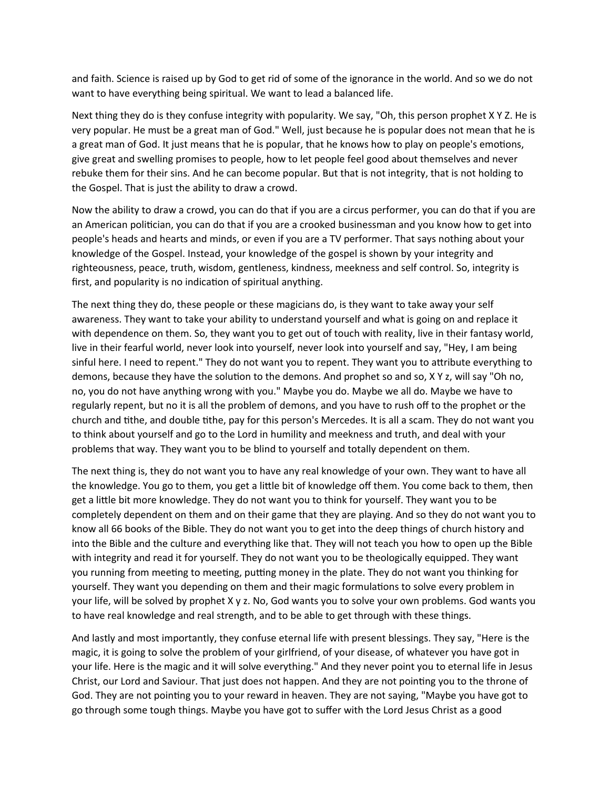and faith. Science is raised up by God to get rid of some of the ignorance in the world. And so we do not want to have everything being spiritual. We want to lead a balanced life.

Next thing they do is they confuse integrity with popularity. We say, "Oh, this person prophet X Y Z. He is very popular. He must be a great man of God." Well, just because he is popular does not mean that he is a great man of God. It just means that he is popular, that he knows how to play on people's emotions, give great and swelling promises to people, how to let people feel good about themselves and never rebuke them for their sins. And he can become popular. But that is not integrity, that is not holding to the Gospel. That is just the ability to draw a crowd.

Now the ability to draw a crowd, you can do that if you are a circus performer, you can do that if you are an American politician, you can do that if you are a crooked businessman and you know how to get into people's heads and hearts and minds, or even if you are a TV performer. That says nothing about your knowledge of the Gospel. Instead, your knowledge of the gospel is shown by your integrity and righteousness, peace, truth, wisdom, gentleness, kindness, meekness and self control. So, integrity is first, and popularity is no indication of spiritual anything.

The next thing they do, these people or these magicians do, is they want to take away your self awareness. They want to take your ability to understand yourself and what is going on and replace it with dependence on them. So, they want you to get out of touch with reality, live in their fantasy world, live in their fearful world, never look into yourself, never look into yourself and say, "Hey, I am being sinful here. I need to repent." They do not want you to repent. They want you to attribute everything to demons, because they have the solution to the demons. And prophet so and so, X Y z, will say "Oh no, no, you do not have anything wrong with you." Maybe you do. Maybe we all do. Maybe we have to regularly repent, but no it is all the problem of demons, and you have to rush off to the prophet or the church and tithe, and double tithe, pay for this person's Mercedes. It is all a scam. They do not want you to think about yourself and go to the Lord in humility and meekness and truth, and deal with your problems that way. They want you to be blind to yourself and totally dependent on them.

The next thing is, they do not want you to have any real knowledge of your own. They want to have all the knowledge. You go to them, you get a little bit of knowledge off them. You come back to them, then get a little bit more knowledge. They do not want you to think for yourself. They want you to be completely dependent on them and on their game that they are playing. And so they do not want you to know all 66 books of the Bible. They do not want you to get into the deep things of church history and into the Bible and the culture and everything like that. They will not teach you how to open up the Bible with integrity and read it for yourself. They do not want you to be theologically equipped. They want you running from meeting to meeting, putting money in the plate. They do not want you thinking for yourself. They want you depending on them and their magic formulations to solve every problem in your life, will be solved by prophet X y z. No, God wants you to solve your own problems. God wants you to have real knowledge and real strength, and to be able to get through with these things.

And lastly and most importantly, they confuse eternal life with present blessings. They say, "Here is the magic, it is going to solve the problem of your girlfriend, of your disease, of whatever you have got in your life. Here is the magic and it will solve everything." And they never point you to eternal life in Jesus Christ, our Lord and Saviour. That just does not happen. And they are not pointing you to the throne of God. They are not pointing you to your reward in heaven. They are not saying, "Maybe you have got to go through some tough things. Maybe you have got to suffer with the Lord Jesus Christ as a good